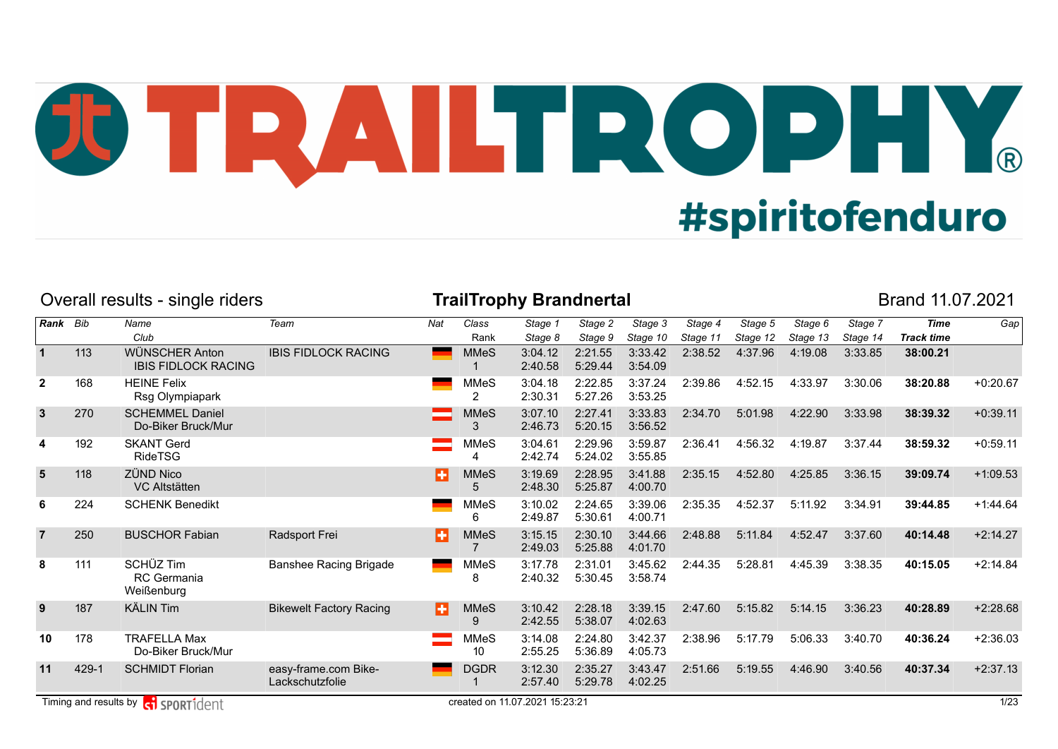## JU TRAILTROPHY. **#spiritofenduro**

|                |       | Overall results - single riders               |                                         |     |                                 | <b>TrailTrophy Brandnertal</b> |                    |                     |                     |                     |                     |                     | Brand 11.07.2021                 |            |
|----------------|-------|-----------------------------------------------|-----------------------------------------|-----|---------------------------------|--------------------------------|--------------------|---------------------|---------------------|---------------------|---------------------|---------------------|----------------------------------|------------|
| Rank Bib       |       | Name<br>Club                                  | Team                                    | Nat | Class<br>Rank                   | Stage 1<br>Stage 8             | Stage 2<br>Stage 9 | Stage 3<br>Stage 10 | Stage 4<br>Stage 11 | Stage 5<br>Stage 12 | Stage 6<br>Stage 13 | Stage 7<br>Stage 14 | <b>Time</b><br><b>Track time</b> | Gap        |
|                | 113   | WÜNSCHER Anton<br><b>IBIS FIDLOCK RACING</b>  | <b>IBIS FIDLOCK RACING</b>              |     | <b>MMeS</b>                     | 3:04.12<br>2:40.58             | 2:21.55<br>5:29.44 | 3:33.42<br>3:54.09  | 2:38.52             | 4:37.96             | 4:19.08             | 3:33.85             | 38:00.21                         |            |
| $\overline{2}$ | 168   | <b>HEINE Felix</b><br>Rsg Olympiapark         |                                         |     | <b>MMeS</b><br>2                | 3:04.18<br>2:30.31             | 2:22.85<br>5:27.26 | 3:37.24<br>3:53.25  | 2:39.86             | 4:52.15             | 4:33.97             | 3:30.06             | 38:20.88                         | $+0:20.67$ |
| $\mathbf{3}$   | 270   | <b>SCHEMMEL Daniel</b><br>Do-Biker Bruck/Mur  |                                         |     | <b>MMeS</b><br>3                | 3:07.10<br>2:46.73             | 2:27.41<br>5:20.15 | 3:33.83<br>3:56.52  | 2:34.70             | 5:01.98             | 4:22.90             | 3:33.98             | 38:39.32                         | $+0:39.11$ |
| 4              | 192   | <b>SKANT Gerd</b><br>RideTSG                  |                                         |     | <b>MMeS</b><br>4                | 3:04.61<br>2:42.74             | 2:29.96<br>5:24.02 | 3:59.87<br>3:55.85  | 2:36.41             | 4:56.32             | 4:19.87             | 3:37.44             | 38:59.32                         | $+0:59.11$ |
| 5              | 118   | <b>ZÜND Nico</b><br><b>VC Altstätten</b>      |                                         | н   | <b>MMeS</b><br>5                | 3:19.69<br>2:48.30             | 2:28.95<br>5:25.87 | 3:41.88<br>4:00.70  | 2:35.15             | 4:52.80             | 4:25.85             | 3:36.15             | 39:09.74                         | $+1:09.53$ |
| 6              | 224   | <b>SCHENK Benedikt</b>                        |                                         |     | <b>MMeS</b><br>6                | 3:10.02<br>2:49.87             | 2:24.65<br>5:30.61 | 3:39.06<br>4:00.71  | 2:35.35             | 4:52.37             | 5:11.92             | 3:34.91             | 39:44.85                         | $+1.44.64$ |
| $\overline{7}$ | 250   | <b>BUSCHOR Fabian</b>                         | Radsport Frei                           | в   | <b>MMeS</b>                     | 3:15.15<br>2:49.03             | 2:30.10<br>5:25.88 | 3:44.66<br>4:01.70  | 2:48.88             | 5:11.84             | 4:52.47             | 3:37.60             | 40:14.48                         | $+2:14.27$ |
| 8              | 111   | SCHÜZ Tim<br><b>RC</b> Germania<br>Weißenburg | <b>Banshee Racing Brigade</b>           |     | MMeS<br>8                       | 3:17.78<br>2:40.32             | 2:31.01<br>5:30.45 | 3:45.62<br>3:58.74  | 2:44.35             | 5:28.81             | 4:45.39             | 3:38.35             | 40:15.05                         | $+2:14.84$ |
| 9              | 187   | <b>KÄLIN Tim</b>                              | <b>Bikewelt Factory Racing</b>          | ш   | <b>MMeS</b><br>9                | 3:10.42<br>2:42.55             | 2:28.18<br>5:38.07 | 3:39.15<br>4:02.63  | 2:47.60             | 5:15.82             | 5:14.15             | 3:36.23             | 40:28.89                         | $+2:28.68$ |
| 10             | 178   | <b>TRAFELLA Max</b><br>Do-Biker Bruck/Mur     |                                         |     | <b>MMeS</b><br>10 <sup>10</sup> | 3:14.08<br>2:55.25             | 2:24.80<br>5:36.89 | 3:42.37<br>4:05.73  | 2:38.96             | 5:17.79             | 5:06.33             | 3:40.70             | 40:36.24                         | $+2:36.03$ |
| 11             | 429-1 | <b>SCHMIDT Florian</b>                        | easy-frame.com Bike-<br>Lackschutzfolie |     | <b>DGDR</b>                     | 3:12.30<br>2:57.40             | 2:35.27<br>5:29.78 | 3:43.47<br>4:02.25  | 2:51.66             | 5:19.55             | 4:46.90             | 3:40.56             | 40:37.34                         | $+2:37.13$ |
|                |       | Timing and results by contract SPORT1dent     |                                         |     |                                 | created on 11.07.2021 15:23:21 |                    |                     |                     |                     |                     |                     |                                  | 1/23       |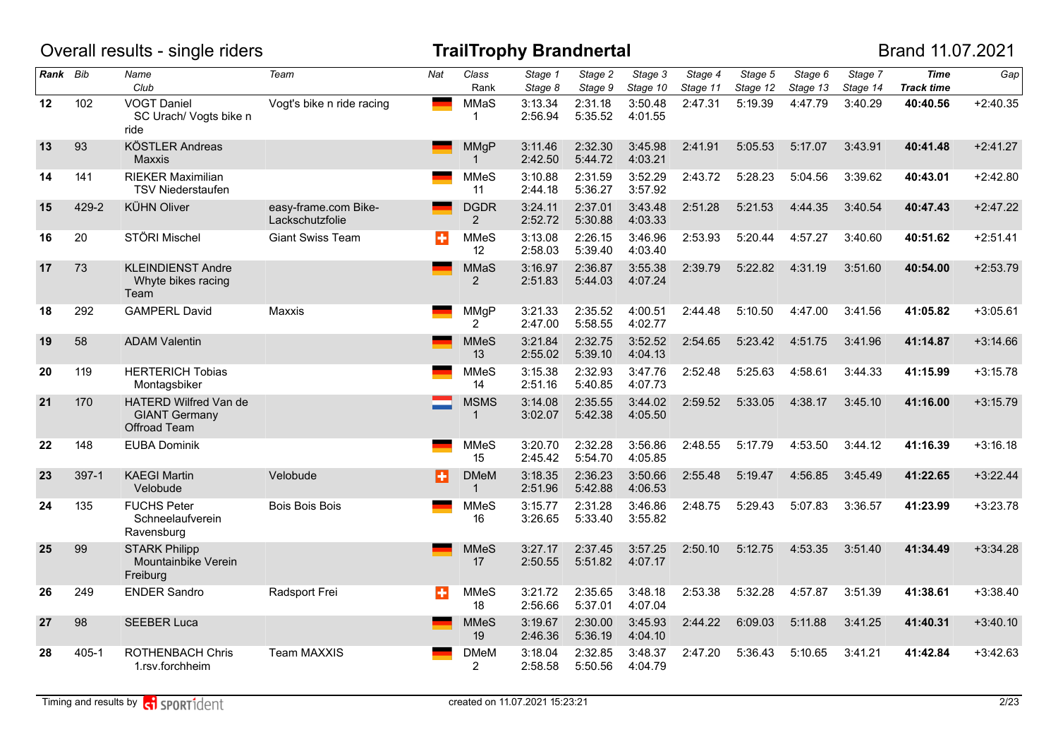|          |         | Overall results - single riders                                      |                                         |              |                                  | TrailTrophy Brandnertal |                    |                     |                     |                     |                     |                     | Brand 11.07.2021                 |            |
|----------|---------|----------------------------------------------------------------------|-----------------------------------------|--------------|----------------------------------|-------------------------|--------------------|---------------------|---------------------|---------------------|---------------------|---------------------|----------------------------------|------------|
| Rank Bib |         | Name<br>Club                                                         | Team                                    | Nat          | Class<br>Rank                    | Stage 1<br>Stage 8      | Stage 2<br>Stage 9 | Stage 3<br>Stage 10 | Stage 4<br>Stage 11 | Stage 5<br>Stage 12 | Stage 6<br>Stage 13 | Stage 7<br>Stage 14 | <b>Time</b><br><b>Track time</b> | Gap        |
| 12       | 102     | <b>VOGT Daniel</b><br>SC Urach/ Vogts bike n<br>ride                 | Vogt's bike n ride racing               | <b>State</b> | MMaS<br>1                        | 3:13.34<br>2:56.94      | 2:31.18<br>5:35.52 | 3:50.48<br>4:01.55  | 2:47.31             | 5:19.39             | 4:47.79             | 3:40.29             | 40:40.56                         | $+2:40.35$ |
| 13       | 93      | <b>KÖSTLER Andreas</b><br><b>Maxxis</b>                              |                                         |              | MMgP<br>$\mathbf{1}$             | 3:11.46<br>2:42.50      | 2:32.30<br>5:44.72 | 3:45.98<br>4:03.21  | 2:41.91             | 5:05.53             | 5:17.07             | 3:43.91             | 40:41.48                         | $+2:41.27$ |
| 14       | 141     | <b>RIEKER Maximilian</b><br><b>TSV Niederstaufen</b>                 |                                         |              | <b>MMeS</b><br>11                | 3:10.88<br>2:44.18      | 2:31.59<br>5:36.27 | 3:52.29<br>3:57.92  | 2:43.72             | 5:28.23             | 5:04.56             | 3:39.62             | 40:43.01                         | $+2:42.80$ |
| 15       | 429-2   | <b>KÜHN Oliver</b>                                                   | easy-frame.com Bike-<br>Lackschutzfolie |              | <b>DGDR</b><br>2                 | 3:24.11<br>2:52.72      | 2:37.01<br>5:30.88 | 3:43.48<br>4:03.33  | 2:51.28             | 5:21.53             | 4:44.35             | 3:40.54             | 40:47.43                         | $+2:47.22$ |
| 16       | 20      | STÖRI Mischel                                                        | <b>Giant Swiss Team</b>                 | в            | <b>MMeS</b><br>$12 \overline{ }$ | 3:13.08<br>2:58.03      | 2:26.15<br>5:39.40 | 3:46.96<br>4:03.40  | 2:53.93             | 5:20.44             | 4:57.27             | 3:40.60             | 40:51.62                         | $+2:51.41$ |
| 17       | 73      | <b>KLEINDIENST Andre</b><br>Whyte bikes racing<br>Team               |                                         |              | <b>MMaS</b><br>2                 | 3:16.97<br>2:51.83      | 2:36.87<br>5:44.03 | 3:55.38<br>4:07.24  | 2:39.79             | 5:22.82             | 4:31.19             | 3:51.60             | 40:54.00                         | $+2:53.79$ |
| 18       | 292     | <b>GAMPERL David</b>                                                 | Maxxis                                  |              | MMgP<br>$\overline{2}$           | 3:21.33<br>2:47.00      | 2:35.52<br>5:58.55 | 4:00.51<br>4:02.77  | 2:44.48             | 5:10.50             | 4:47.00             | 3:41.56             | 41:05.82                         | $+3:05.61$ |
| 19       | 58      | <b>ADAM Valentin</b>                                                 |                                         |              | <b>MMeS</b><br>13                | 3:21.84<br>2:55.02      | 2:32.75<br>5:39.10 | 3:52.52<br>4:04.13  | 2:54.65             | 5:23.42             | 4:51.75             | 3:41.96             | 41:14.87                         | $+3:14.66$ |
| 20       | 119     | <b>HERTERICH Tobias</b><br>Montagsbiker                              |                                         |              | <b>MMeS</b><br>14                | 3:15.38<br>2:51.16      | 2:32.93<br>5:40.85 | 3:47.76<br>4:07.73  | 2:52.48             | 5:25.63             | 4:58.61             | 3:44.33             | 41:15.99                         | $+3:15.78$ |
| 21       | 170     | HATERD Wilfred Van de<br><b>GIANT Germany</b><br><b>Offroad Team</b> |                                         |              | <b>MSMS</b><br>$\mathbf 1$       | 3:14.08<br>3:02.07      | 2:35.55<br>5:42.38 | 3:44.02<br>4:05.50  | 2:59.52             | 5:33.05             | 4:38.17             | 3:45.10             | 41:16.00                         | $+3:15.79$ |
| 22       | 148     | <b>EUBA Dominik</b>                                                  |                                         |              | <b>MMeS</b><br>15                | 3:20.70<br>2:45.42      | 2:32.28<br>5:54.70 | 3:56.86<br>4:05.85  | 2:48.55             | 5:17.79             | 4:53.50             | 3:44.12             | 41:16.39                         | $+3:16.18$ |
| 23       | $397-1$ | <b>KAEGI Martin</b><br>Velobude                                      | Velobude                                | П            | <b>DMeM</b><br>$\mathbf{1}$      | 3:18.35<br>2:51.96      | 2:36.23<br>5:42.88 | 3:50.66<br>4:06.53  | 2:55.48             | 5:19.47             | 4:56.85             | 3:45.49             | 41:22.65                         | $+3:22.44$ |
| 24       | 135     | <b>FUCHS Peter</b><br>Schneelaufverein<br>Ravensburg                 | <b>Bois Bois Bois</b>                   |              | <b>MMeS</b><br>16                | 3:15.77<br>3:26.65      | 2:31.28<br>5:33.40 | 3:46.86<br>3:55.82  | 2:48.75             | 5:29.43             | 5:07.83             | 3:36.57             | 41:23.99                         | $+3:23.78$ |
| 25       | 99      | <b>STARK Philipp</b><br>Mountainbike Verein<br>Freiburg              |                                         |              | <b>MMeS</b><br>17                | 3:27.17<br>2:50.55      | 2:37.45<br>5:51.82 | 3:57.25<br>4:07.17  | 2:50.10             | 5:12.75             | 4:53.35             | 3:51.40             | 41:34.49                         | $+3:34.28$ |
| 26       | 249     | <b>ENDER Sandro</b>                                                  | Radsport Frei                           | ÷            | <b>MMeS</b><br>18                | 3:21.72<br>2:56.66      | 2:35.65<br>5:37.01 | 3:48.18<br>4:07.04  | 2:53.38             | 5:32.28             | 4:57.87             | 3:51.39             | 41:38.61                         | $+3:38.40$ |
| 27       | 98      | <b>SEEBER Luca</b>                                                   |                                         |              | <b>MMeS</b><br>19                | 3:19.67<br>2:46.36      | 2:30.00<br>5:36.19 | 3:45.93<br>4:04.10  | 2:44.22             | 6:09.03             | 5:11.88             | 3:41.25             | 41:40.31                         | $+3:40.10$ |
| 28       | 405-1   | <b>ROTHENBACH Chris</b><br>1.rsv.forchheim                           | Team MAXXIS                             |              | <b>DMeM</b><br>$\overline{2}$    | 3:18.04<br>2:58.58      | 2:32.85<br>5:50.56 | 3:48.37<br>4:04.79  | 2:47.20             | 5:36.43             | 5:10.65             | 3:41.21             | 41:42.84                         | $+3:42.63$ |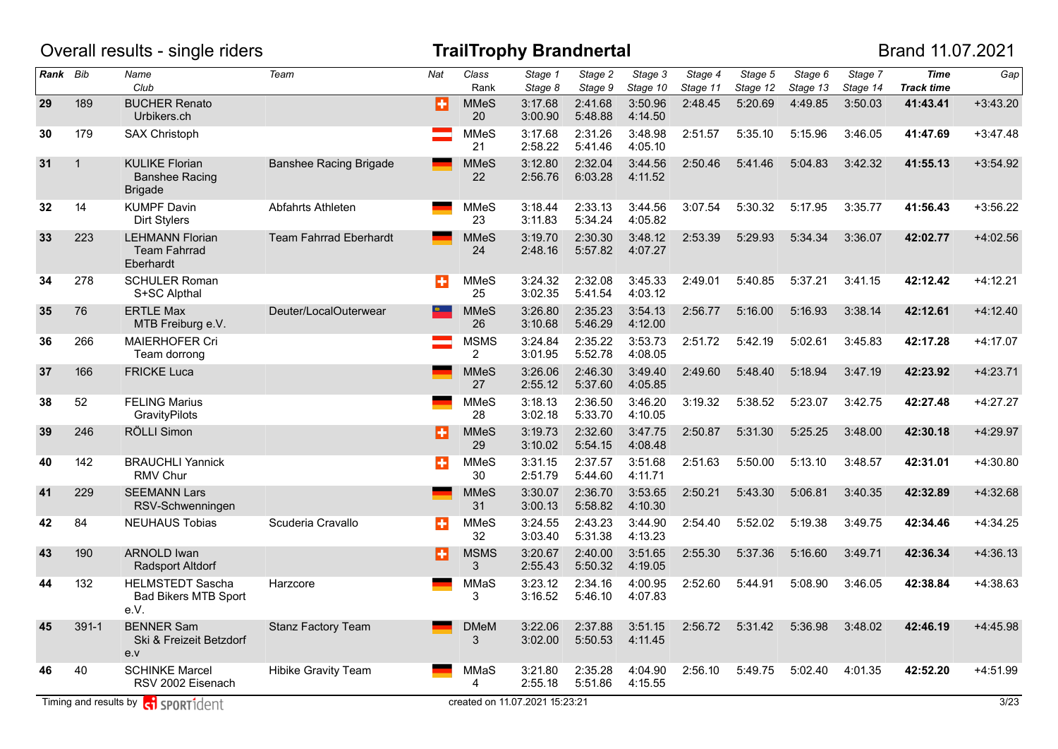|          |              | Overall results - single riders                                  |                               |     |                               | <b>TrailTrophy Brandnertal</b> |                    |                     |                     |                     |                     |                     | Brand 11.07.2021                 |            |
|----------|--------------|------------------------------------------------------------------|-------------------------------|-----|-------------------------------|--------------------------------|--------------------|---------------------|---------------------|---------------------|---------------------|---------------------|----------------------------------|------------|
| Rank Bib |              | Name<br>Club                                                     | Team                          | Nat | Class<br>Rank                 | Stage 1<br>Stage 8             | Stage 2<br>Stage 9 | Stage 3<br>Stage 10 | Stage 4<br>Stage 11 | Stage 5<br>Stage 12 | Stage 6<br>Stage 13 | Stage 7<br>Stage 14 | <b>Time</b><br><b>Track time</b> | Gap        |
| 29       | 189          | <b>BUCHER Renato</b><br>Urbikers.ch                              |                               | Ð   | <b>MMeS</b><br>20             | 3:17.68<br>3:00.90             | 2:41.68<br>5:48.88 | 3:50.96<br>4:14.50  | 2:48.45             | 5:20.69             | 4:49.85             | 3:50.03             | 41:43.41                         | $+3:43.20$ |
| 30       | 179          | SAX Christoph                                                    |                               |     | <b>MMeS</b><br>21             | 3:17.68<br>2:58.22             | 2:31.26<br>5:41.46 | 3:48.98<br>4:05.10  | 2:51.57             | 5:35.10             | 5:15.96             | 3:46.05             | 41:47.69                         | $+3:47.48$ |
| 31       | $\mathbf{1}$ | <b>KULIKE Florian</b><br><b>Banshee Racing</b><br><b>Brigade</b> | <b>Banshee Racing Brigade</b> |     | <b>MMeS</b><br>22             | 3:12.80<br>2:56.76             | 2:32.04<br>6:03.28 | 3:44.56<br>4:11.52  | 2:50.46             | 5:41.46             | 5:04.83             | 3:42.32             | 41:55.13                         | $+3:54.92$ |
| 32       | 14           | <b>KUMPF Davin</b><br><b>Dirt Stylers</b>                        | Abfahrts Athleten             |     | <b>MMeS</b><br>23             | 3:18.44<br>3:11.83             | 2:33.13<br>5:34.24 | 3:44.56<br>4:05.82  | 3:07.54             | 5:30.32             | 5:17.95             | 3:35.77             | 41:56.43                         | $+3:56.22$ |
| 33       | 223          | <b>LEHMANN Florian</b><br><b>Team Fahrrad</b><br>Eberhardt       | <b>Team Fahrrad Eberhardt</b> |     | <b>MMeS</b><br>24             | 3:19.70<br>2:48.16             | 2:30.30<br>5:57.82 | 3:48.12<br>4:07.27  | 2:53.39             | 5:29.93             | 5:34.34             | 3:36.07             | 42:02.77                         | $+4:02.56$ |
| 34       | 278          | <b>SCHULER Roman</b><br>S+SC Alpthal                             |                               | ÷   | <b>MMeS</b><br>25             | 3:24.32<br>3:02.35             | 2:32.08<br>5:41.54 | 3:45.33<br>4:03.12  | 2:49.01             | 5:40.85             | 5:37.21             | 3:41.15             | 42:12.42                         | $+4:12.21$ |
| 35       | 76           | <b>ERTLE Max</b><br>MTB Freiburg e.V.                            | Deuter/LocalOuterwear         |     | <b>MMeS</b><br>26             | 3:26.80<br>3:10.68             | 2:35.23<br>5:46.29 | 3:54.13<br>4:12.00  | 2:56.77             | 5:16.00             | 5:16.93             | 3:38.14             | 42:12.61                         | $+4:12.40$ |
| 36       | 266          | <b>MAIERHOFER Cri</b><br>Team dorrong                            |                               |     | <b>MSMS</b><br>$\overline{2}$ | 3:24.84<br>3:01.95             | 2:35.22<br>5:52.78 | 3:53.73<br>4:08.05  | 2:51.72             | 5:42.19             | 5:02.61             | 3:45.83             | 42:17.28                         | $+4:17.07$ |
| 37       | 166          | <b>FRICKE Luca</b>                                               |                               |     | <b>MMeS</b><br>27             | 3:26.06<br>2:55.12             | 2:46.30<br>5:37.60 | 3:49.40<br>4:05.85  | 2:49.60             | 5:48.40             | 5:18.94             | 3:47.19             | 42:23.92                         | $+4:23.71$ |
| 38       | 52           | <b>FELING Marius</b><br>GravityPilots                            |                               |     | <b>MMeS</b><br>28             | 3:18.13<br>3:02.18             | 2:36.50<br>5:33.70 | 3:46.20<br>4:10.05  | 3:19.32             | 5:38.52             | 5:23.07             | 3:42.75             | 42:27.48                         | $+4:27.27$ |
| 39       | 246          | RÖLLI Simon                                                      |                               | Ð   | <b>MMeS</b><br>29             | 3:19.73<br>3:10.02             | 2:32.60<br>5:54.15 | 3:47.75<br>4:08.48  | 2:50.87             | 5:31.30             | 5:25.25             | 3:48.00             | 42:30.18                         | $+4:29.97$ |
| 40       | 142          | <b>BRAUCHLI Yannick</b><br>RMV Chur                              |                               | ÷   | <b>MMeS</b><br>30             | 3:31.15<br>2:51.79             | 2:37.57<br>5:44.60 | 3:51.68<br>4:11.71  | 2:51.63             | 5:50.00             | 5:13.10             | 3:48.57             | 42:31.01                         | $+4:30.80$ |
| 41       | 229          | <b>SEEMANN Lars</b><br>RSV-Schwenningen                          |                               |     | <b>MMeS</b><br>31             | 3:30.07<br>3:00.13             | 2:36.70<br>5:58.82 | 3:53.65<br>4:10.30  | 2:50.21             | 5:43.30             | 5:06.81             | 3:40.35             | 42:32.89                         | +4:32.68   |
| 42       | 84           | <b>NEUHAUS Tobias</b>                                            | Scuderia Cravallo             | Ы   | <b>MMeS</b><br>32             | 3:24.55<br>3:03.40             | 2:43.23<br>5:31.38 | 3:44.90<br>4:13.23  | 2:54.40             | 5:52.02             | 5:19.38             | 3:49.75             | 42:34.46                         | $+4:34.25$ |
| 43       | 190          | <b>ARNOLD Iwan</b><br><b>Radsport Altdorf</b>                    |                               | в   | <b>MSMS</b><br>3              | 3:20.67<br>2:55.43             | 2:40.00<br>5:50.32 | 3:51.65<br>4:19.05  | 2:55.30             | 5:37.36             | 5:16.60             | 3:49.71             | 42:36.34                         | $+4:36.13$ |
| 44       | 132          | <b>HELMSTEDT Sascha</b><br><b>Bad Bikers MTB Sport</b><br>e.V.   | Harzcore                      |     | MMaS<br>3                     | 3:23.12<br>3:16.52             | 2:34.16<br>5:46.10 | 4:00.95<br>4:07.83  | 2:52.60             | 5:44.91             | 5:08.90             | 3:46.05             | 42:38.84                         | +4:38.63   |
| 45       | $391-1$      | <b>BENNER Sam</b><br>Ski & Freizeit Betzdorf<br>e.v              | <b>Stanz Factory Team</b>     |     | <b>DMeM</b><br>3              | 3:22.06<br>3:02.00             | 2:37.88<br>5:50.53 | 3:51.15<br>4:11.45  | 2:56.72             | 5:31.42             | 5:36.98             | 3:48.02             | 42:46.19                         | $+4:45.98$ |
| 46       | 40           | <b>SCHINKE Marcel</b><br>RSV 2002 Eisenach                       | Hibike Gravity Team           |     | MMaS<br>4                     | 3:21.80<br>2:55.18             | 2:35.28<br>5:51.86 | 4:04.90<br>4:15.55  | 2:56.10             | 5:49.75             | 5:02.40             | 4:01.35             | 42:52.20                         | +4:51.99   |
|          |              | Timing and results by <b>c</b> i sportident                      |                               |     |                               | created on 11.07.2021 15:23:21 |                    |                     |                     |                     |                     |                     |                                  | 3/23       |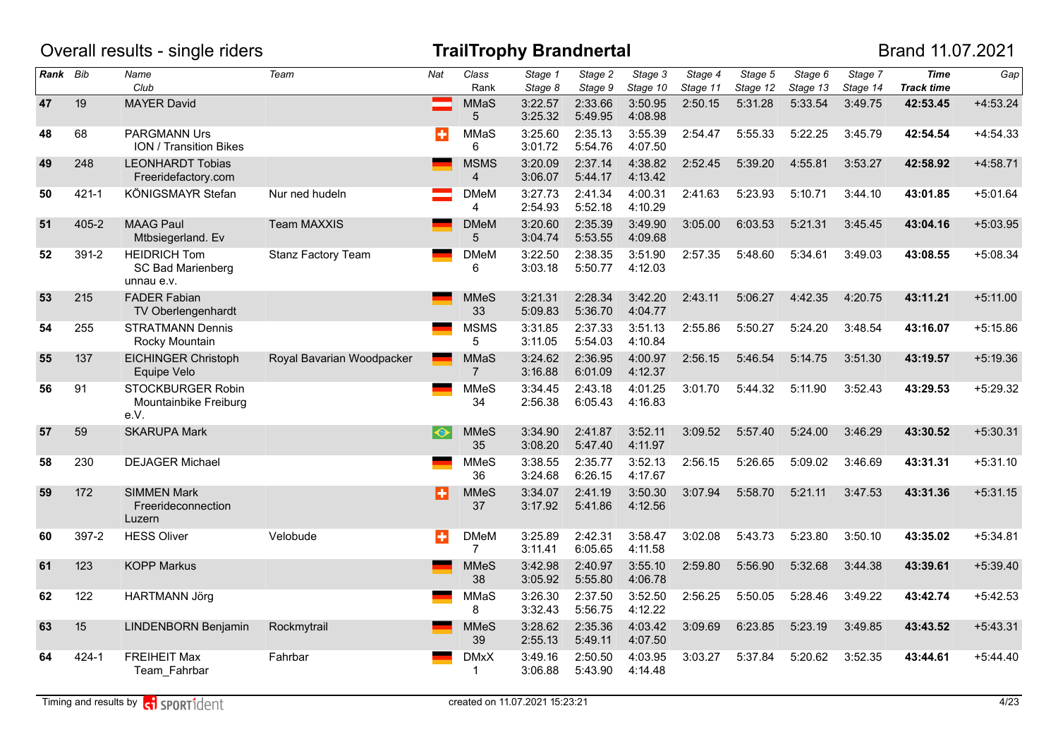|          |           | Overall results - single riders                               |                           |           |                        | <b>TrailTrophy Brandnertal</b> |                                 |                     |                                           |                     |                     |                     | Brand 11.07.2021                 |            |
|----------|-----------|---------------------------------------------------------------|---------------------------|-----------|------------------------|--------------------------------|---------------------------------|---------------------|-------------------------------------------|---------------------|---------------------|---------------------|----------------------------------|------------|
| Rank Bib |           | Name<br>Club                                                  | Team                      | Nat       | Class<br>Rank          | Stage 1<br>Stage 8             | $\overline{Stage}$ 2<br>Stage 9 | Stage 3<br>Stage 10 | $\overline{\mathsf{Stage}}$ 4<br>Stage 11 | Stage 5<br>Stage 12 | Stage 6<br>Stage 13 | Stage 7<br>Stage 14 | <b>Time</b><br><b>Track time</b> | Gap        |
| 47       | 19        | <b>MAYER David</b>                                            |                           |           | MMaS<br>5              | 3:22.57<br>3:25.32             | 2:33.66<br>5:49.95              | 3:50.95<br>4:08.98  | 2:50.15                                   | 5:31.28             | 5:33.54             | 3:49.75             | 42:53.45                         | $+4:53.24$ |
| 48       | 68        | <b>PARGMANN Urs</b><br><b>ION / Transition Bikes</b>          |                           | $\div$    | MMaS<br>6              | 3:25.60<br>3:01.72             | 2:35.13<br>5:54.76              | 3:55.39<br>4:07.50  | 2:54.47                                   | 5:55.33             | 5:22.25             | 3:45.79             | 42:54.54                         | $+4:54.33$ |
| 49       | 248       | <b>LEONHARDT Tobias</b><br>Freeridefactory.com                |                           |           | <b>MSMS</b><br>4       | 3:20.09<br>3:06.07             | 2:37.14<br>5:44.17              | 4:38.82<br>4:13.42  | 2:52.45                                   | 5:39.20             | 4:55.81             | 3:53.27             | 42:58.92                         | $+4:58.71$ |
| 50       | $421 - 1$ | KÖNIGSMAYR Stefan                                             | Nur ned hudeln            |           | <b>DMeM</b><br>4       | 3:27.73<br>2:54.93             | 2:41.34<br>5:52.18              | 4:00.31<br>4:10.29  | 2:41.63                                   | 5:23.93             | 5:10.71             | 3:44.10             | 43:01.85                         | $+5:01.64$ |
| 51       | $405 - 2$ | <b>MAAG Paul</b><br>Mtbsiegerland. Ev                         | <b>Team MAXXIS</b>        |           | <b>DMeM</b><br>5       | 3:20.60<br>3:04.74             | 2:35.39<br>5:53.55              | 3:49.90<br>4:09.68  | 3:05.00                                   | 6:03.53             | 5:21.31             | 3:45.45             | 43:04.16                         | $+5:03.95$ |
| 52       | 391-2     | <b>HEIDRICH Tom</b><br><b>SC Bad Marienberg</b><br>unnau e.v. | Stanz Factory Team        |           | <b>DMeM</b><br>6       | 3:22.50<br>3:03.18             | 2:38.35<br>5:50.77              | 3:51.90<br>4:12.03  | 2:57.35                                   | 5:48.60             | 5:34.61             | 3:49.03             | 43:08.55                         | $+5:08.34$ |
| 53       | 215       | <b>FADER Fabian</b><br>TV Oberlengenhardt                     |                           |           | <b>MMeS</b><br>33      | 3:21.31<br>5:09.83             | 2:28.34<br>5:36.70              | 3:42.20<br>4:04.77  | 2:43.11                                   | 5:06.27             | 4:42.35             | 4:20.75             | 43:11.21                         | $+5:11.00$ |
| 54       | 255       | <b>STRATMANN Dennis</b><br>Rocky Mountain                     |                           |           | <b>MSMS</b><br>5       | 3:31.85<br>3:11.05             | 2:37.33<br>5:54.03              | 3:51.13<br>4:10.84  | 2:55.86                                   | 5:50.27             | 5:24.20             | 3:48.54             | 43:16.07                         | $+5:15.86$ |
| 55       | 137       | <b>EICHINGER Christoph</b><br>Equipe Velo                     | Royal Bavarian Woodpacker |           | MMaS<br>$\overline{7}$ | 3:24.62<br>3:16.88             | 2:36.95<br>6:01.09              | 4:00.97<br>4:12.37  | 2:56.15                                   | 5:46.54             | 5:14.75             | 3:51.30             | 43:19.57                         | $+5:19.36$ |
| 56       | 91        | STOCKBURGER Robin<br>Mountainbike Freiburg<br>e.V.            |                           |           | <b>MMeS</b><br>34      | 3:34.45<br>2:56.38             | 2:43.18<br>6:05.43              | 4:01.25<br>4:16.83  | 3:01.70                                   | 5:44.32             | 5:11.90             | 3:52.43             | 43:29.53                         | $+5:29.32$ |
| 57       | 59        | <b>SKARUPA Mark</b>                                           |                           | $\bullet$ | <b>MMeS</b><br>35      | 3:34.90<br>3:08.20             | 2:41.87<br>5:47.40              | 3:52.11<br>4:11.97  | 3:09.52                                   | 5:57.40             | 5:24.00             | 3:46.29             | 43:30.52                         | $+5:30.31$ |
| 58       | 230       | <b>DEJAGER Michael</b>                                        |                           |           | <b>MMeS</b><br>36      | 3:38.55<br>3:24.68             | 2:35.77<br>6:26.15              | 3:52.13<br>4:17.67  | 2:56.15                                   | 5:26.65             | 5:09.02             | 3:46.69             | 43:31.31                         | $+5:31.10$ |
| 59       | 172       | <b>SIMMEN Mark</b><br>Freerideconnection<br>Luzern            |                           | E         | <b>MMeS</b><br>37      | 3:34.07<br>3:17.92             | 2:41.19<br>5:41.86              | 3:50.30<br>4:12.56  | 3:07.94                                   | 5:58.70             | 5:21.11             | 3:47.53             | 43:31.36                         | $+5:31.15$ |
| 60       | 397-2     | <b>HESS Oliver</b>                                            | Velobude                  | ÷         | <b>DMeM</b><br>7       | 3:25.89<br>3:11.41             | 2:42.31<br>6:05.65              | 3:58.47<br>4:11.58  | 3:02.08                                   | 5:43.73             | 5:23.80             | 3:50.10             | 43:35.02                         | $+5:34.81$ |
| 61       | 123       | <b>KOPP Markus</b>                                            |                           |           | <b>MMeS</b><br>38      | 3:42.98<br>3:05.92             | 2:40.97<br>5:55.80              | 3:55.10<br>4:06.78  | 2:59.80                                   | 5:56.90             | 5:32.68             | 3:44.38             | 43:39.61                         | $+5:39.40$ |
| 62       | 122       | <b>HARTMANN Jörg</b>                                          |                           |           | MMaS<br>8              | 3:26.30<br>3:32.43             | 2:37.50<br>5:56.75              | 3:52.50<br>4:12.22  | 2:56.25                                   | 5:50.05             | 5:28.46             | 3:49.22             | 43:42.74                         | $+5:42.53$ |
| 63       | 15        | LINDENBORN Benjamin                                           | Rockmytrail               |           | <b>MMeS</b><br>39      | 3:28.62<br>2:55.13             | 2:35.36<br>5:49.11              | 4:03.42<br>4:07.50  | 3:09.69                                   | 6:23.85             | 5:23.19             | 3:49.85             | 43:43.52                         | $+5:43.31$ |
| 64       | $424 - 1$ | <b>FREIHEIT Max</b><br>Team_Fahrbar                           | Fahrbar                   |           | <b>DMxX</b><br>1       | 3:49.16<br>3:06.88             | 2:50.50<br>5:43.90              | 4:03.95<br>4:14.48  | 3:03.27                                   | 5:37.84             | 5:20.62             | 3:52.35             | 43:44.61                         | $+5:44.40$ |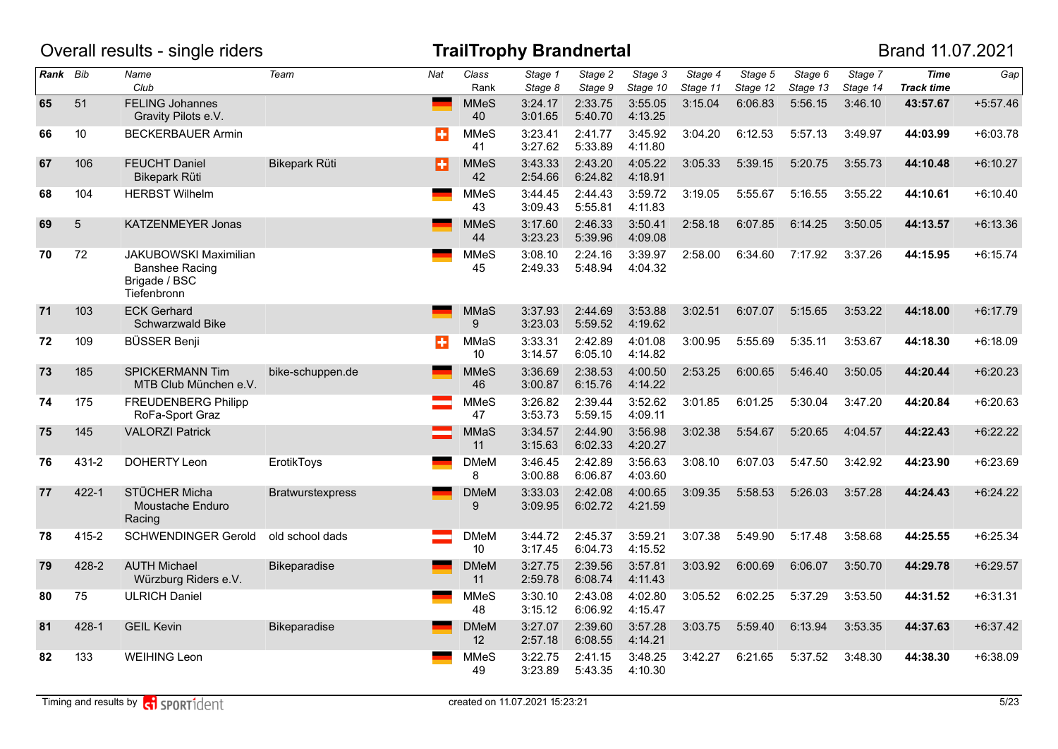|          |                 | Overall results - single riders                                                |                      |     |                         | <b>TrailTrophy Brandnertal</b> |                    |                     |                     |                     |                     |                     | Brand 11.07.2021                 |            |
|----------|-----------------|--------------------------------------------------------------------------------|----------------------|-----|-------------------------|--------------------------------|--------------------|---------------------|---------------------|---------------------|---------------------|---------------------|----------------------------------|------------|
| Rank Bib |                 | Name<br>Club                                                                   | Team                 | Nat | Class<br>Rank           | Stage 1<br>Stage 8             | Stage 2<br>Stage 9 | Stage 3<br>Stage 10 | Stage 4<br>Stage 11 | Stage 5<br>Stage 12 | Stage 6<br>Stage 13 | Stage 7<br>Stage 14 | <b>Time</b><br><b>Track time</b> | Gap        |
| 65       | 51              | <b>FELING Johannes</b><br>Gravity Pilots e.V.                                  |                      |     | <b>MMeS</b><br>40       | 3:24.17<br>3:01.65             | 2:33.75<br>5:40.70 | 3:55.05<br>4:13.25  | 3:15.04             | 6:06.83             | 5:56.15             | 3:46.10             | 43:57.67                         | $+5:57.46$ |
| 66       | 10 <sup>°</sup> | <b>BECKERBAUER Armin</b>                                                       |                      | ÷   | <b>MMeS</b><br>41       | 3:23.41<br>3:27.62             | 2:41.77<br>5:33.89 | 3:45.92<br>4:11.80  | 3:04.20             | 6:12.53             | 5:57.13             | 3:49.97             | 44:03.99                         | $+6:03.78$ |
| 67       | 106             | <b>FEUCHT Daniel</b><br>Bikepark Rüti                                          | <b>Bikepark Rüti</b> | B   | <b>MMeS</b><br>42       | 3:43.33<br>2:54.66             | 2:43.20<br>6:24.82 | 4:05.22<br>4:18.91  | 3:05.33             | 5:39.15             | 5:20.75             | 3:55.73             | 44:10.48                         | $+6:10.27$ |
| 68       | 104             | <b>HERBST Wilhelm</b>                                                          |                      |     | <b>MMeS</b><br>43       | 3:44.45<br>3:09.43             | 2:44.43<br>5:55.81 | 3:59.72<br>4:11.83  | 3:19.05             | 5:55.67             | 5:16.55             | 3:55.22             | 44:10.61                         | $+6:10.40$ |
| 69       | 5               | KATZENMEYER Jonas                                                              |                      |     | <b>MMeS</b><br>44       | 3:17.60<br>3:23.23             | 2:46.33<br>5:39.96 | 3:50.41<br>4:09.08  | 2:58.18             | 6:07.85             | 6:14.25             | 3:50.05             | 44:13.57                         | $+6:13.36$ |
| 70       | 72              | <b>JAKUBOWSKI Maximilian</b><br>Banshee Racing<br>Brigade / BSC<br>Tiefenbronn |                      |     | <b>MMeS</b><br>45       | 3:08.10<br>2:49.33             | 2:24.16<br>5:48.94 | 3:39.97<br>4:04.32  | 2:58.00             | 6:34.60             | 7:17.92             | 3:37.26             | 44:15.95                         | $+6:15.74$ |
| 71       | 103             | <b>ECK Gerhard</b><br>Schwarzwald Bike                                         |                      |     | <b>MMaS</b><br>9        | 3:37.93<br>3:23.03             | 2:44.69<br>5:59.52 | 3:53.88<br>4:19.62  | 3:02.51             | 6:07.07             | 5:15.65             | 3:53.22             | 44:18.00                         | $+6:17.79$ |
| 72       | 109             | <b>BÜSSER Benji</b>                                                            |                      | ÷   | MMaS<br>10 <sup>°</sup> | 3:33.31<br>3:14.57             | 2:42.89<br>6:05.10 | 4:01.08<br>4:14.82  | 3:00.95             | 5:55.69             | 5:35.11             | 3:53.67             | 44:18.30                         | $+6:18.09$ |
| 73       | 185             | <b>SPICKERMANN Tim</b><br>MTB Club München e.V.                                | bike-schuppen.de     |     | <b>MMeS</b><br>46       | 3:36.69<br>3:00.87             | 2:38.53<br>6:15.76 | 4:00.50<br>4:14.22  | 2:53.25             | 6:00.65             | 5:46.40             | 3:50.05             | 44:20.44                         | $+6:20.23$ |
| 74       | 175             | <b>FREUDENBERG Philipp</b><br>RoFa-Sport Graz                                  |                      |     | <b>MMeS</b><br>47       | 3:26.82<br>3:53.73             | 2:39.44<br>5:59.15 | 3:52.62<br>4:09.11  | 3:01.85             | 6:01.25             | 5:30.04             | 3:47.20             | 44:20.84                         | $+6:20.63$ |
| 75       | 145             | <b>VALORZI Patrick</b>                                                         |                      |     | <b>MMaS</b><br>11       | 3:34.57<br>3:15.63             | 2:44.90<br>6:02.33 | 3:56.98<br>4:20.27  | 3:02.38             | 5:54.67             | 5:20.65             | 4:04.57             | 44:22.43                         | $+6:22.22$ |
| 76       | 431-2           | DOHERTY Leon                                                                   | ErotikToys           |     | <b>DMeM</b><br>8        | 3:46.45<br>3:00.88             | 2:42.89<br>6:06.87 | 3:56.63<br>4:03.60  | 3:08.10             | 6:07.03             | 5:47.50             | 3:42.92             | 44:23.90                         | $+6:23.69$ |
| 77       | $422 - 1$       | STÜCHER Micha<br>Moustache Enduro<br>Racing                                    | Bratwurstexpress     |     | <b>DMeM</b><br>9        | 3:33.03<br>3:09.95             | 2:42.08<br>6:02.72 | 4:00.65<br>4:21.59  | 3:09.35             | 5:58.53             | 5:26.03             | 3:57.28             | 44:24.43                         | $+6:24.22$ |
| 78       | 415-2           | <b>SCHWENDINGER Gerold</b>                                                     | old school dads      |     | <b>DMeM</b><br>10       | 3:44.72<br>3:17.45             | 2:45.37<br>6:04.73 | 3:59.21<br>4:15.52  | 3:07.38             | 5:49.90             | 5:17.48             | 3:58.68             | 44:25.55                         | $+6:25.34$ |
| 79       | 428-2           | <b>AUTH Michael</b><br>Würzburg Riders e.V.                                    | Bikeparadise         |     | <b>DMeM</b><br>11       | 3:27.75<br>2:59.78             | 2:39.56<br>6:08.74 | 3:57.81<br>4:11.43  | 3:03.92             | 6:00.69             | 6:06.07             | 3:50.70             | 44:29.78                         | $+6:29.57$ |
| 80       | 75              | <b>ULRICH Daniel</b>                                                           |                      |     | <b>MMeS</b><br>48       | 3:30.10<br>3:15.12             | 2:43.08<br>6:06.92 | 4:02.80<br>4:15.47  | 3:05.52             | 6:02.25             | 5:37.29             | 3:53.50             | 44:31.52                         | $+6:31.31$ |
| 81       | 428-1           | <b>GEIL Kevin</b>                                                              | <b>Bikeparadise</b>  |     | <b>DMeM</b><br>12       | 3:27.07<br>2:57.18             | 2:39.60<br>6:08.55 | 3:57.28<br>4:14.21  | 3:03.75             | 5:59.40             | 6:13.94             | 3:53.35             | 44:37.63                         | $+6:37.42$ |
| 82       | 133             | <b>WEIHING Leon</b>                                                            |                      |     | <b>MMeS</b><br>49       | 3:22.75<br>3:23.89             | 2:41.15<br>5:43.35 | 3:48.25<br>4:10.30  | 3:42.27             | 6:21.65             | 5:37.52             | 3:48.30             | 44:38.30                         | $+6:38.09$ |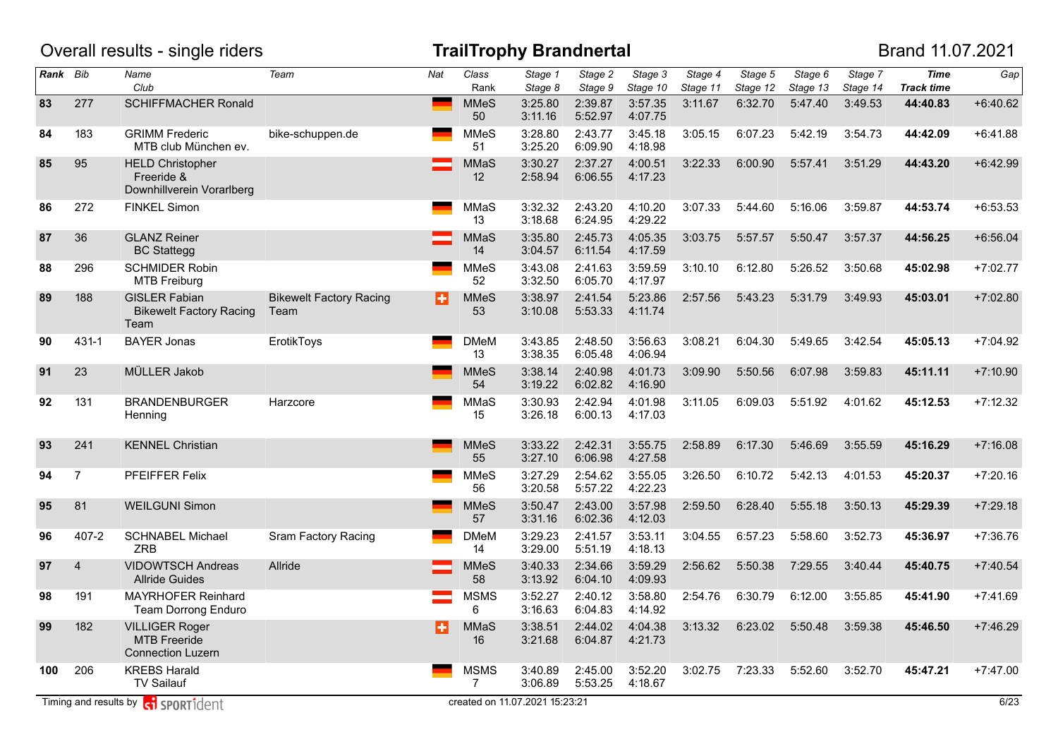|          |                | Overall results - single riders                                          |                                        |     |                               | <b>TrailTrophy Brandnertal</b> |                    |                     |                     |                     |                     |                     | Brand 11.07.2021                 |            |
|----------|----------------|--------------------------------------------------------------------------|----------------------------------------|-----|-------------------------------|--------------------------------|--------------------|---------------------|---------------------|---------------------|---------------------|---------------------|----------------------------------|------------|
| Rank Bib |                | Name<br>Club                                                             | Team                                   | Nat | Class<br>Rank                 | Stage 1<br>Stage 8             | Stage 2<br>Stage 9 | Stage 3<br>Stage 10 | Stage 4<br>Stage 11 | Stage 5<br>Stage 12 | Stage 6<br>Stage 13 | Stage 7<br>Stage 14 | <b>Time</b><br><b>Track time</b> | Gap        |
| 83       | 277            | <b>SCHIFFMACHER Ronald</b>                                               |                                        |     | <b>MMeS</b><br>50             | 3:25.80<br>3:11.16             | 2:39.87<br>5:52.97 | 3:57.35<br>4:07.75  | 3:11.67             | 6:32.70             | 5:47.40             | 3:49.53             | 44:40.83                         | $+6:40.62$ |
| 84       | 183            | <b>GRIMM Frederic</b><br>MTB club München ev.                            | bike-schuppen.de                       |     | <b>MMeS</b><br>51             | 3:28.80<br>3:25.20             | 2:43.77<br>6:09.90 | 3:45.18<br>4:18.98  | 3:05.15             | 6:07.23             | 5:42.19             | 3:54.73             | 44:42.09                         | $+6:41.88$ |
| 85       | 95             | <b>HELD Christopher</b><br>Freeride &<br>Downhillverein Vorarlberg       |                                        |     | <b>MMaS</b><br>12             | 3:30.27<br>2:58.94             | 2:37.27<br>6:06.55 | 4:00.51<br>4:17.23  | 3:22.33             | 6:00.90             | 5:57.41             | 3:51.29             | 44:43.20                         | $+6:42.99$ |
| 86       | 272            | <b>FINKEL Simon</b>                                                      |                                        |     | MMaS<br>13                    | 3:32.32<br>3:18.68             | 2:43.20<br>6:24.95 | 4:10.20<br>4:29.22  | 3:07.33             | 5:44.60             | 5:16.06             | 3:59.87             | 44:53.74                         | $+6:53.53$ |
| 87       | 36             | <b>GLANZ Reiner</b><br><b>BC Stattegg</b>                                |                                        |     | <b>MMaS</b><br>14             | 3:35.80<br>3:04.57             | 2:45.73<br>6:11.54 | 4:05.35<br>4:17.59  | 3:03.75             | 5:57.57             | 5:50.47             | 3:57.37             | 44:56.25                         | $+6:56.04$ |
| 88       | 296            | <b>SCHMIDER Robin</b><br><b>MTB Freiburg</b>                             |                                        |     | <b>MMeS</b><br>52             | 3:43.08<br>3:32.50             | 2:41.63<br>6:05.70 | 3:59.59<br>4:17.97  | 3:10.10             | 6:12.80             | 5:26.52             | 3:50.68             | 45:02.98                         | $+7:02.77$ |
| 89       | 188            | <b>GISLER Fabian</b><br><b>Bikewelt Factory Racing</b><br>Team           | <b>Bikewelt Factory Racing</b><br>Team | Ð   | <b>MMeS</b><br>53             | 3:38.97<br>3:10.08             | 2:41.54<br>5:53.33 | 5:23.86<br>4:11.74  | 2:57.56             | 5:43.23             | 5:31.79             | 3:49.93             | 45:03.01                         | $+7:02.80$ |
| 90       | 431-1          | <b>BAYER Jonas</b>                                                       | ErotikToys                             |     | <b>DMeM</b><br>13             | 3:43.85<br>3:38.35             | 2:48.50<br>6:05.48 | 3:56.63<br>4:06.94  | 3:08.21             | 6:04.30             | 5:49.65             | 3:42.54             | 45:05.13                         | $+7:04.92$ |
| 91       | 23             | MÜLLER Jakob                                                             |                                        |     | <b>MMeS</b><br>54             | 3:38.14<br>3:19.22             | 2:40.98<br>6:02.82 | 4:01.73<br>4:16.90  | 3:09.90             | 5:50.56             | 6:07.98             | 3:59.83             | 45:11.11                         | $+7:10.90$ |
| 92       | 131            | <b>BRANDENBURGER</b><br>Henning                                          | Harzcore                               |     | MMaS<br>15                    | 3:30.93<br>3:26.18             | 2:42.94<br>6:00.13 | 4:01.98<br>4:17.03  | 3:11.05             | 6:09.03             | 5:51.92             | 4:01.62             | 45:12.53                         | $+7:12.32$ |
| 93       | 241            | <b>KENNEL Christian</b>                                                  |                                        |     | <b>MMeS</b><br>55             | 3:33.22<br>3:27.10             | 2:42.31<br>6:06.98 | 3:55.75<br>4:27.58  | 2:58.89             | 6:17.30             | 5:46.69             | 3:55.59             | 45:16.29                         | $+7:16.08$ |
| 94       | $\overline{7}$ | PFEIFFER Felix                                                           |                                        |     | <b>MMeS</b><br>56             | 3:27.29<br>3:20.58             | 2:54.62<br>5:57.22 | 3:55.05<br>4:22.23  | 3:26.50             | 6:10.72             | 5:42.13             | 4:01.53             | 45:20.37                         | $+7:20.16$ |
| 95       | 81             | <b>WEILGUNI Simon</b>                                                    |                                        |     | <b>MMeS</b><br>57             | 3:50.47<br>3:31.16             | 2:43.00<br>6:02.36 | 3:57.98<br>4:12.03  | 2:59.50             | 6:28.40             | 5:55.18             | 3:50.13             | 45:29.39                         | $+7:29.18$ |
| 96       | 407-2          | <b>SCHNABEL Michael</b><br><b>ZRB</b>                                    | Sram Factory Racing                    |     | <b>DMeM</b><br>14             | 3:29.23<br>3:29.00             | 2:41.57<br>5:51.19 | 3:53.11<br>4:18.13  | 3:04.55             | 6:57.23             | 5:58.60             | 3:52.73             | 45:36.97                         | $+7:36.76$ |
| 97       | $\overline{4}$ | <b>VIDOWTSCH Andreas</b><br><b>Allride Guides</b>                        | Allride                                |     | <b>MMeS</b><br>58             | 3:40.33<br>3:13.92             | 2:34.66<br>6:04.10 | 3:59.29<br>4:09.93  | 2:56.62             | 5:50.38             | 7:29.55             | 3:40.44             | 45:40.75                         | $+7:40.54$ |
| 98       | 191            | <b>MAYRHOFER Reinhard</b><br>Team Dorrong Enduro                         |                                        |     | <b>MSMS</b><br>6              | 3:52.27<br>3:16.63             | 2:40.12<br>6:04.83 | 3:58.80<br>4:14.92  | 2:54.76             | 6:30.79             | 6:12.00             | 3:55.85             | 45:41.90                         | $+7:41.69$ |
| 99       | 182            | <b>VILLIGER Roger</b><br><b>MTB Freeride</b><br><b>Connection Luzern</b> |                                        | ш   | <b>MMaS</b><br>16             | 3:38.51<br>3:21.68             | 2:44.02<br>6:04.87 | 4:04.38<br>4:21.73  | 3:13.32             | 6:23.02             | 5:50.48             | 3:59.38             | 45:46.50                         | $+7:46.29$ |
| 100      | 206            | <b>KREBS Harald</b><br>TV Sailauf                                        |                                        |     | <b>MSMS</b><br>$\overline{7}$ | 3:40.89<br>3:06.89             | 2:45.00<br>5:53.25 | 3:52.20<br>4:18.67  | 3:02.75             | 7:23.33             | 5:52.60             | 3:52.70             | 45:47.21                         | $+7:47.00$ |
|          |                | Timing and results by <b>c</b> operation                                 |                                        |     |                               | created on 11.07.2021 15:23:21 |                    |                     |                     |                     |                     |                     |                                  | 6/23       |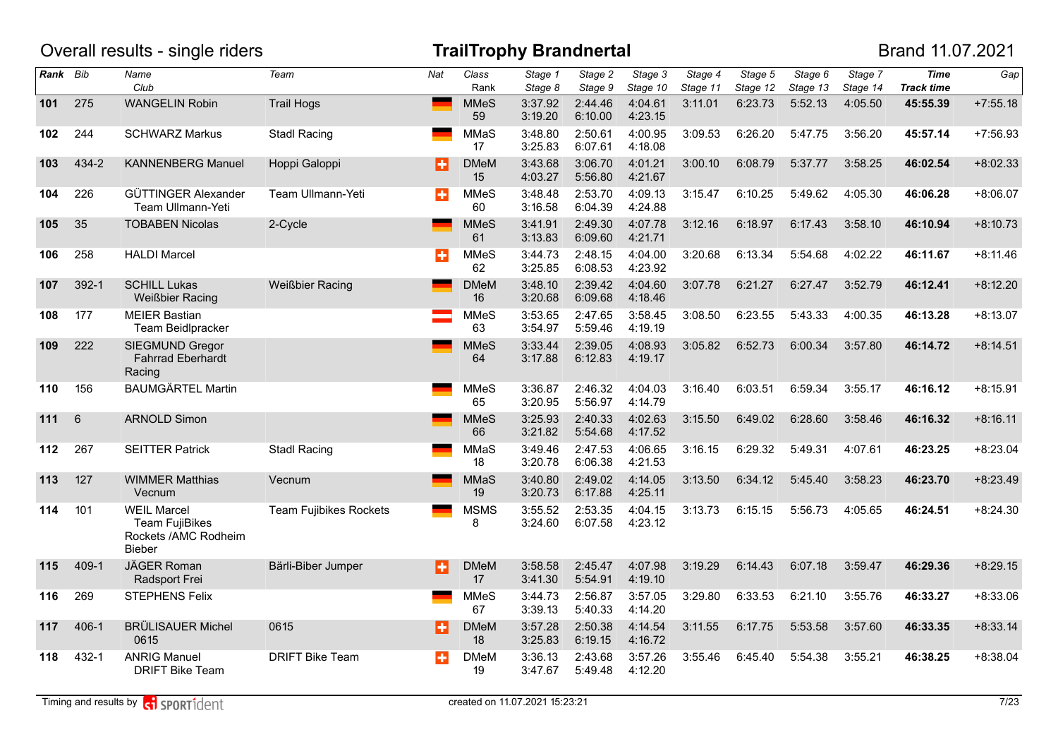|          |           | Overall results - single riders                                                      |                               |     |                   | <b>TrailTrophy Brandnertal</b> |                    |                     |                     |                     |                     |                     | Brand 11.07.2021                 |            |
|----------|-----------|--------------------------------------------------------------------------------------|-------------------------------|-----|-------------------|--------------------------------|--------------------|---------------------|---------------------|---------------------|---------------------|---------------------|----------------------------------|------------|
| Rank Bib |           | Name<br>Club                                                                         | Team                          | Nat | Class<br>Rank     | Stage 1<br>Stage 8             | Stage 2<br>Stage 9 | Stage 3<br>Stage 10 | Stage 4<br>Stage 11 | Stage 5<br>Stage 12 | Stage 6<br>Stage 13 | Stage 7<br>Stage 14 | <b>Time</b><br><b>Track time</b> | Gap        |
| 101      | 275       | <b>WANGELIN Robin</b>                                                                | <b>Trail Hogs</b>             |     | <b>MMeS</b><br>59 | 3:37.92<br>3:19.20             | 2:44.46<br>6:10.00 | 4:04.61<br>4:23.15  | 3:11.01             | 6:23.73             | 5:52.13             | 4:05.50             | 45:55.39                         | $+7:55.18$ |
| 102      | 244       | <b>SCHWARZ Markus</b>                                                                | <b>Stadl Racing</b>           |     | MMaS<br>17        | 3:48.80<br>3:25.83             | 2:50.61<br>6:07.61 | 4:00.95<br>4:18.08  | 3:09.53             | 6:26.20             | 5:47.75             | 3:56.20             | 45:57.14                         | $+7:56.93$ |
| 103      | 434-2     | <b>KANNENBERG Manuel</b>                                                             | Hoppi Galoppi                 | Ð   | <b>DMeM</b><br>15 | 3:43.68<br>4:03.27             | 3:06.70<br>5:56.80 | 4:01.21<br>4:21.67  | 3:00.10             | 6:08.79             | 5:37.77             | 3:58.25             | 46:02.54                         | $+8:02.33$ |
| 104      | 226       | GÜTTINGER Alexander<br>Team Ullmann-Yeti                                             | Team Ullmann-Yeti             | ÷   | <b>MMeS</b><br>60 | 3:48.48<br>3:16.58             | 2:53.70<br>6:04.39 | 4:09.13<br>4:24.88  | 3:15.47             | 6:10.25             | 5:49.62             | 4:05.30             | 46:06.28                         | $+8:06.07$ |
| 105      | 35        | <b>TOBABEN Nicolas</b>                                                               | 2-Cycle                       |     | <b>MMeS</b><br>61 | 3:41.91<br>3:13.83             | 2:49.30<br>6:09.60 | 4:07.78<br>4:21.71  | 3:12.16             | 6:18.97             | 6:17.43             | 3:58.10             | 46:10.94                         | $+8:10.73$ |
| 106      | 258       | <b>HALDI Marcel</b>                                                                  |                               | Н   | <b>MMeS</b><br>62 | 3:44.73<br>3:25.85             | 2:48.15<br>6:08.53 | 4:04.00<br>4:23.92  | 3:20.68             | 6:13.34             | 5:54.68             | 4:02.22             | 46:11.67                         | $+8:11.46$ |
| 107      | 392-1     | <b>SCHILL Lukas</b><br><b>Weißbier Racing</b>                                        | <b>Weißbier Racing</b>        |     | <b>DMeM</b><br>16 | 3:48.10<br>3:20.68             | 2:39.42<br>6:09.68 | 4:04.60<br>4:18.46  | 3:07.78             | 6:21.27             | 6:27.47             | 3:52.79             | 46:12.41                         | $+8:12.20$ |
| 108      | 177       | <b>MEIER Bastian</b><br>Team Beidlpracker                                            |                               |     | <b>MMeS</b><br>63 | 3:53.65<br>3:54.97             | 2:47.65<br>5:59.46 | 3:58.45<br>4:19.19  | 3:08.50             | 6:23.55             | 5:43.33             | 4:00.35             | 46:13.28                         | $+8:13.07$ |
| 109      | 222       | <b>SIEGMUND Gregor</b><br><b>Fahrrad Eberhardt</b><br>Racing                         |                               |     | <b>MMeS</b><br>64 | 3:33.44<br>3:17.88             | 2:39.05<br>6:12.83 | 4:08.93<br>4:19.17  | 3:05.82             | 6:52.73             | 6:00.34             | 3:57.80             | 46:14.72                         | $+8:14.51$ |
| 110      | 156       | <b>BAUMGÄRTEL Martin</b>                                                             |                               |     | <b>MMeS</b><br>65 | 3:36.87<br>3:20.95             | 2:46.32<br>5:56.97 | 4:04.03<br>4:14.79  | 3:16.40             | 6:03.51             | 6:59.34             | 3:55.17             | 46:16.12                         | $+8:15.91$ |
| 111      | 6         | <b>ARNOLD Simon</b>                                                                  |                               |     | <b>MMeS</b><br>66 | 3:25.93<br>3:21.82             | 2:40.33<br>5:54.68 | 4:02.63<br>4:17.52  | 3:15.50             | 6:49.02             | 6:28.60             | 3:58.46             | 46:16.32                         | $+8:16.11$ |
| 112      | 267       | <b>SEITTER Patrick</b>                                                               | <b>Stadl Racing</b>           |     | MMaS<br>18        | 3:49.46<br>3:20.78             | 2:47.53<br>6:06.38 | 4:06.65<br>4:21.53  | 3:16.15             | 6:29.32             | 5:49.31             | 4:07.61             | 46:23.25                         | $+8:23.04$ |
| 113      | 127       | <b>WIMMER Matthias</b><br>Vecnum                                                     | Vecnum                        |     | <b>MMaS</b><br>19 | 3:40.80<br>3:20.73             | 2:49.02<br>6:17.88 | 4:14.05<br>4:25.11  | 3:13.50             | 6:34.12             | 5:45.40             | 3:58.23             | 46:23.70                         | $+8:23.49$ |
| 114      | 101       | <b>WEIL Marcel</b><br><b>Team FujiBikes</b><br>Rockets /AMC Rodheim<br><b>Bieber</b> | <b>Team Fujibikes Rockets</b> |     | <b>MSMS</b><br>8  | 3:55.52<br>3:24.60             | 2:53.35<br>6:07.58 | 4:04.15<br>4:23.12  | 3:13.73             | 6:15.15             | 5:56.73             | 4:05.65             | 46:24.51                         | $+8:24.30$ |
| 115      | 409-1     | JÄGER Roman<br>Radsport Frei                                                         | Bärli-Biber Jumper            | H   | <b>DMeM</b><br>17 | 3:58.58<br>3:41.30             | 2:45.47<br>5:54.91 | 4:07.98<br>4:19.10  | 3:19.29             | 6:14.43             | 6:07.18             | 3:59.47             | 46:29.36                         | $+8:29.15$ |
| 116      | 269       | <b>STEPHENS Felix</b>                                                                |                               |     | <b>MMeS</b><br>67 | 3:44.73<br>3:39.13             | 2:56.87<br>5:40.33 | 3:57.05<br>4:14.20  | 3:29.80             | 6:33.53             | 6:21.10             | 3:55.76             | 46:33.27                         | $+8:33.06$ |
| 117      | $406 - 1$ | <b>BRÜLISAUER Michel</b><br>0615                                                     | 0615                          | Ð   | <b>DMeM</b><br>18 | 3:57.28<br>3:25.83             | 2:50.38<br>6:19.15 | 4:14.54<br>4:16.72  | 3:11.55             | 6:17.75             | 5:53.58             | 3:57.60             | 46:33.35                         | $+8:33.14$ |
| 118      | 432-1     | <b>ANRIG Manuel</b><br><b>DRIFT Bike Team</b>                                        | <b>DRIFT Bike Team</b>        | ÷   | <b>DMeM</b><br>19 | 3:36.13<br>3:47.67             | 2:43.68<br>5:49.48 | 3:57.26<br>4:12.20  | 3:55.46             | 6:45.40             | 5:54.38             | 3:55.21             | 46:38.25                         | $+8:38.04$ |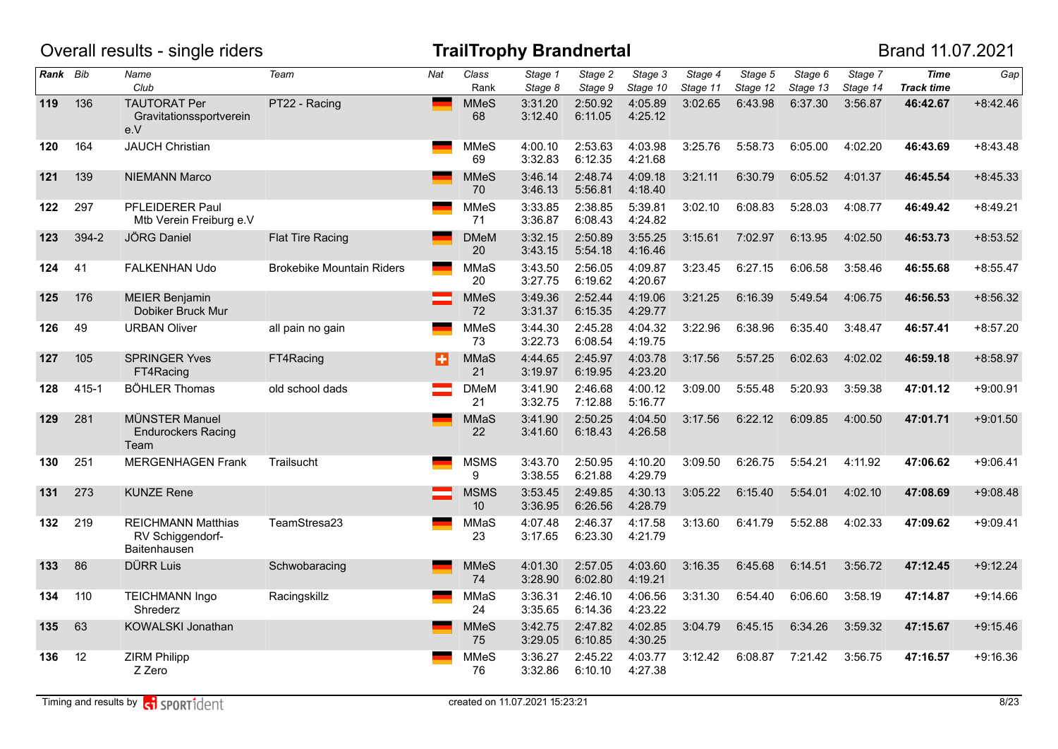|          |           | Overall results - single riders                               |                                  |                 |                                | <b>TrailTrophy Brandnertal</b> |                    |                     |                     |                     |                     |                     | Brand 11.07.2021                 |            |
|----------|-----------|---------------------------------------------------------------|----------------------------------|-----------------|--------------------------------|--------------------------------|--------------------|---------------------|---------------------|---------------------|---------------------|---------------------|----------------------------------|------------|
| Rank Bib |           | Name<br>Club                                                  | Team                             | Nat             | Class<br>Rank                  | Stage 1<br>Stage 8             | Stage 2<br>Stage 9 | Stage 3<br>Stage 10 | Stage 4<br>Stage 11 | Stage 5<br>Stage 12 | Stage 6<br>Stage 13 | Stage 7<br>Stage 14 | <b>Time</b><br><b>Track time</b> | Gap        |
| 119      | 136       | <b>TAUTORAT Per</b><br>Gravitationssportverein<br>e.V         | PT22 - Racing                    | <b>Contract</b> | <b>MMeS</b><br>68              | 3:31.20<br>3:12.40             | 2:50.92<br>6:11.05 | 4:05.89<br>4:25.12  | 3:02.65             | 6:43.98             | 6:37.30             | 3:56.87             | 46:42.67                         | $+8:42.46$ |
| 120      | 164       | <b>JAUCH Christian</b>                                        |                                  |                 | <b>MMeS</b><br>69              | 4:00.10<br>3:32.83             | 2:53.63<br>6:12.35 | 4:03.98<br>4:21.68  | 3:25.76             | 5:58.73             | 6:05.00             | 4:02.20             | 46:43.69                         | $+8:43.48$ |
| 121      | 139       | <b>NIEMANN Marco</b>                                          |                                  |                 | <b>MMeS</b><br>70              | 3:46.14<br>3:46.13             | 2:48.74<br>5:56.81 | 4:09.18<br>4:18.40  | 3:21.11             | 6:30.79             | 6:05.52             | 4:01.37             | 46:45.54                         | $+8:45.33$ |
| 122      | 297       | PFLEIDERER Paul<br>Mtb Verein Freiburg e.V                    |                                  |                 | <b>MMeS</b><br>71              | 3:33.85<br>3:36.87             | 2:38.85<br>6:08.43 | 5:39.81<br>4:24.82  | 3:02.10             | 6:08.83             | 5:28.03             | 4:08.77             | 46:49.42                         | $+8:49.21$ |
| 123      | 394-2     | <b>JÖRG Daniel</b>                                            | Flat Tire Racing                 |                 | <b>DMeM</b><br>20              | 3:32.15<br>3:43.15             | 2:50.89<br>5:54.18 | 3:55.25<br>4:16.46  | 3:15.61             | 7:02.97             | 6:13.95             | 4:02.50             | 46:53.73                         | $+8:53.52$ |
| 124      | 41        | FALKENHAN Udo                                                 | <b>Brokebike Mountain Riders</b> |                 | MMaS<br>20                     | 3:43.50<br>3:27.75             | 2:56.05<br>6:19.62 | 4:09.87<br>4:20.67  | 3:23.45             | 6:27.15             | 6:06.58             | 3:58.46             | 46:55.68                         | $+8:55.47$ |
| 125      | 176       | <b>MEIER Benjamin</b><br>Dobiker Bruck Mur                    |                                  |                 | <b>MMeS</b><br>72              | 3:49.36<br>3:31.37             | 2:52.44<br>6:15.35 | 4:19.06<br>4:29.77  | 3:21.25             | 6:16.39             | 5:49.54             | 4:06.75             | 46:56.53                         | $+8:56.32$ |
| 126      | 49        | <b>URBAN Oliver</b>                                           | all pain no gain                 |                 | <b>MMeS</b><br>73              | 3:44.30<br>3:22.73             | 2:45.28<br>6:08.54 | 4:04.32<br>4:19.75  | 3:22.96             | 6:38.96             | 6:35.40             | 3:48.47             | 46:57.41                         | $+8:57.20$ |
| 127      | 105       | <b>SPRINGER Yves</b><br>FT4Racing                             | FT4Racing                        | Ð               | <b>MMaS</b><br>21              | 4:44.65<br>3:19.97             | 2:45.97<br>6:19.95 | 4:03.78<br>4:23.20  | 3:17.56             | 5:57.25             | 6:02.63             | 4:02.02             | 46:59.18                         | $+8:58.97$ |
| 128      | $415 - 1$ | <b>BÖHLER Thomas</b>                                          | old school dads                  |                 | <b>DMeM</b><br>21              | 3:41.90<br>3:32.75             | 2:46.68<br>7:12.88 | 4:00.12<br>5:16.77  | 3:09.00             | 5:55.48             | 5:20.93             | 3:59.38             | 47:01.12                         | $+9:00.91$ |
| 129      | 281       | MÜNSTER Manuel<br><b>Endurockers Racing</b><br>Team           |                                  |                 | <b>MMaS</b><br>22              | 3:41.90<br>3:41.60             | 2:50.25<br>6:18.43 | 4:04.50<br>4:26.58  | 3:17.56             | 6:22.12             | 6:09.85             | 4:00.50             | 47:01.71                         | $+9:01.50$ |
| 130      | 251       | <b>MERGENHAGEN Frank</b>                                      | Trailsucht                       |                 | <b>MSMS</b><br>9               | 3:43.70<br>3:38.55             | 2:50.95<br>6:21.88 | 4:10.20<br>4:29.79  | 3:09.50             | 6:26.75             | 5:54.21             | 4:11.92             | 47:06.62                         | $+9:06.41$ |
| 131      | 273       | <b>KUNZE Rene</b>                                             |                                  |                 | <b>MSMS</b><br>10 <sup>°</sup> | 3:53.45<br>3:36.95             | 2:49.85<br>6:26.56 | 4:30.13<br>4:28.79  | 3:05.22             | 6:15.40             | 5:54.01             | 4:02.10             | 47:08.69                         | $+9:08.48$ |
| 132      | 219       | <b>REICHMANN Matthias</b><br>RV Schiggendorf-<br>Baitenhausen | TeamStresa23                     |                 | MMaS<br>23                     | 4:07.48<br>3:17.65             | 2:46.37<br>6:23.30 | 4:17.58<br>4:21.79  | 3:13.60             | 6:41.79             | 5:52.88             | 4:02.33             | 47:09.62                         | $+9:09.41$ |
| 133      | 86        | <b>DÜRR Luis</b>                                              | Schwobaracing                    |                 | <b>MMeS</b><br>74              | 4:01.30<br>3:28.90             | 2:57.05<br>6:02.80 | 4:03.60<br>4:19.21  | 3:16.35             | 6:45.68             | 6:14.51             | 3:56.72             | 47:12.45                         | $+9:12.24$ |
| 134      | 110       | <b>TEICHMANN Ingo</b><br>Shrederz                             | Racingskillz                     |                 | <b>MMaS</b><br>24              | 3:36.31<br>3:35.65             | 2:46.10<br>6:14.36 | 4:06.56<br>4:23.22  | 3:31.30             | 6:54.40             | 6:06.60             | 3:58.19             | 47:14.87                         | $+9:14.66$ |
| 135      | 63        | KOWALSKI Jonathan                                             |                                  |                 | <b>MMeS</b><br>75              | 3:42.75<br>3:29.05             | 2:47.82<br>6:10.85 | 4:02.85<br>4:30.25  | 3:04.79             | 6:45.15             | 6:34.26             | 3:59.32             | 47:15.67                         | $+9:15.46$ |
| 136      | 12        | <b>ZIRM Philipp</b><br>Z Zero                                 |                                  |                 | <b>MMeS</b><br>76              | 3:36.27<br>3:32.86             | 2:45.22<br>6:10.10 | 4:03.77<br>4:27.38  | 3:12.42             | 6:08.87             | 7:21.42             | 3:56.75             | 47:16.57                         | $+9:16.36$ |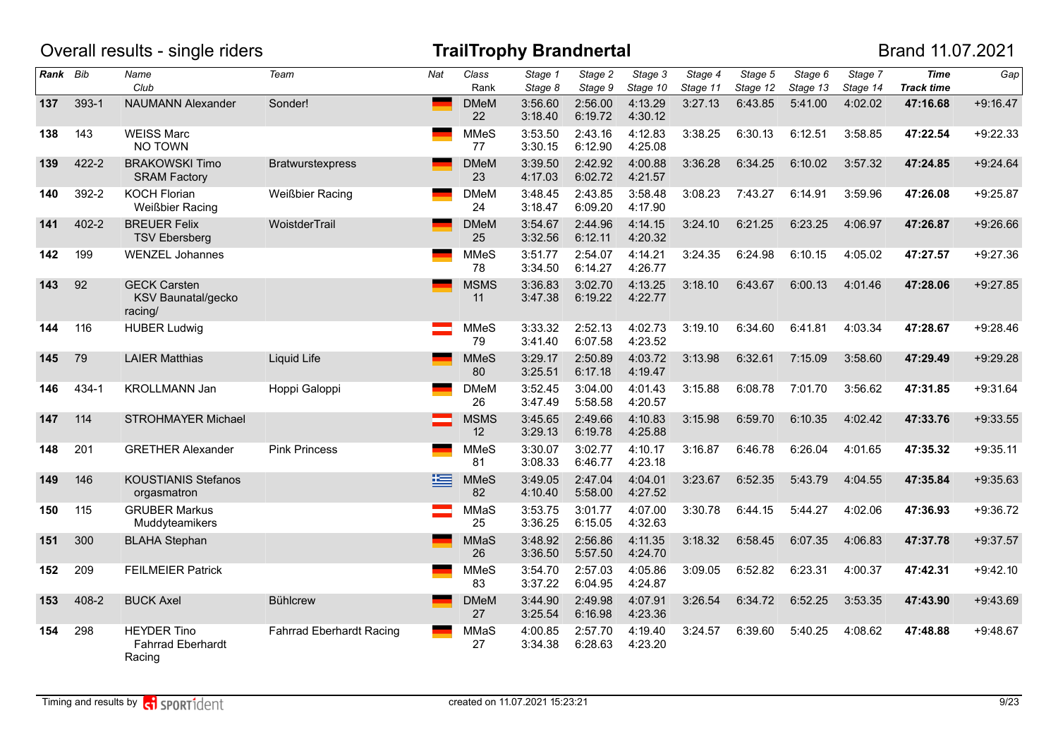|          |           | Overall results - single riders                          |                                 |     |                   | <b>TrailTrophy Brandnertal</b> |                    |                     |                     |                     |                     |                     | Brand 11.07.2021                 |            |
|----------|-----------|----------------------------------------------------------|---------------------------------|-----|-------------------|--------------------------------|--------------------|---------------------|---------------------|---------------------|---------------------|---------------------|----------------------------------|------------|
| Rank Bib |           | Name<br>Club                                             | Team                            | Nat | Class<br>Rank     | Stage 1<br>Stage 8             | Stage 2<br>Stage 9 | Stage 3<br>Stage 10 | Stage 4<br>Stage 11 | Stage 5<br>Stage 12 | Stage 6<br>Stage 13 | Stage 7<br>Stage 14 | <b>Time</b><br><b>Track time</b> | Gap        |
| 137      | $393 - 1$ | <b>NAUMANN Alexander</b>                                 | Sonder!                         |     | <b>DMeM</b><br>22 | 3:56.60<br>3:18.40             | 2:56.00<br>6:19.72 | 4:13.29<br>4:30.12  | 3:27.13             | 6:43.85             | 5:41.00             | 4:02.02             | 47:16.68                         | $+9:16.47$ |
| 138      | 143       | <b>WEISS Marc</b><br>NO TOWN                             |                                 |     | <b>MMeS</b><br>77 | 3:53.50<br>3:30.15             | 2:43.16<br>6:12.90 | 4:12.83<br>4:25.08  | 3:38.25             | 6:30.13             | 6:12.51             | 3:58.85             | 47:22.54                         | $+9:22.33$ |
| 139      | 422-2     | <b>BRAKOWSKI Timo</b><br><b>SRAM Factory</b>             | <b>Bratwurstexpress</b>         |     | <b>DMeM</b><br>23 | 3:39.50<br>4:17.03             | 2:42.92<br>6:02.72 | 4:00.88<br>4:21.57  | 3:36.28             | 6:34.25             | 6:10.02             | 3:57.32             | 47:24.85                         | $+9:24.64$ |
| 140      | 392-2     | <b>KOCH Florian</b><br><b>Weißbier Racing</b>            | <b>Weißbier Racing</b>          |     | <b>DMeM</b><br>24 | 3:48.45<br>3:18.47             | 2:43.85<br>6:09.20 | 3:58.48<br>4:17.90  | 3:08.23             | 7:43.27             | 6:14.91             | 3:59.96             | 47:26.08                         | $+9:25.87$ |
| 141      | 402-2     | <b>BREUER Felix</b><br><b>TSV Ebersberg</b>              | WoistderTrail                   |     | <b>DMeM</b><br>25 | 3:54.67<br>3:32.56             | 2:44.96<br>6:12.11 | 4:14.15<br>4:20.32  | 3:24.10             | 6:21.25             | 6:23.25             | 4:06.97             | 47:26.87                         | $+9:26.66$ |
| 142      | 199       | <b>WENZEL Johannes</b>                                   |                                 |     | <b>MMeS</b><br>78 | 3:51.77<br>3:34.50             | 2:54.07<br>6:14.27 | 4:14.21<br>4:26.77  | 3:24.35             | 6:24.98             | 6:10.15             | 4:05.02             | 47:27.57                         | $+9:27.36$ |
| 143      | 92        | <b>GECK Carsten</b><br>KSV Baunatal/gecko<br>racing/     |                                 |     | <b>MSMS</b><br>11 | 3:36.83<br>3:47.38             | 3:02.70<br>6:19.22 | 4:13.25<br>4:22.77  | 3:18.10             | 6:43.67             | 6:00.13             | 4:01.46             | 47:28.06                         | $+9:27.85$ |
| 144      | 116       | <b>HUBER Ludwig</b>                                      |                                 |     | <b>MMeS</b><br>79 | 3:33.32<br>3:41.40             | 2:52.13<br>6:07.58 | 4:02.73<br>4:23.52  | 3:19.10             | 6:34.60             | 6:41.81             | 4:03.34             | 47:28.67                         | $+9:28.46$ |
| 145      | 79        | <b>LAIER Matthias</b>                                    | <b>Liquid Life</b>              |     | <b>MMeS</b><br>80 | 3:29.17<br>3:25.51             | 2:50.89<br>6:17.18 | 4:03.72<br>4:19.47  | 3:13.98             | 6:32.61             | 7:15.09             | 3:58.60             | 47:29.49                         | $+9:29.28$ |
| 146      | 434-1     | <b>KROLLMANN Jan</b>                                     | Hoppi Galoppi                   |     | <b>DMeM</b><br>26 | 3:52.45<br>3:47.49             | 3:04.00<br>5:58.58 | 4:01.43<br>4:20.57  | 3:15.88             | 6:08.78             | 7:01.70             | 3:56.62             | 47:31.85                         | $+9:31.64$ |
| 147      | 114       | <b>STROHMAYER Michael</b>                                |                                 |     | <b>MSMS</b><br>12 | 3:45.65<br>3:29.13             | 2:49.66<br>6:19.78 | 4:10.83<br>4:25.88  | 3:15.98             | 6:59.70             | 6:10.35             | 4:02.42             | 47:33.76                         | $+9:33.55$ |
| 148      | 201       | <b>GRETHER Alexander</b>                                 | <b>Pink Princess</b>            |     | <b>MMeS</b><br>81 | 3:30.07<br>3:08.33             | 3:02.77<br>6:46.77 | 4:10.17<br>4:23.18  | 3:16.87             | 6:46.78             | 6:26.04             | 4:01.65             | 47:35.32                         | $+9:35.11$ |
| 149      | 146       | <b>KOUSTIANIS Stefanos</b><br>orgasmatron                |                                 | 写   | <b>MMeS</b><br>82 | 3:49.05<br>4:10.40             | 2:47.04<br>5:58.00 | 4:04.01<br>4:27.52  | 3:23.67             | 6:52.35             | 5:43.79             | 4:04.55             | 47:35.84                         | $+9:35.63$ |
| 150      | 115       | <b>GRUBER Markus</b><br>Muddyteamikers                   |                                 |     | MMaS<br>25        | 3:53.75<br>3:36.25             | 3:01.77<br>6:15.05 | 4:07.00<br>4:32.63  | 3:30.78             | 6:44.15             | 5:44.27             | 4:02.06             | 47:36.93                         | $+9:36.72$ |
| 151      | 300       | <b>BLAHA Stephan</b>                                     |                                 |     | <b>MMaS</b><br>26 | 3:48.92<br>3:36.50             | 2:56.86<br>5:57.50 | 4:11.35<br>4:24.70  | 3:18.32             | 6:58.45             | 6:07.35             | 4:06.83             | 47:37.78                         | $+9:37.57$ |
| 152      | 209       | <b>FEILMEIER Patrick</b>                                 |                                 |     | <b>MMeS</b><br>83 | 3:54.70<br>3:37.22             | 2:57.03<br>6:04.95 | 4:05.86<br>4:24.87  | 3:09.05             | 6:52.82             | 6:23.31             | 4:00.37             | 47:42.31                         | $+9:42.10$ |
| 153      | 408-2     | <b>BUCK Axel</b>                                         | <b>Bühlcrew</b>                 |     | <b>DMeM</b><br>27 | 3:44.90<br>3:25.54             | 2:49.98<br>6:16.98 | 4:07.91<br>4:23.36  | 3:26.54             | 6:34.72             | 6:52.25             | 3:53.35             | 47:43.90                         | $+9:43.69$ |
| 154      | 298       | <b>HEYDER Tino</b><br><b>Fahrrad Eberhardt</b><br>Racing | <b>Fahrrad Eberhardt Racing</b> |     | MMaS<br>27        | 4:00.85<br>3:34.38             | 2:57.70<br>6:28.63 | 4:19.40<br>4:23.20  | 3:24.57             | 6:39.60             | 5:40.25             | 4:08.62             | 47:48.88                         | $+9:48.67$ |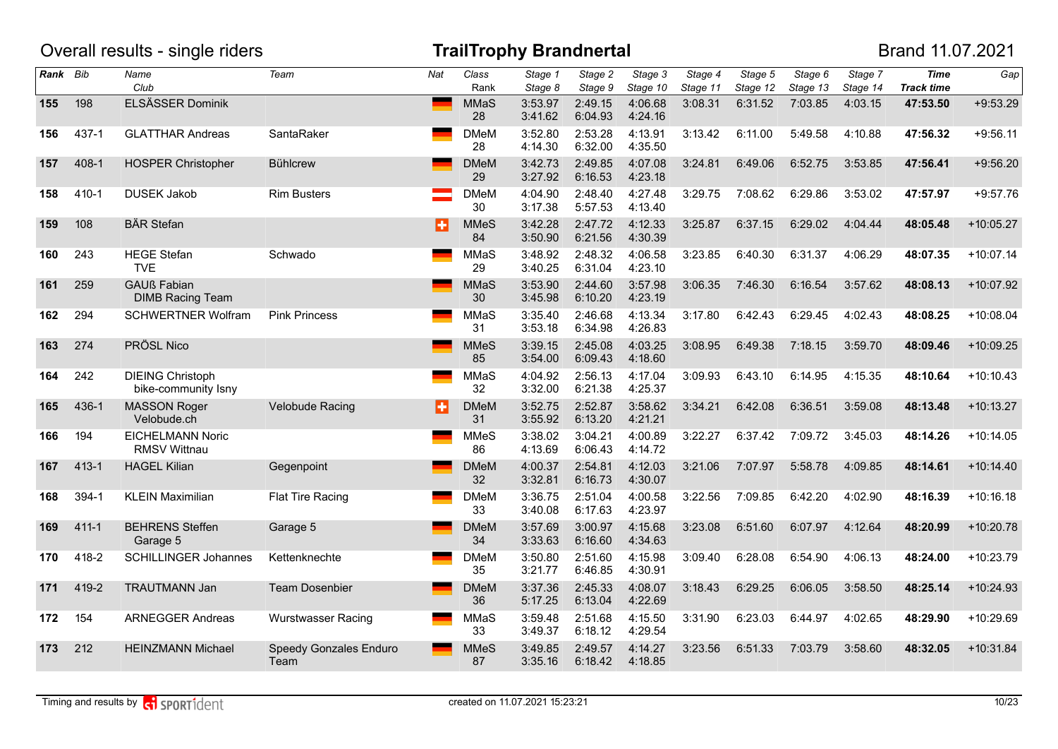|          |           | Overall results - single riders                |                                |     |                   | <b>TrailTrophy Brandnertal</b> |                    |                     |                     |                     |                     |                     | Brand 11.07.2021                 |             |
|----------|-----------|------------------------------------------------|--------------------------------|-----|-------------------|--------------------------------|--------------------|---------------------|---------------------|---------------------|---------------------|---------------------|----------------------------------|-------------|
| Rank Bib |           | Name<br>Club                                   | Team                           | Nat | Class<br>Rank     | Stage 1<br>Stage 8             | Stage 2<br>Stage 9 | Stage 3<br>Stage 10 | Stage 4<br>Stage 11 | Stage 5<br>Stage 12 | Stage 6<br>Stage 13 | Stage 7<br>Stage 14 | <b>Time</b><br><b>Track time</b> | Gap         |
| 155      | 198       | ELSÄSSER Dominik                               |                                |     | MMaS<br>28        | 3:53.97<br>3:41.62             | 2:49.15<br>6:04.93 | 4:06.68<br>4:24.16  | 3:08.31             | 6:31.52             | 7:03.85             | 4:03.15             | 47:53.50                         | $+9:53.29$  |
| 156      | 437-1     | <b>GLATTHAR Andreas</b>                        | SantaRaker                     |     | <b>DMeM</b><br>28 | 3:52.80<br>4:14.30             | 2:53.28<br>6:32.00 | 4:13.91<br>4:35.50  | 3:13.42             | 6:11.00             | 5:49.58             | 4:10.88             | 47:56.32                         | $+9:56.11$  |
| 157      | 408-1     | <b>HOSPER Christopher</b>                      | <b>Bühlcrew</b>                |     | <b>DMeM</b><br>29 | 3:42.73<br>3:27.92             | 2:49.85<br>6:16.53 | 4:07.08<br>4:23.18  | 3:24.81             | 6:49.06             | 6:52.75             | 3:53.85             | 47:56.41                         | $+9:56.20$  |
| 158      | 410-1     | <b>DUSEK Jakob</b>                             | <b>Rim Busters</b>             |     | <b>DMeM</b><br>30 | 4:04.90<br>3:17.38             | 2:48.40<br>5:57.53 | 4:27.48<br>4:13.40  | 3:29.75             | 7:08.62             | 6:29.86             | 3:53.02             | 47:57.97                         | $+9:57.76$  |
| 159      | 108       | <b>BÄR</b> Stefan                              |                                | в   | <b>MMeS</b><br>84 | 3:42.28<br>3:50.90             | 2:47.72<br>6:21.56 | 4:12.33<br>4:30.39  | 3:25.87             | 6:37.15             | 6:29.02             | 4:04.44             | 48:05.48                         | $+10:05.27$ |
| 160      | 243       | <b>HEGE Stefan</b><br><b>TVE</b>               | Schwado                        |     | MMaS<br>29        | 3:48.92<br>3:40.25             | 2:48.32<br>6:31.04 | 4:06.58<br>4:23.10  | 3:23.85             | 6:40.30             | 6:31.37             | 4:06.29             | 48:07.35                         | $+10:07.14$ |
| 161      | 259       | <b>GAUß Fabian</b><br><b>DIMB Racing Team</b>  |                                |     | MMaS<br>30        | 3:53.90<br>3:45.98             | 2:44.60<br>6:10.20 | 3:57.98<br>4:23.19  | 3:06.35             | 7:46.30             | 6:16.54             | 3:57.62             | 48:08.13                         | $+10:07.92$ |
| 162      | 294       | <b>SCHWERTNER Wolfram</b>                      | <b>Pink Princess</b>           |     | <b>MMaS</b><br>31 | 3:35.40<br>3:53.18             | 2:46.68<br>6:34.98 | 4:13.34<br>4:26.83  | 3:17.80             | 6:42.43             | 6:29.45             | 4:02.43             | 48:08.25                         | $+10:08.04$ |
| 163      | 274       | PRÖSL Nico                                     |                                |     | <b>MMeS</b><br>85 | 3:39.15<br>3:54.00             | 2:45.08<br>6:09.43 | 4:03.25<br>4:18.60  | 3:08.95             | 6:49.38             | 7:18.15             | 3:59.70             | 48:09.46                         | $+10:09.25$ |
| 164      | 242       | <b>DIEING Christoph</b><br>bike-community Isny |                                |     | MMaS<br>32        | 4:04.92<br>3:32.00             | 2:56.13<br>6:21.38 | 4:17.04<br>4:25.37  | 3:09.93             | 6:43.10             | 6:14.95             | 4:15.35             | 48:10.64                         | $+10:10.43$ |
| 165      | 436-1     | <b>MASSON Roger</b><br>Velobude.ch             | Velobude Racing                | H   | <b>DMeM</b><br>31 | 3:52.75<br>3:55.92             | 2:52.87<br>6:13.20 | 3:58.62<br>4:21.21  | 3:34.21             | 6:42.08             | 6:36.51             | 3:59.08             | 48:13.48                         | $+10:13.27$ |
| 166      | 194       | <b>EICHELMANN Noric</b><br><b>RMSV Wittnau</b> |                                |     | <b>MMeS</b><br>86 | 3:38.02<br>4:13.69             | 3:04.21<br>6:06.43 | 4:00.89<br>4:14.72  | 3:22.27             | 6:37.42             | 7:09.72             | 3:45.03             | 48:14.26                         | $+10:14.05$ |
| 167      | $413 - 1$ | <b>HAGEL Kilian</b>                            | Gegenpoint                     |     | <b>DMeM</b><br>32 | 4:00.37<br>3:32.81             | 2:54.81<br>6:16.73 | 4:12.03<br>4:30.07  | 3:21.06             | 7:07.97             | 5:58.78             | 4:09.85             | 48:14.61                         | $+10:14.40$ |
| 168      | 394-1     | <b>KLEIN Maximilian</b>                        | Flat Tire Racing               |     | <b>DMeM</b><br>33 | 3:36.75<br>3:40.08             | 2:51.04<br>6:17.63 | 4:00.58<br>4:23.97  | 3:22.56             | 7:09.85             | 6:42.20             | 4:02.90             | 48:16.39                         | $+10:16.18$ |
| 169      | $411 - 1$ | <b>BEHRENS Steffen</b><br>Garage 5             | Garage 5                       |     | <b>DMeM</b><br>34 | 3:57.69<br>3:33.63             | 3:00.97<br>6:16.60 | 4:15.68<br>4:34.63  | 3:23.08             | 6:51.60             | 6:07.97             | 4:12.64             | 48:20.99                         | $+10:20.78$ |
| 170      | 418-2     | <b>SCHILLINGER Johannes</b>                    | Kettenknechte                  |     | <b>DMeM</b><br>35 | 3:50.80<br>3:21.77             | 2:51.60<br>6:46.85 | 4:15.98<br>4:30.91  | 3:09.40             | 6:28.08             | 6:54.90             | 4:06.13             | 48:24.00                         | $+10:23.79$ |
| 171      | 419-2     | <b>TRAUTMANN Jan</b>                           | <b>Team Dosenbier</b>          |     | <b>DMeM</b><br>36 | 3:37.36<br>5:17.25             | 2:45.33<br>6:13.04 | 4:08.07<br>4:22.69  | 3:18.43             | 6:29.25             | 6:06.05             | 3:58.50             | 48:25.14                         | $+10:24.93$ |
| 172      | 154       | <b>ARNEGGER Andreas</b>                        | <b>Wurstwasser Racing</b>      |     | MMaS<br>33        | 3:59.48<br>3:49.37             | 2:51.68<br>6:18.12 | 4:15.50<br>4:29.54  | 3:31.90             | 6:23.03             | 6:44.97             | 4:02.65             | 48:29.90                         | $+10:29.69$ |
| 173      | 212       | <b>HEINZMANN Michael</b>                       | Speedy Gonzales Enduro<br>Team |     | <b>MMeS</b><br>87 | 3:49.85<br>3:35.16             | 2:49.57<br>6:18.42 | 4:14.27<br>4:18.85  | 3:23.56             | 6:51.33             | 7:03.79             | 3:58.60             | 48:32.05                         | $+10:31.84$ |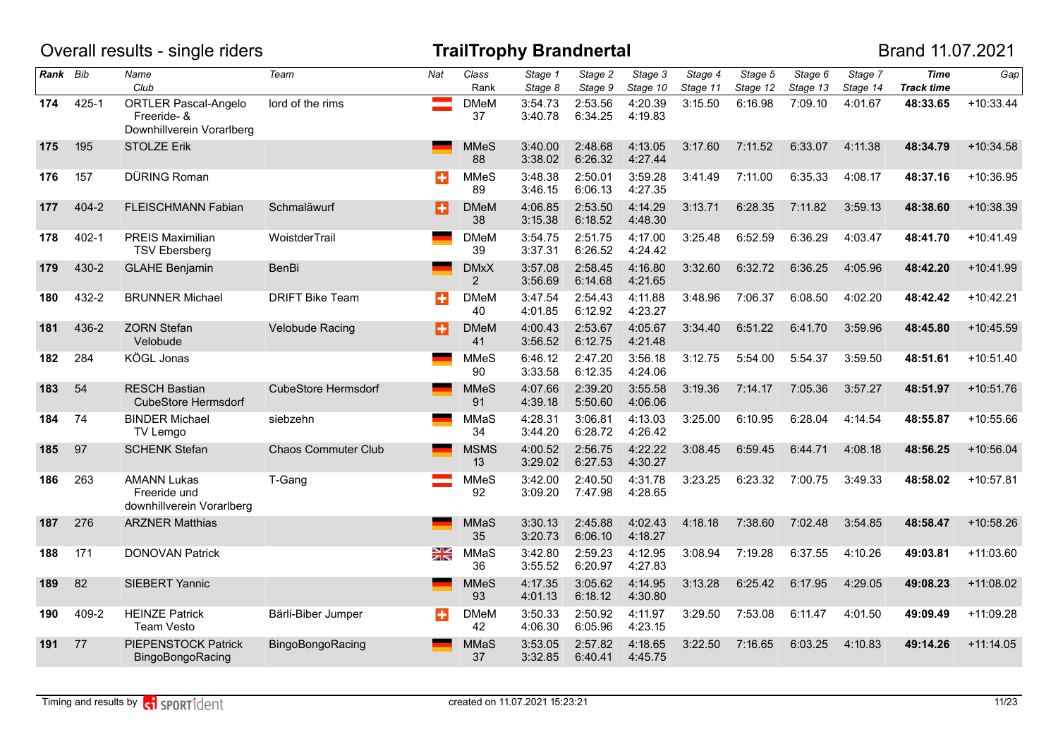|          |           | Overall results - single riders                                         |                            |                         |                               | <b>TrailTrophy Brandnertal</b> |                    |                     |                     |                     |                     |                     | Brand 11.07.2021                 |             |
|----------|-----------|-------------------------------------------------------------------------|----------------------------|-------------------------|-------------------------------|--------------------------------|--------------------|---------------------|---------------------|---------------------|---------------------|---------------------|----------------------------------|-------------|
| Rank Bib |           | Name<br>Club                                                            | Team                       | Nat                     | Class<br>Rank                 | Stage 1<br>Stage 8             | Stage 2<br>Stage 9 | Stage 3<br>Stage 10 | Stage 4<br>Stage 11 | Stage 5<br>Stage 12 | Stage 6<br>Stage 13 | Stage 7<br>Stage 14 | <b>Time</b><br><b>Track time</b> | Gap         |
| 174      | $425 - 1$ | <b>ORTLER Pascal-Angelo</b><br>Freeride- &<br>Downhillverein Vorarlberg | lord of the rims           |                         | <b>DMeM</b><br>37             | 3:54.73<br>3:40.78             | 2:53.56<br>6:34.25 | 4:20.39<br>4:19.83  | 3:15.50             | 6:16.98             | 7:09.10             | 4:01.67             | 48:33.65                         | $+10:33.44$ |
| 175      | 195       | <b>STOLZE Erik</b>                                                      |                            |                         | MMeS<br>88                    | 3:40.00<br>3:38.02             | 2:48.68<br>6:26.32 | 4:13.05<br>4:27.44  | 3:17.60             | 7:11.52             | 6:33.07             | 4:11.38             | 48:34.79                         | $+10:34.58$ |
| 176      | 157       | DÜRING Roman                                                            |                            | ÷                       | <b>MMeS</b><br>89             | 3:48.38<br>3:46.15             | 2:50.01<br>6:06.13 | 3:59.28<br>4:27.35  | 3:41.49             | 7:11.00             | 6:35.33             | 4:08.17             | 48:37.16                         | $+10:36.95$ |
| 177      | 404-2     | FLEISCHMANN Fabian                                                      | Schmaläwurf                | B                       | <b>DMeM</b><br>38             | 4:06.85<br>3:15.38             | 2:53.50<br>6:18.52 | 4:14.29<br>4:48.30  | 3:13.71             | 6:28.35             | 7:11.82             | 3:59.13             | 48:38.60                         | $+10:38.39$ |
| 178      | $402 - 1$ | <b>PREIS Maximilian</b><br><b>TSV Ebersberg</b>                         | WoistderTrail              |                         | <b>DMeM</b><br>39             | 3:54.75<br>3:37.31             | 2:51.75<br>6:26.52 | 4:17.00<br>4:24.42  | 3:25.48             | 6:52.59             | 6:36.29             | 4:03.47             | 48:41.70                         | $+10:41.49$ |
| 179      | 430-2     | <b>GLAHE Benjamin</b>                                                   | <b>BenBi</b>               |                         | <b>DMxX</b><br>$\overline{2}$ | 3:57.08<br>3:56.69             | 2:58.45<br>6:14.68 | 4:16.80<br>4:21.65  | 3:32.60             | 6:32.72             | 6:36.25             | 4:05.96             | 48:42.20                         | $+10:41.99$ |
| 180      | 432-2     | <b>BRUNNER Michael</b>                                                  | <b>DRIFT Bike Team</b>     | ÷                       | <b>DMeM</b><br>40             | 3:47.54<br>4:01.85             | 2:54.43<br>6:12.92 | 4:11.88<br>4:23.27  | 3:48.96             | 7:06.37             | 6:08.50             | 4:02.20             | 48:42.42                         | $+10:42.21$ |
| 181      | 436-2     | <b>ZORN</b> Stefan<br>Velobude                                          | Velobude Racing            | Ð                       | <b>DMeM</b><br>41             | 4:00.43<br>3:56.52             | 2:53.67<br>6:12.75 | 4:05.67<br>4:21.48  | 3:34.40             | 6:51.22             | 6:41.70             | 3:59.96             | 48:45.80                         | $+10:45.59$ |
| 182      | 284       | KÖGL Jonas                                                              |                            |                         | <b>MMeS</b><br>90             | 6:46.12<br>3:33.58             | 2:47.20<br>6:12.35 | 3:56.18<br>4:24.06  | 3:12.75             | 5:54.00             | 5:54.37             | 3:59.50             | 48:51.61                         | $+10:51.40$ |
| 183      | 54        | <b>RESCH Bastian</b><br>CubeStore Hermsdorf                             | <b>CubeStore Hermsdorf</b> |                         | <b>MMeS</b><br>91             | 4:07.66<br>4:39.18             | 2:39.20<br>5:50.60 | 3:55.58<br>4:06.06  | 3:19.36             | 7:14.17             | 7:05.36             | 3:57.27             | 48:51.97                         | $+10:51.76$ |
| 184      | 74        | <b>BINDER Michael</b><br>TV Lemgo                                       | siebzehn                   |                         | MMaS<br>34                    | 4:28.31<br>3:44.20             | 3:06.81<br>6:28.72 | 4:13.03<br>4:26.42  | 3:25.00             | 6:10.95             | 6:28.04             | 4:14.54             | 48:55.87                         | $+10:55.66$ |
| 185      | 97        | <b>SCHENK Stefan</b>                                                    | <b>Chaos Commuter Club</b> |                         | <b>MSMS</b><br>13             | 4:00.52<br>3:29.02             | 2:56.75<br>6:27.53 | 4:22.22<br>4:30.27  | 3:08.45             | 6:59.45             | 6:44.71             | 4:08.18             | 48:56.25                         | $+10:56.04$ |
| 186      | 263       | <b>AMANN Lukas</b><br>Freeride und<br>downhillverein Vorarlberg         | T-Gang                     |                         | <b>MMeS</b><br>92             | 3:42.00<br>3:09.20             | 2:40.50<br>7:47.98 | 4:31.78<br>4:28.65  | 3:23.25             | 6:23.32             | 7:00.75             | 3:49.33             | 48:58.02                         | $+10:57.81$ |
| 187      | 276       | <b>ARZNER Matthias</b>                                                  |                            |                         | <b>MMaS</b><br>35             | 3:30.13<br>3:20.73             | 2:45.88<br>6:06.10 | 4:02.43<br>4:18.27  | 4:18.18             | 7:38.60             | 7:02.48             | 3:54.85             | 48:58.47                         | $+10:58.26$ |
| 188      | 171       | <b>DONOVAN Patrick</b>                                                  |                            | $\frac{\Sigma}{\Sigma}$ | MMaS<br>36                    | 3:42.80<br>3:55.52             | 2:59.23<br>6:20.97 | 4:12.95<br>4:27.83  | 3:08.94             | 7:19.28             | 6:37.55             | 4:10.26             | 49:03.81                         | $+11:03.60$ |
| 189      | 82        | SIEBERT Yannic                                                          |                            |                         | <b>MMeS</b><br>93             | 4:17.35<br>4:01.13             | 3:05.62<br>6:18.12 | 4:14.95<br>4:30.80  | 3:13.28             | 6:25.42             | 6:17.95             | 4:29.05             | 49:08.23                         | $+11:08.02$ |
| 190      | 409-2     | <b>HEINZE Patrick</b><br><b>Team Vesto</b>                              | Bärli-Biber Jumper         | в                       | <b>DMeM</b><br>42             | 3:50.33<br>4:06.30             | 2:50.92<br>6:05.96 | 4:11.97<br>4:23.15  | 3:29.50             | 7:53.08             | 6:11.47             | 4:01.50             | 49:09.49                         | $+11:09.28$ |
| 191      | 77        | PIEPENSTOCK Patrick<br>BingoBongoRacing                                 | BingoBongoRacing           |                         | MMaS<br>37                    | 3:53.05<br>3:32.85             | 2:57.82<br>6:40.41 | 4:18.65<br>4:45.75  | 3:22.50             | 7:16.65             | 6:03.25             | 4:10.83             | 49:14.26                         | $+11:14.05$ |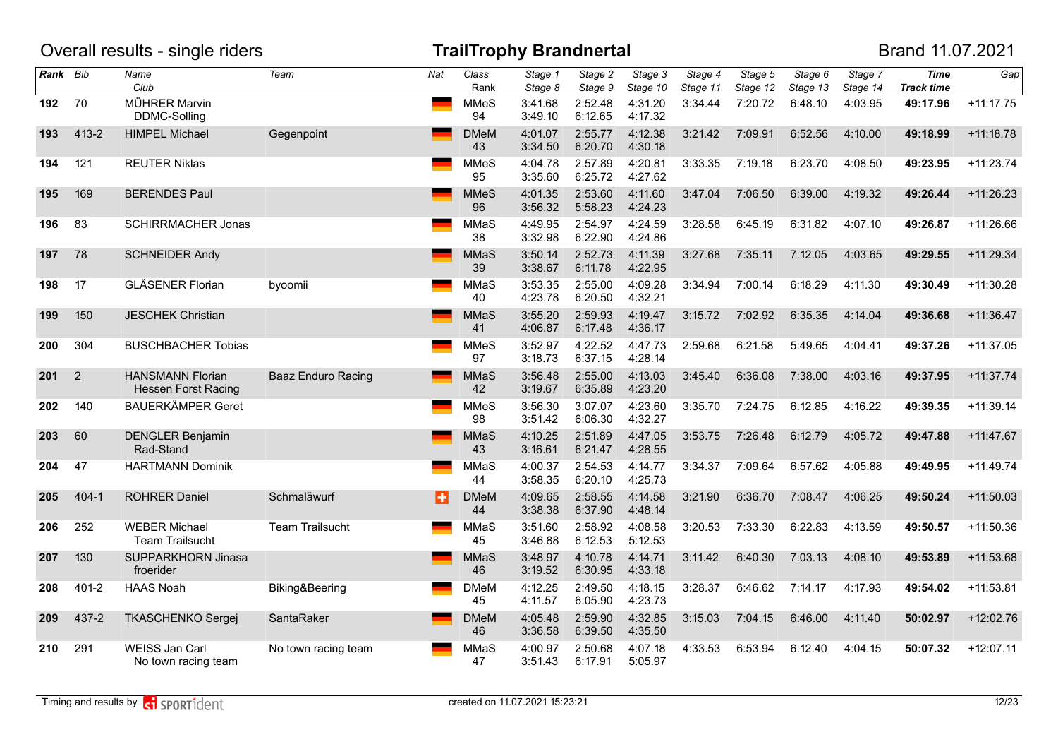|          |                | Overall results - single riders                       |                           |     |                   | <b>TrailTrophy Brandnertal</b> |                    |                     |                     |                     |                     |                     | Brand 11.07.2021                 |             |
|----------|----------------|-------------------------------------------------------|---------------------------|-----|-------------------|--------------------------------|--------------------|---------------------|---------------------|---------------------|---------------------|---------------------|----------------------------------|-------------|
| Rank Bib |                | Name<br>Club                                          | Team                      | Nat | Class<br>Rank     | Stage 1<br>Stage 8             | Stage 2<br>Stage 9 | Stage 3<br>Stage 10 | Stage 4<br>Stage 11 | Stage 5<br>Stage 12 | Stage 6<br>Stage 13 | Stage 7<br>Stage 14 | <b>Time</b><br><b>Track time</b> | Gap         |
| 192      | 70             | MÜHRER Marvin<br>DDMC-Solling                         |                           |     | <b>MMeS</b><br>94 | 3:41.68<br>3:49.10             | 2:52.48<br>6:12.65 | 4:31.20<br>4:17.32  | 3:34.44             | 7:20.72             | 6:48.10             | 4:03.95             | 49:17.96                         | $+11:17.75$ |
| 193      | 413-2          | <b>HIMPEL Michael</b>                                 | Gegenpoint                |     | <b>DMeM</b><br>43 | 4:01.07<br>3:34.50             | 2:55.77<br>6:20.70 | 4:12.38<br>4:30.18  | 3:21.42             | 7:09.91             | 6:52.56             | 4:10.00             | 49:18.99                         | $+11:18.78$ |
| 194      | 121            | <b>REUTER Niklas</b>                                  |                           |     | <b>MMeS</b><br>95 | 4:04.78<br>3:35.60             | 2:57.89<br>6:25.72 | 4:20.81<br>4:27.62  | 3:33.35             | 7:19.18             | 6:23.70             | 4:08.50             | 49:23.95                         | $+11:23.74$ |
| 195      | 169            | <b>BERENDES Paul</b>                                  |                           |     | <b>MMeS</b><br>96 | 4:01.35<br>3:56.32             | 2:53.60<br>5:58.23 | 4:11.60<br>4:24.23  | 3:47.04             | 7:06.50             | 6:39.00             | 4:19.32             | 49:26.44                         | $+11:26.23$ |
| 196      | 83             | <b>SCHIRRMACHER Jonas</b>                             |                           |     | MMaS<br>38        | 4:49.95<br>3:32.98             | 2:54.97<br>6:22.90 | 4:24.59<br>4:24.86  | 3:28.58             | 6:45.19             | 6:31.82             | 4:07.10             | 49:26.87                         | +11:26.66   |
| 197      | 78             | <b>SCHNEIDER Andy</b>                                 |                           |     | <b>MMaS</b><br>39 | 3:50.14<br>3:38.67             | 2:52.73<br>6:11.78 | 4:11.39<br>4:22.95  | 3:27.68             | 7:35.11             | 7:12.05             | 4:03.65             | 49:29.55                         | $+11:29.34$ |
| 198      | 17             | <b>GLÄSENER Florian</b>                               | byoomii                   |     | MMaS<br>40        | 3:53.35<br>4:23.78             | 2:55.00<br>6:20.50 | 4:09.28<br>4:32.21  | 3:34.94             | 7:00.14             | 6:18.29             | 4:11.30             | 49:30.49                         | $+11:30.28$ |
| 199      | 150            | <b>JESCHEK Christian</b>                              |                           |     | <b>MMaS</b><br>41 | 3:55.20<br>4:06.87             | 2:59.93<br>6:17.48 | 4:19.47<br>4:36.17  | 3:15.72             | 7:02.92             | 6:35.35             | 4:14.04             | 49:36.68                         | $+11:36.47$ |
| 200      | 304            | <b>BUSCHBACHER Tobias</b>                             |                           |     | <b>MMeS</b><br>97 | 3:52.97<br>3:18.73             | 4:22.52<br>6:37.15 | 4:47.73<br>4:28.14  | 2:59.68             | 6:21.58             | 5:49.65             | 4:04.41             | 49:37.26                         | $+11:37.05$ |
| 201      | $\overline{2}$ | <b>HANSMANN Florian</b><br><b>Hessen Forst Racing</b> | <b>Baaz Enduro Racing</b> |     | <b>MMaS</b><br>42 | 3:56.48<br>3:19.67             | 2:55.00<br>6:35.89 | 4:13.03<br>4:23.20  | 3:45.40             | 6:36.08             | 7:38.00             | 4:03.16             | 49:37.95                         | $+11:37.74$ |
| 202      | 140            | <b>BAUERKÄMPER Geret</b>                              |                           |     | <b>MMeS</b><br>98 | 3:56.30<br>3:51.42             | 3:07.07<br>6:06.30 | 4:23.60<br>4:32.27  | 3:35.70             | 7:24.75             | 6:12.85             | 4:16.22             | 49:39.35                         | $+11:39.14$ |
| 203      | 60             | <b>DENGLER Benjamin</b><br>Rad-Stand                  |                           |     | <b>MMaS</b><br>43 | 4:10.25<br>3:16.61             | 2:51.89<br>6:21.47 | 4:47.05<br>4:28.55  | 3:53.75             | 7:26.48             | 6:12.79             | 4:05.72             | 49:47.88                         | $+11:47.67$ |
| 204      | 47             | <b>HARTMANN Dominik</b>                               |                           |     | MMaS<br>44        | 4:00.37<br>3:58.35             | 2:54.53<br>6:20.10 | 4:14.77<br>4:25.73  | 3:34.37             | 7:09.64             | 6:57.62             | 4:05.88             | 49:49.95                         | $+11:49.74$ |
| 205      | $404 - 1$      | <b>ROHRER Daniel</b>                                  | Schmaläwurf               | Ð   | <b>DMeM</b><br>44 | 4:09.65<br>3:38.38             | 2:58.55<br>6:37.90 | 4:14.58<br>4:48.14  | 3:21.90             | 6:36.70             | 7:08.47             | 4:06.25             | 49:50.24                         | $+11:50.03$ |
| 206      | 252            | <b>WEBER Michael</b><br><b>Team Trailsucht</b>        | <b>Team Trailsucht</b>    |     | MMaS<br>45        | 3:51.60<br>3:46.88             | 2:58.92<br>6:12.53 | 4:08.58<br>5:12.53  | 3:20.53             | 7:33.30             | 6:22.83             | 4:13.59             | 49:50.57                         | $+11:50.36$ |
| 207      | 130            | SUPPARKHORN Jinasa<br>froerider                       |                           |     | <b>MMaS</b><br>46 | 3:48.97<br>3:19.52             | 4:10.78<br>6:30.95 | 4:14.71<br>4:33.18  | 3:11.42             | 6:40.30             | 7:03.13             | 4:08.10             | 49:53.89                         | $+11:53.68$ |
| 208      | $401 - 2$      | <b>HAAS Noah</b>                                      | Biking&Beering            |     | <b>DMeM</b><br>45 | 4:12.25<br>4:11.57             | 2:49.50<br>6:05.90 | 4:18.15<br>4:23.73  | 3:28.37             | 6:46.62             | 7:14.17             | 4:17.93             | 49:54.02                         | $+11:53.81$ |
| 209      | 437-2          | <b>TKASCHENKO Sergej</b>                              | SantaRaker                |     | <b>DMeM</b><br>46 | 4:05.48<br>3:36.58             | 2:59.90<br>6:39.50 | 4:32.85<br>4:35.50  | 3:15.03             | 7:04.15             | 6:46.00             | 4:11.40             | 50:02.97                         | $+12:02.76$ |
| 210      | 291            | WEISS Jan Carl<br>No town racing team                 | No town racing team       |     | MMaS<br>47        | 4:00.97<br>3:51.43             | 2:50.68<br>6:17.91 | 4:07.18<br>5:05.97  | 4:33.53             | 6:53.94             | 6:12.40             | 4:04.15             | 50:07.32                         | $+12:07.11$ |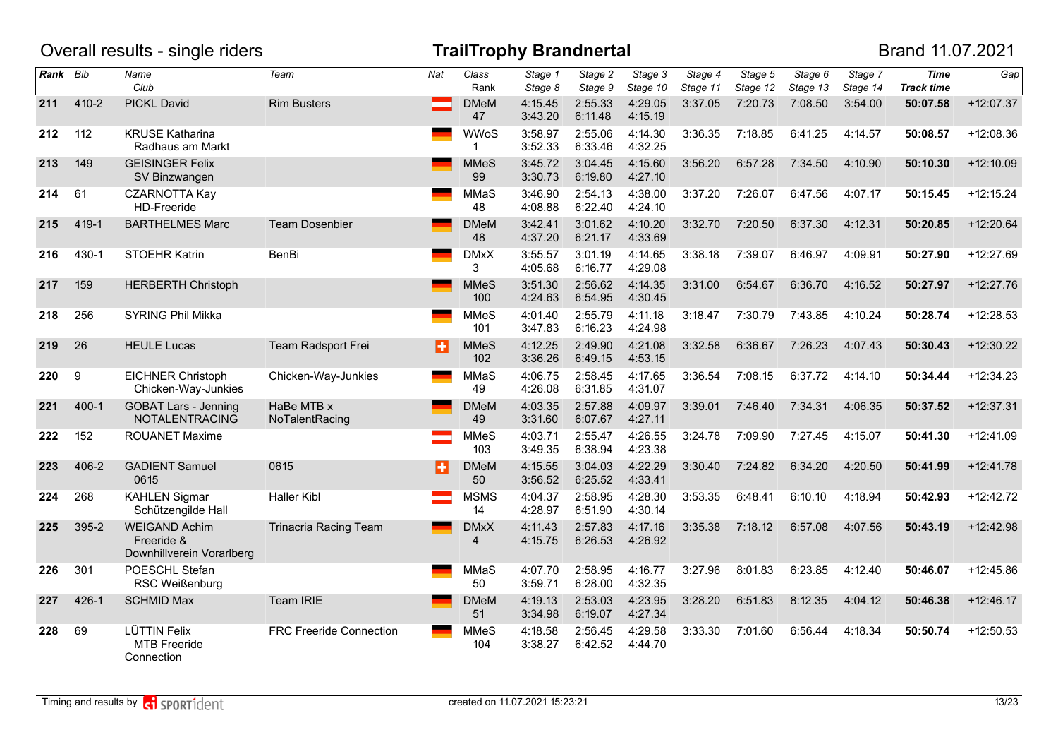|          |           | Overall results - single riders                                 |                                |     |                    | <b>TrailTrophy Brandnertal</b> |                    |                     |                     |                     |                     |                     | Brand 11.07.2021                 |             |
|----------|-----------|-----------------------------------------------------------------|--------------------------------|-----|--------------------|--------------------------------|--------------------|---------------------|---------------------|---------------------|---------------------|---------------------|----------------------------------|-------------|
| Rank Bib |           | Name<br>Club                                                    | Team                           | Nat | Class<br>Rank      | Stage 1<br>Stage 8             | Stage 2<br>Stage 9 | Stage 3<br>Stage 10 | Stage 4<br>Stage 11 | Stage 5<br>Stage 12 | Stage 6<br>Stage 13 | Stage 7<br>Stage 14 | <b>Time</b><br><b>Track time</b> | Gap         |
| 211      | 410-2     | PICKL David                                                     | <b>Rim Busters</b>             |     | <b>DMeM</b><br>47  | 4:15.45<br>3:43.20             | 2:55.33<br>6:11.48 | 4:29.05<br>4:15.19  | 3:37.05             | 7:20.73             | 7:08.50             | 3:54.00             | 50:07.58                         | $+12:07.37$ |
| 212      | 112       | <b>KRUSE Katharina</b><br>Radhaus am Markt                      |                                |     | <b>WWoS</b><br>1   | 3:58.97<br>3:52.33             | 2:55.06<br>6:33.46 | 4:14.30<br>4:32.25  | 3:36.35             | 7:18.85             | 6:41.25             | 4:14.57             | 50:08.57                         | $+12:08.36$ |
| 213      | 149       | <b>GEISINGER Felix</b><br>SV Binzwangen                         |                                |     | <b>MMeS</b><br>99  | 3:45.72<br>3:30.73             | 3:04.45<br>6:19.80 | 4:15.60<br>4:27.10  | 3:56.20             | 6:57.28             | 7:34.50             | 4:10.90             | 50:10.30                         | $+12:10.09$ |
| 214      | 61        | <b>CZARNOTTA Kay</b><br>HD-Freeride                             |                                |     | MMaS<br>48         | 3:46.90<br>4:08.88             | 2:54.13<br>6:22.40 | 4:38.00<br>4:24.10  | 3:37.20             | 7:26.07             | 6:47.56             | 4:07.17             | 50:15.45                         | $+12:15.24$ |
| 215      | 419-1     | <b>BARTHELMES Marc</b>                                          | <b>Team Dosenbier</b>          |     | <b>DMeM</b><br>48  | 3:42.41<br>4:37.20             | 3:01.62<br>6:21.17 | 4:10.20<br>4:33.69  | 3:32.70             | 7:20.50             | 6:37.30             | 4:12.31             | 50:20.85                         | $+12:20.64$ |
| 216      | 430-1     | STOEHR Katrin                                                   | <b>BenBi</b>                   |     | <b>DMxX</b><br>3   | 3:55.57<br>4:05.68             | 3:01.19<br>6:16.77 | 4:14.65<br>4:29.08  | 3:38.18             | 7:39.07             | 6:46.97             | 4:09.91             | 50:27.90                         | $+12:27.69$ |
| 217      | 159       | <b>HERBERTH Christoph</b>                                       |                                |     | <b>MMeS</b><br>100 | 3:51.30<br>4:24.63             | 2:56.62<br>6:54.95 | 4:14.35<br>4:30.45  | 3:31.00             | 6:54.67             | 6:36.70             | 4:16.52             | 50:27.97                         | $+12:27.76$ |
| 218      | 256       | SYRING Phil Mikka                                               |                                |     | <b>MMeS</b><br>101 | 4:01.40<br>3:47.83             | 2:55.79<br>6:16.23 | 4:11.18<br>4:24.98  | 3:18.47             | 7:30.79             | 7:43.85             | 4:10.24             | 50:28.74                         | $+12:28.53$ |
| 219      | 26        | <b>HEULE Lucas</b>                                              | Team Radsport Frei             | Ð   | <b>MMeS</b><br>102 | 4:12.25<br>3:36.26             | 2:49.90<br>6:49.15 | 4:21.08<br>4:53.15  | 3:32.58             | 6:36.67             | 7:26.23             | 4:07.43             | 50:30.43                         | $+12:30.22$ |
| 220      | 9         | <b>EICHNER Christoph</b><br>Chicken-Way-Junkies                 | Chicken-Way-Junkies            |     | MMaS<br>49         | 4:06.75<br>4:26.08             | 2:58.45<br>6:31.85 | 4:17.65<br>4:31.07  | 3:36.54             | 7:08.15             | 6:37.72             | 4:14.10             | 50:34.44                         | $+12:34.23$ |
| 221      | $400 - 1$ | <b>GOBAT Lars - Jenning</b><br><b>NOTALENTRACING</b>            | HaBe MTB x<br>NoTalentRacing   |     | <b>DMeM</b><br>49  | 4:03.35<br>3:31.60             | 2:57.88<br>6:07.67 | 4:09.97<br>4:27.11  | 3:39.01             | 7:46.40             | 7:34.31             | 4:06.35             | 50:37.52                         | $+12:37.31$ |
| 222      | 152       | <b>ROUANET Maxime</b>                                           |                                |     | <b>MMeS</b><br>103 | 4:03.71<br>3:49.35             | 2:55.47<br>6:38.94 | 4:26.55<br>4:23.38  | 3:24.78             | 7:09.90             | 7:27.45             | 4:15.07             | 50:41.30                         | $+12:41.09$ |
| 223      | 406-2     | <b>GADIENT Samuel</b><br>0615                                   | 0615                           | П   | <b>DMeM</b><br>50  | 4:15.55<br>3:56.52             | 3:04.03<br>6:25.52 | 4:22.29<br>4:33.41  | 3:30.40             | 7:24.82             | 6:34.20             | 4:20.50             | 50:41.99                         | $+12:41.78$ |
| 224      | 268       | <b>KAHLEN Sigmar</b><br>Schützengilde Hall                      | <b>Haller Kibl</b>             |     | <b>MSMS</b><br>14  | 4:04.37<br>4:28.97             | 2:58.95<br>6:51.90 | 4:28.30<br>4:30.14  | 3:53.35             | 6:48.41             | 6:10.10             | 4:18.94             | 50:42.93                         | $+12:42.72$ |
| 225      | 395-2     | <b>WEIGAND Achim</b><br>Freeride &<br>Downhillverein Vorarlberg | <b>Trinacria Racing Team</b>   |     | <b>DMxX</b><br>4   | 4:11.43<br>4:15.75             | 2:57.83<br>6:26.53 | 4:17.16<br>4:26.92  | 3:35.38             | 7:18.12             | 6:57.08             | 4:07.56             | 50:43.19                         | $+12:42.98$ |
| 226      | 301       | POESCHL Stefan<br>RSC Weißenburg                                |                                |     | MMaS<br>50         | 4:07.70<br>3:59.71             | 2:58.95<br>6:28.00 | 4:16.77<br>4:32.35  | 3:27.96             | 8:01.83             | 6:23.85             | 4:12.40             | 50:46.07                         | $+12:45.86$ |
| 227      | 426-1     | <b>SCHMID Max</b>                                               | Team IRIE                      |     | <b>DMeM</b><br>51  | 4:19.13<br>3:34.98             | 2:53.03<br>6:19.07 | 4:23.95<br>4:27.34  | 3:28.20             | 6:51.83             | 8:12.35             | 4:04.12             | 50:46.38                         | $+12:46.17$ |
| 228      | 69        | <b>LÜTTIN Felix</b><br>MTB Freeride<br>Connection               | <b>FRC Freeride Connection</b> |     | <b>MMeS</b><br>104 | 4:18.58<br>3:38.27             | 2:56.45<br>6:42.52 | 4:29.58<br>4:44.70  | 3:33.30             | 7:01.60             | 6:56.44             | 4:18.34             | 50:50.74                         | $+12:50.53$ |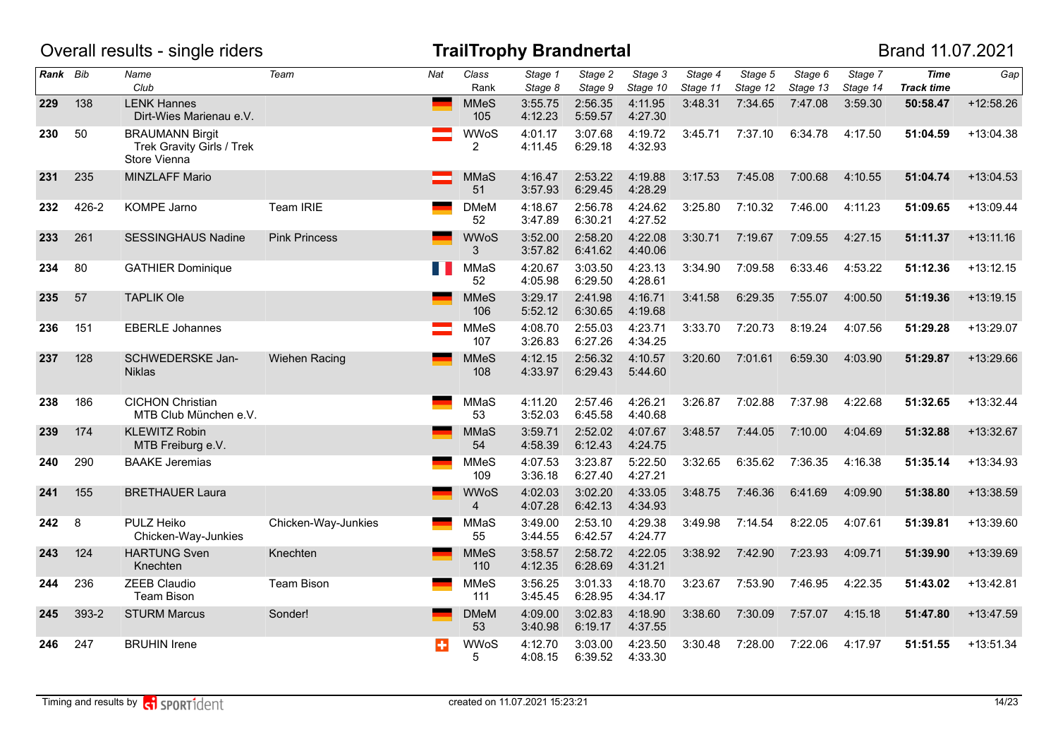|          |       | Overall results - single riders                                     |                      |     |                    | <b>TrailTrophy Brandnertal</b> |                    |                                  |                     |                     |                     |                     | Brand 11.07.2021                 |             |
|----------|-------|---------------------------------------------------------------------|----------------------|-----|--------------------|--------------------------------|--------------------|----------------------------------|---------------------|---------------------|---------------------|---------------------|----------------------------------|-------------|
| Rank Bib |       | Name<br>Club                                                        | Team                 | Nat | Class<br>Rank      | Stage 1<br>Stage 8             | Stage 2<br>Stage 9 | $\overline{Stage}$ 3<br>Stage 10 | Stage 4<br>Stage 11 | Stage 5<br>Stage 12 | Stage 6<br>Stage 13 | Stage 7<br>Stage 14 | <b>Time</b><br><b>Track time</b> | Gap         |
| 229      | 138   | <b>LENK Hannes</b><br>Dirt-Wies Marienau e.V.                       |                      |     | <b>MMeS</b><br>105 | 3:55.75<br>4:12.23             | 2:56.35<br>5:59.57 | 4:11.95<br>4:27.30               | 3:48.31             | 7:34.65             | 7:47.08             | 3:59.30             | 50:58.47                         | $+12:58.26$ |
| 230      | 50    | <b>BRAUMANN Birgit</b><br>Trek Gravity Girls / Trek<br>Store Vienna |                      |     | <b>WWoS</b><br>2   | 4:01.17<br>4:11.45             | 3:07.68<br>6:29.18 | 4:19.72<br>4:32.93               | 3:45.71             | 7:37.10             | 6:34.78             | 4:17.50             | 51:04.59                         | $+13:04.38$ |
| 231      | 235   | MINZLAFF Mario                                                      |                      |     | <b>MMaS</b><br>51  | 4:16.47<br>3:57.93             | 2:53.22<br>6:29.45 | 4:19.88<br>4:28.29               | 3:17.53             | 7:45.08             | 7:00.68             | 4:10.55             | 51:04.74                         | $+13:04.53$ |
| 232      | 426-2 | KOMPE Jarno                                                         | Team IRIE            |     | <b>DMeM</b><br>52  | 4:18.67<br>3:47.89             | 2:56.78<br>6:30.21 | 4:24.62<br>4:27.52               | 3:25.80             | 7:10.32             | 7:46.00             | 4:11.23             | 51:09.65                         | +13:09.44   |
| 233      | 261   | <b>SESSINGHAUS Nadine</b>                                           | <b>Pink Princess</b> |     | <b>WWoS</b><br>3   | 3:52.00<br>3:57.82             | 2:58.20<br>6:41.62 | 4:22.08<br>4:40.06               | 3:30.71             | 7:19.67             | 7:09.55             | 4:27.15             | 51:11.37                         | $+13:11.16$ |
| 234      | 80    | <b>GATHIER Dominique</b>                                            |                      | M.  | MMaS<br>52         | 4:20.67<br>4:05.98             | 3:03.50<br>6:29.50 | 4:23.13<br>4:28.61               | 3:34.90             | 7:09.58             | 6:33.46             | 4:53.22             | 51:12.36                         | $+13:12.15$ |
| 235      | 57    | <b>TAPLIK Ole</b>                                                   |                      |     | <b>MMeS</b><br>106 | 3:29.17<br>5:52.12             | 2:41.98<br>6:30.65 | 4:16.71<br>4:19.68               | 3:41.58             | 6:29.35             | 7:55.07             | 4:00.50             | 51:19.36                         | $+13:19.15$ |
| 236      | 151   | <b>EBERLE Johannes</b>                                              |                      |     | <b>MMeS</b><br>107 | 4:08.70<br>3:26.83             | 2:55.03<br>6:27.26 | 4:23.71<br>4:34.25               | 3:33.70             | 7:20.73             | 8:19.24             | 4:07.56             | 51:29.28                         | +13:29.07   |
| 237      | 128   | SCHWEDERSKE Jan-<br><b>Niklas</b>                                   | Wiehen Racing        |     | <b>MMeS</b><br>108 | 4:12.15<br>4:33.97             | 2:56.32<br>6:29.43 | 4:10.57<br>5:44.60               | 3:20.60             | 7:01.61             | 6:59.30             | 4:03.90             | 51:29.87                         | $+13:29.66$ |
| 238      | 186   | <b>CICHON Christian</b><br>MTB Club München e.V.                    |                      |     | MMaS<br>53         | 4:11.20<br>3:52.03             | 2:57.46<br>6:45.58 | 4:26.21<br>4:40.68               | 3:26.87             | 7:02.88             | 7:37.98             | 4:22.68             | 51:32.65                         | $+13:32.44$ |
| 239      | 174   | <b>KLEWITZ Robin</b><br>MTB Freiburg e.V.                           |                      |     | <b>MMaS</b><br>54  | 3:59.71<br>4:58.39             | 2:52.02<br>6:12.43 | 4:07.67<br>4:24.75               | 3:48.57             | 7:44.05             | 7:10.00             | 4:04.69             | 51:32.88                         | +13:32.67   |
| 240      | 290   | <b>BAAKE Jeremias</b>                                               |                      |     | <b>MMeS</b><br>109 | 4:07.53<br>3:36.18             | 3:23.87<br>6:27.40 | 5:22.50<br>4:27.21               | 3:32.65             | 6:35.62             | 7:36.35             | 4:16.38             | 51:35.14                         | $+13:34.93$ |
| 241      | 155   | <b>BRETHAUER Laura</b>                                              |                      |     | <b>WWoS</b><br>4   | 4:02.03<br>4:07.28             | 3:02.20<br>6:42.13 | 4:33.05<br>4:34.93               | 3:48.75             | 7:46.36             | 6:41.69             | 4:09.90             | 51:38.80                         | +13:38.59   |
| 242      | 8     | PULZ Heiko<br>Chicken-Way-Junkies                                   | Chicken-Way-Junkies  |     | MMaS<br>55         | 3:49.00<br>3:44.55             | 2:53.10<br>6:42.57 | 4:29.38<br>4:24.77               | 3:49.98             | 7:14.54             | 8:22.05             | 4:07.61             | 51:39.81                         | +13:39.60   |
| 243      | 124   | <b>HARTUNG Sven</b><br>Knechten                                     | Knechten             |     | <b>MMeS</b><br>110 | 3:58.57<br>4:12.35             | 2:58.72<br>6:28.69 | 4:22.05<br>4:31.21               | 3:38.92             | 7:42.90             | 7:23.93             | 4:09.71             | 51:39.90                         | +13:39.69   |
| 244      | 236   | <b>ZEEB Claudio</b><br><b>Team Bison</b>                            | Team Bison           |     | <b>MMeS</b><br>111 | 3:56.25<br>3:45.45             | 3:01.33<br>6:28.95 | 4:18.70<br>4:34.17               | 3:23.67             | 7:53.90             | 7:46.95             | 4:22.35             | 51:43.02                         | $+13:42.81$ |
| 245      | 393-2 | <b>STURM Marcus</b>                                                 | Sonder!              |     | <b>DMeM</b><br>53  | 4:09.00<br>3:40.98             | 3:02.83<br>6:19.17 | 4:18.90<br>4:37.55               | 3:38.60             | 7:30.09             | 7:57.07             | 4:15.18             | 51:47.80                         | $+13:47.59$ |
| 246      | 247   | <b>BRUHIN Irene</b>                                                 |                      | ÷   | <b>WWoS</b><br>5   | 4:12.70<br>4:08.15             | 3:03.00<br>6:39.52 | 4:23.50<br>4:33.30               | 3:30.48             | 7:28.00             | 7:22.06             | 4:17.97             | 51:51.55                         | $+13:51.34$ |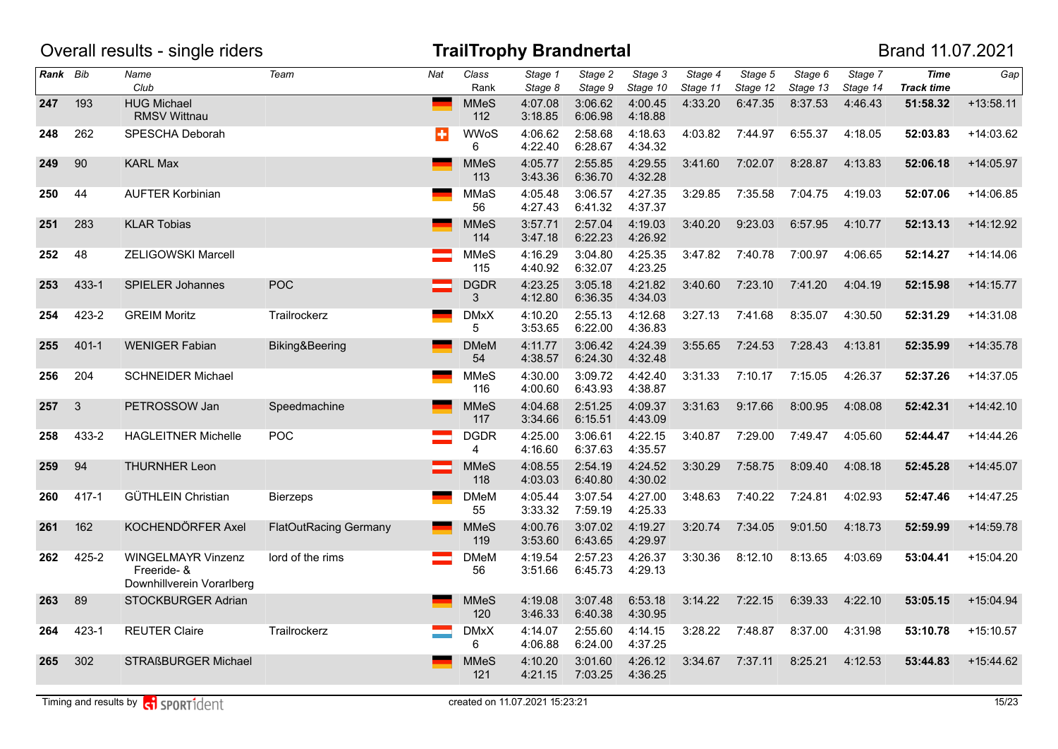|          |              | Overall results - single riders                                |                              |                 |                    | <b>TrailTrophy Brandnertal</b> |                    |                     |                     |                     |                     |                     | Brand 11.07.2021                 |             |
|----------|--------------|----------------------------------------------------------------|------------------------------|-----------------|--------------------|--------------------------------|--------------------|---------------------|---------------------|---------------------|---------------------|---------------------|----------------------------------|-------------|
| Rank Bib |              | Name<br>Club                                                   | Team                         | Nat             | Class<br>Rank      | Stage 1<br>Stage 8             | Stage 2<br>Stage 9 | Stage 3<br>Stage 10 | Stage 4<br>Stage 11 | Stage 5<br>Stage 12 | Stage 6<br>Stage 13 | Stage 7<br>Stage 14 | <b>Time</b><br><b>Track time</b> | Gap         |
| 247      | 193          | <b>HUG Michael</b><br><b>RMSV Wittnau</b>                      |                              |                 | <b>MMeS</b><br>112 | 4:07.08<br>3:18.85             | 3:06.62<br>6:06.98 | 4:00.45<br>4:18.88  | 4:33.20             | 6:47.35             | 8:37.53             | 4:46.43             | 51:58.32                         | $+13:58.11$ |
| 248      | 262          | SPESCHA Deborah                                                |                              | ÷               | <b>WWoS</b><br>6   | 4:06.62<br>4:22.40             | 2:58.68<br>6:28.67 | 4:18.63<br>4:34.32  | 4:03.82             | 7:44.97             | 6:55.37             | 4:18.05             | 52:03.83                         | $+14:03.62$ |
| 249      | 90           | <b>KARL Max</b>                                                |                              |                 | <b>MMeS</b><br>113 | 4:05.77<br>3:43.36             | 2:55.85<br>6:36.70 | 4:29.55<br>4:32.28  | 3:41.60             | 7:02.07             | 8:28.87             | 4:13.83             | 52:06.18                         | $+14:05.97$ |
| 250      | 44           | <b>AUFTER Korbinian</b>                                        |                              |                 | <b>MMaS</b><br>56  | 4:05.48<br>4:27.43             | 3:06.57<br>6:41.32 | 4:27.35<br>4:37.37  | 3:29.85             | 7:35.58             | 7:04.75             | 4:19.03             | 52:07.06                         | +14:06.85   |
| 251      | 283          | <b>KLAR Tobias</b>                                             |                              |                 | <b>MMeS</b><br>114 | 3:57.71<br>3:47.18             | 2:57.04<br>6:22.23 | 4:19.03<br>4:26.92  | 3:40.20             | 9:23.03             | 6:57.95             | 4:10.77             | 52:13.13                         | $+14:12.92$ |
| 252      | 48           | <b>ZELIGOWSKI Marcell</b>                                      |                              |                 | <b>MMeS</b><br>115 | 4:16.29<br>4:40.92             | 3:04.80<br>6:32.07 | 4:25.35<br>4:23.25  | 3:47.82             | 7:40.78             | 7:00.97             | 4:06.65             | 52:14.27                         | $+14:14.06$ |
| 253      | 433-1        | SPIELER Johannes                                               | POC                          |                 | <b>DGDR</b><br>3   | 4:23.25<br>4:12.80             | 3:05.18<br>6:36.35 | 4:21.82<br>4:34.03  | 3:40.60             | 7:23.10             | 7:41.20             | 4:04.19             | 52:15.98                         | $+14:15.77$ |
| 254      | 423-2        | <b>GREIM Moritz</b>                                            | Trailrockerz                 |                 | <b>DMxX</b><br>5   | 4:10.20<br>3:53.65             | 2:55.13<br>6:22.00 | 4:12.68<br>4:36.83  | 3:27.13             | 7:41.68             | 8:35.07             | 4:30.50             | 52:31.29                         | $+14:31.08$ |
| 255      | $401 - 1$    | <b>WENIGER Fabian</b>                                          | Biking&Beering               |                 | <b>DMeM</b><br>54  | 4:11.77<br>4:38.57             | 3:06.42<br>6:24.30 | 4:24.39<br>4:32.48  | 3:55.65             | 7:24.53             | 7:28.43             | 4:13.81             | 52:35.99                         | $+14:35.78$ |
| 256      | 204          | <b>SCHNEIDER Michael</b>                                       |                              |                 | <b>MMeS</b><br>116 | 4:30.00<br>4:00.60             | 3:09.72<br>6:43.93 | 4:42.40<br>4:38.87  | 3:31.33             | 7:10.17             | 7:15.05             | 4:26.37             | 52:37.26                         | $+14:37.05$ |
| 257      | $\mathbf{3}$ | PETROSSOW Jan                                                  | Speedmachine                 |                 | <b>MMeS</b><br>117 | 4:04.68<br>3:34.66             | 2:51.25<br>6:15.51 | 4:09.37<br>4:43.09  | 3:31.63             | 9:17.66             | 8:00.95             | 4:08.08             | 52:42.31                         | $+14:42.10$ |
| 258      | 433-2        | <b>HAGLEITNER Michelle</b>                                     | POC                          |                 | <b>DGDR</b><br>4   | 4:25.00<br>4:16.60             | 3:06.61<br>6:37.63 | 4:22.15<br>4:35.57  | 3:40.87             | 7:29.00             | 7:49.47             | 4:05.60             | 52:44.47                         | $+14:44.26$ |
| 259      | 94           | <b>THURNHER Leon</b>                                           |                              |                 | <b>MMeS</b><br>118 | 4:08.55<br>4:03.03             | 2:54.19<br>6:40.80 | 4:24.52<br>4:30.02  | 3:30.29             | 7:58.75             | 8:09.40             | 4:08.18             | 52:45.28                         | $+14:45.07$ |
| 260      | $417 - 1$    | GÜTHLEIN Christian                                             | <b>Bierzeps</b>              | <b>Contract</b> | <b>DMeM</b><br>55  | 4:05.44<br>3:33.32             | 3:07.54<br>7:59.19 | 4:27.00<br>4:25.33  | 3:48.63             | 7:40.22             | 7:24.81             | 4:02.93             | 52:47.46                         | $+14:47.25$ |
| 261      | 162          | KOCHENDÖRFER Axel                                              | <b>FlatOutRacing Germany</b> |                 | <b>MMeS</b><br>119 | 4:00.76<br>3:53.60             | 3:07.02<br>6:43.65 | 4:19.27<br>4:29.97  | 3:20.74             | 7:34.05             | 9:01.50             | 4:18.73             | 52:59.99                         | $+14:59.78$ |
| 262      | 425-2        | WINGELMAYR Vinzenz<br>Freeride- &<br>Downhillverein Vorarlberg | lord of the rims             |                 | <b>DMeM</b><br>56  | 4:19.54<br>3:51.66             | 2:57.23<br>6:45.73 | 4:26.37<br>4:29.13  | 3:30.36             | 8:12.10             | 8:13.65             | 4:03.69             | 53:04.41                         | $+15:04.20$ |
| 263      | 89           | STOCKBURGER Adrian                                             |                              |                 | <b>MMeS</b><br>120 | 4:19.08<br>3:46.33             | 3:07.48<br>6:40.38 | 6:53.18<br>4:30.95  | 3:14.22             | 7:22.15             | 6:39.33             | 4:22.10             | 53:05.15                         | $+15:04.94$ |
| 264      | 423-1        | <b>REUTER Claire</b>                                           | Trailrockerz                 |                 | <b>DMxX</b><br>6   | 4:14.07<br>4:06.88             | 2:55.60<br>6:24.00 | 4:14.15<br>4:37.25  | 3:28.22             | 7:48.87             | 8:37.00             | 4:31.98             | 53:10.78                         | $+15:10.57$ |
| 265      | 302          | STRAßBURGER Michael                                            |                              |                 | <b>MMeS</b><br>121 | 4:10.20<br>4:21.15             | 3:01.60<br>7:03.25 | 4:26.12<br>4:36.25  | 3:34.67             | 7:37.11             | 8:25.21             | 4:12.53             | 53:44.83                         | $+15:44.62$ |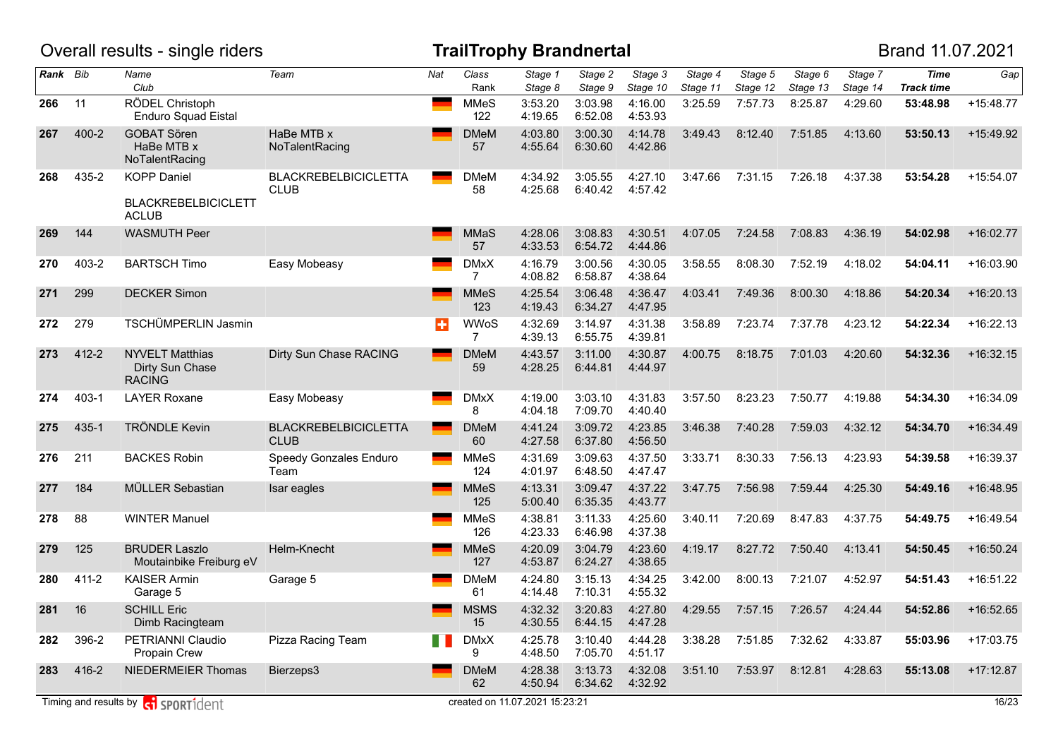|          |           | Overall results - single riders                                  |                                            |                 |                    | <b>TrailTrophy Brandnertal</b> |                    |                     |                     |                     |                     |                     | Brand 11.07.2021                 |             |
|----------|-----------|------------------------------------------------------------------|--------------------------------------------|-----------------|--------------------|--------------------------------|--------------------|---------------------|---------------------|---------------------|---------------------|---------------------|----------------------------------|-------------|
| Rank Bib |           | Name<br>Club                                                     | Team                                       | Nat             | Class<br>Rank      | Stage 1<br>Stage 8             | Stage 2<br>Stage 9 | Stage 3<br>Stage 10 | Stage 4<br>Stage 11 | Stage 5<br>Stage 12 | Stage 6<br>Stage 13 | Stage 7<br>Stage 14 | <b>Time</b><br><b>Track time</b> | Gap         |
| 266      | 11        | RÖDEL Christoph<br><b>Enduro Squad Eistal</b>                    |                                            |                 | <b>MMeS</b><br>122 | 3:53.20<br>4:19.65             | 3:03.98<br>6:52.08 | 4:16.00<br>4:53.93  | 3:25.59             | 7:57.73             | 8:25.87             | 4:29.60             | 53:48.98                         | $+15:48.77$ |
| 267      | $400 - 2$ | <b>GOBAT Sören</b><br>HaBe MTB x<br>NoTalentRacing               | HaBe MTB x<br>NoTalentRacing               |                 | <b>DMeM</b><br>57  | 4:03.80<br>4:55.64             | 3:00.30<br>6:30.60 | 4:14.78<br>4:42.86  | 3:49.43             | 8:12.40             | 7:51.85             | 4:13.60             | 53:50.13                         | $+15:49.92$ |
| 268      | 435-2     | <b>KOPP Daniel</b><br><b>BLACKREBELBICICLETT</b><br><b>ACLUB</b> | <b>BLACKREBELBICICLETTA</b><br><b>CLUB</b> |                 | <b>DMeM</b><br>58  | 4:34.92<br>4:25.68             | 3:05.55<br>6:40.42 | 4:27.10<br>4:57.42  | 3:47.66             | 7:31.15             | 7:26.18             | 4:37.38             | 53:54.28                         | $+15:54.07$ |
| 269      | 144       | <b>WASMUTH Peer</b>                                              |                                            |                 | <b>MMaS</b><br>57  | 4:28.06<br>4:33.53             | 3:08.83<br>6:54.72 | 4:30.51<br>4:44.86  | 4:07.05             | 7:24.58             | 7:08.83             | 4:36.19             | 54:02.98                         | $+16:02.77$ |
| 270      | $403 - 2$ | <b>BARTSCH Timo</b>                                              | Easy Mobeasy                               |                 | <b>DMxX</b><br>7   | 4:16.79<br>4:08.82             | 3:00.56<br>6:58.87 | 4:30.05<br>4:38.64  | 3:58.55             | 8:08.30             | 7:52.19             | 4:18.02             | 54:04.11                         | $+16:03.90$ |
| 271      | 299       | <b>DECKER Simon</b>                                              |                                            |                 | <b>MMeS</b><br>123 | 4:25.54<br>4:19.43             | 3:06.48<br>6:34.27 | 4:36.47<br>4:47.95  | 4:03.41             | 7:49.36             | 8:00.30             | 4:18.86             | 54:20.34                         | $+16:20.13$ |
| 272      | 279       | TSCHÜMPERLIN Jasmin                                              |                                            | ÷               | <b>WWoS</b><br>7   | 4:32.69<br>4:39.13             | 3:14.97<br>6:55.75 | 4:31.38<br>4:39.81  | 3:58.89             | 7:23.74             | 7:37.78             | 4:23.12             | 54:22.34                         | $+16:22.13$ |
| 273      | 412-2     | <b>NYVELT Matthias</b><br>Dirty Sun Chase<br><b>RACING</b>       | Dirty Sun Chase RACING                     |                 | <b>DMeM</b><br>59  | 4:43.57<br>4:28.25             | 3:11.00<br>6:44.81 | 4:30.87<br>4:44.97  | 4:00.75             | 8:18.75             | 7:01.03             | 4:20.60             | 54:32.36                         | $+16:32.15$ |
| 274      | $403 - 1$ | <b>LAYER Roxane</b>                                              | Easy Mobeasy                               | -               | <b>DMxX</b><br>8   | 4:19.00<br>4:04.18             | 3:03.10<br>7:09.70 | 4:31.83<br>4:40.40  | 3:57.50             | 8:23.23             | 7:50.77             | 4:19.88             | 54:34.30                         | $+16:34.09$ |
| 275      | 435-1     | <b>TRÖNDLE Kevin</b>                                             | <b>BLACKREBELBICICLETTA</b><br><b>CLUB</b> | <b>Contract</b> | <b>DMeM</b><br>60  | 4:41.24<br>4:27.58             | 3:09.72<br>6:37.80 | 4:23.85<br>4:56.50  | 3:46.38             | 7:40.28             | 7:59.03             | 4:32.12             | 54:34.70                         | $+16:34.49$ |
| 276      | 211       | <b>BACKES Robin</b>                                              | Speedy Gonzales Enduro<br>Team             |                 | <b>MMeS</b><br>124 | 4:31.69<br>4:01.97             | 3:09.63<br>6:48.50 | 4:37.50<br>4:47.47  | 3:33.71             | 8:30.33             | 7:56.13             | 4:23.93             | 54:39.58                         | +16:39.37   |
| 277      | 184       | MÜLLER Sebastian                                                 | Isar eagles                                |                 | <b>MMeS</b><br>125 | 4:13.31<br>5:00.40             | 3:09.47<br>6:35.35 | 4:37.22<br>4:43.77  | 3:47.75             | 7:56.98             | 7:59.44             | 4:25.30             | 54:49.16                         | $+16:48.95$ |
| 278      | 88        | <b>WINTER Manuel</b>                                             |                                            |                 | <b>MMeS</b><br>126 | 4:38.81<br>4:23.33             | 3:11.33<br>6:46.98 | 4:25.60<br>4:37.38  | 3:40.11             | 7:20.69             | 8:47.83             | 4:37.75             | 54:49.75                         | $+16:49.54$ |
| 279      | 125       | <b>BRUDER Laszlo</b><br>Moutainbike Freiburg eV                  | Helm-Knecht                                |                 | <b>MMeS</b><br>127 | 4:20.09<br>4:53.87             | 3:04.79<br>6:24.27 | 4:23.60<br>4:38.65  | 4:19.17             | 8:27.72             | 7:50.40             | 4:13.41             | 54:50.45                         | $+16:50.24$ |
| 280      | 411-2     | <b>KAISER Armin</b><br>Garage 5                                  | Garage 5                                   |                 | <b>DMeM</b><br>61  | 4:24.80<br>4:14.48             | 3:15.13<br>7:10.31 | 4:34.25<br>4:55.32  | 3:42.00             | 8:00.13             | 7:21.07             | 4:52.97             | 54:51.43                         | $+16:51.22$ |
| 281      | 16        | <b>SCHILL Eric</b><br>Dimb Racingteam                            |                                            |                 | <b>MSMS</b><br>15  | 4:32.32<br>4:30.55             | 3:20.83<br>6:44.15 | 4:27.80<br>4:47.28  | 4:29.55             | 7:57.15             | 7:26.57             | 4:24.44             | 54:52.86                         | $+16:52.65$ |
| 282      | 396-2     | PETRIANNI Claudio<br>Propain Crew                                | Pizza Racing Team                          |                 | <b>DMxX</b><br>9   | 4:25.78<br>4:48.50             | 3:10.40<br>7:05.70 | 4:44.28<br>4:51.17  | 3:38.28             | 7:51.85             | 7:32.62             | 4:33.87             | 55:03.96                         | +17:03.75   |
| 283      | 416-2     | NIEDERMEIER Thomas                                               | Bierzeps3                                  |                 | <b>DMeM</b><br>62  | 4:28.38<br>4:50.94             | 3:13.73<br>6:34.62 | 4:32.08<br>4:32.92  | 3:51.10             | 7:53.97             | 8:12.81             | 4:28.63             | 55:13.08                         | $+17:12.87$ |
|          |           | Timing and results by $\left  \mathbf{G} \right $ SPORT1 dent    |                                            |                 |                    | created on 11.07.2021 15:23:21 |                    |                     |                     |                     |                     |                     |                                  | 16/23       |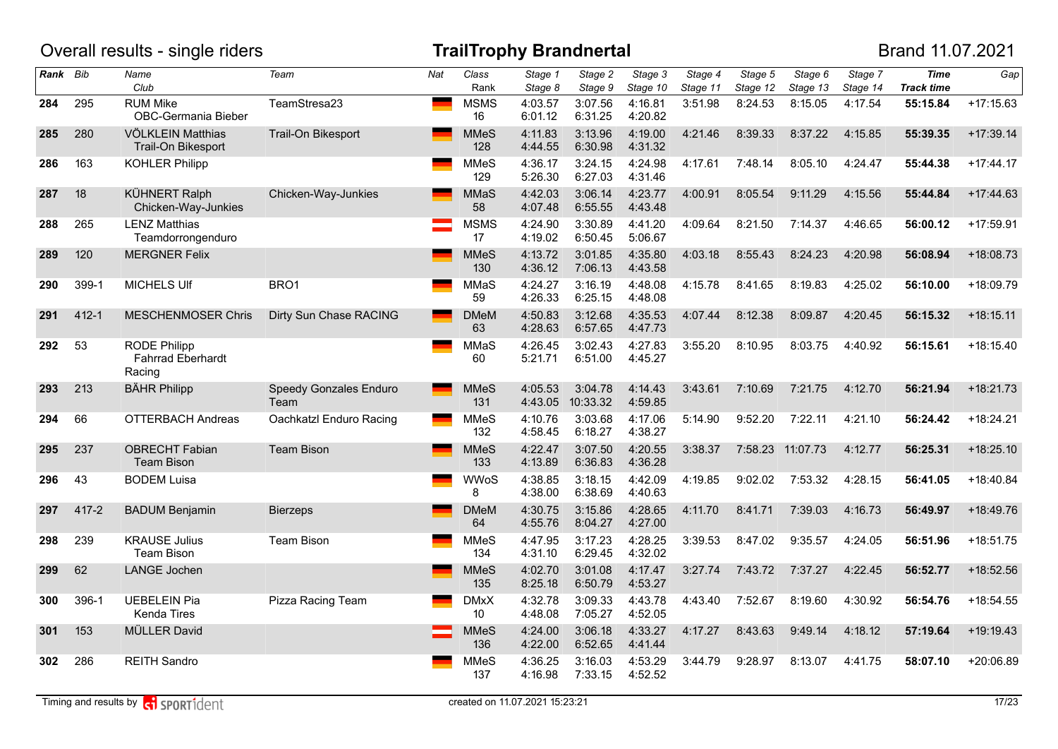|          |           | Overall results - single riders                           |                                |     |                                | <b>TrailTrophy Brandnertal</b> |                     |                     |                     |                     |                     |                     | Brand 11.07.2021                 |             |
|----------|-----------|-----------------------------------------------------------|--------------------------------|-----|--------------------------------|--------------------------------|---------------------|---------------------|---------------------|---------------------|---------------------|---------------------|----------------------------------|-------------|
| Rank Bib |           | Name<br>Club                                              | Team                           | Nat | Class<br>Rank                  | Stage 1<br>Stage 8             | Stage 2<br>Stage 9  | Stage 3<br>Stage 10 | Stage 4<br>Stage 11 | Stage 5<br>Stage 12 | Stage 6<br>Stage 13 | Stage 7<br>Stage 14 | <b>Time</b><br><b>Track time</b> | Gap         |
| 284      | 295       | <b>RUM Mike</b><br><b>OBC-Germania Bieber</b>             | TeamStresa23                   |     | <b>MSMS</b><br>16              | 4:03.57<br>6:01.12             | 3:07.56<br>6:31.25  | 4:16.81<br>4:20.82  | 3:51.98             | 8:24.53             | 8:15.05             | 4:17.54             | 55:15.84                         | $+17:15.63$ |
| 285      | 280       | VÖLKLEIN Matthias<br>Trail-On Bikesport                   | Trail-On Bikesport             |     | <b>MMeS</b><br>128             | 4:11.83<br>4:44.55             | 3:13.96<br>6:30.98  | 4:19.00<br>4:31.32  | 4:21.46             | 8:39.33             | 8:37.22             | 4:15.85             | 55:39.35                         | $+17:39.14$ |
| 286      | 163       | <b>KOHLER Philipp</b>                                     |                                |     | <b>MMeS</b><br>129             | 4:36.17<br>5:26.30             | 3:24.15<br>6:27.03  | 4:24.98<br>4:31.46  | 4:17.61             | 7:48.14             | 8:05.10             | 4:24.47             | 55:44.38                         | $+17:44.17$ |
| 287      | 18        | <b>KÜHNERT Ralph</b><br>Chicken-Way-Junkies               | Chicken-Way-Junkies            |     | <b>MMaS</b><br>58              | 4:42.03<br>4:07.48             | 3:06.14<br>6:55.55  | 4:23.77<br>4:43.48  | 4:00.91             | 8:05.54             | 9:11.29             | 4:15.56             | 55:44.84                         | $+17:44.63$ |
| 288      | 265       | <b>LENZ Matthias</b><br>Teamdorrongenduro                 |                                |     | <b>MSMS</b><br>17              | 4:24.90<br>4:19.02             | 3:30.89<br>6:50.45  | 4:41.20<br>5:06.67  | 4:09.64             | 8:21.50             | 7:14.37             | 4:46.65             | 56:00.12                         | $+17:59.91$ |
| 289      | 120       | <b>MERGNER Felix</b>                                      |                                |     | <b>MMeS</b><br>130             | 4:13.72<br>4:36.12             | 3:01.85<br>7:06.13  | 4:35.80<br>4:43.58  | 4:03.18             | 8:55.43             | 8:24.23             | 4:20.98             | 56:08.94                         | $+18:08.73$ |
| 290      | 399-1     | <b>MICHELS UIf</b>                                        | BRO1                           |     | MMaS<br>59                     | 4:24.27<br>4:26.33             | 3:16.19<br>6:25.15  | 4:48.08<br>4:48.08  | 4:15.78             | 8:41.65             | 8:19.83             | 4:25.02             | 56:10.00                         | +18:09.79   |
| 291      | $412 - 1$ | <b>MESCHENMOSER Chris</b>                                 | Dirty Sun Chase RACING         |     | <b>DMeM</b><br>63              | 4:50.83<br>4:28.63             | 3:12.68<br>6:57.65  | 4:35.53<br>4:47.73  | 4:07.44             | 8:12.38             | 8:09.87             | 4:20.45             | 56:15.32                         | $+18:15.11$ |
| 292      | 53        | <b>RODE Philipp</b><br><b>Fahrrad Eberhardt</b><br>Racing |                                |     | MMaS<br>60                     | 4:26.45<br>5:21.71             | 3:02.43<br>6:51.00  | 4:27.83<br>4:45.27  | 3:55.20             | 8:10.95             | 8:03.75             | 4:40.92             | 56:15.61                         | $+18:15.40$ |
| 293      | 213       | <b>BÄHR Philipp</b>                                       | Speedy Gonzales Enduro<br>Team |     | <b>MMeS</b><br>131             | 4:05.53<br>4:43.05             | 3:04.78<br>10:33.32 | 4:14.43<br>4:59.85  | 3:43.61             | 7:10.69             | 7:21.75             | 4:12.70             | 56:21.94                         | $+18:21.73$ |
| 294      | 66        | <b>OTTERBACH Andreas</b>                                  | Oachkatzl Enduro Racing        |     | <b>MMeS</b><br>132             | 4:10.76<br>4:58.45             | 3:03.68<br>6:18.27  | 4:17.06<br>4:38.27  | 5:14.90             | 9:52.20             | 7:22.11             | 4:21.10             | 56:24.42                         | $+18:24.21$ |
| 295      | 237       | <b>OBRECHT Fabian</b><br><b>Team Bison</b>                | <b>Team Bison</b>              |     | <b>MMeS</b><br>133             | 4:22.47<br>4:13.89             | 3:07.50<br>6:36.83  | 4:20.55<br>4:36.28  | 3:38.37             |                     | 7:58.23 11:07.73    | 4:12.77             | 56:25.31                         | $+18:25.10$ |
| 296      | 43        | <b>BODEM Luisa</b>                                        |                                |     | <b>WWoS</b><br>8               | 4:38.85<br>4:38.00             | 3:18.15<br>6:38.69  | 4:42.09<br>4:40.63  | 4:19.85             | 9:02.02             | 7:53.32             | 4:28.15             | 56:41.05                         | $+18:40.84$ |
| 297      | $417 - 2$ | <b>BADUM Benjamin</b>                                     | <b>Bierzeps</b>                |     | <b>DMeM</b><br>64              | 4:30.75<br>4:55.76             | 3:15.86<br>8:04.27  | 4:28.65<br>4:27.00  | 4:11.70             | 8:41.71             | 7:39.03             | 4:16.73             | 56:49.97                         | $+18:49.76$ |
| 298      | 239       | <b>KRAUSE Julius</b><br><b>Team Bison</b>                 | <b>Team Bison</b>              |     | <b>MMeS</b><br>134             | 4:47.95<br>4:31.10             | 3:17.23<br>6:29.45  | 4:28.25<br>4:32.02  | 3:39.53             | 8:47.02             | 9:35.57             | 4:24.05             | 56:51.96                         | $+18:51.75$ |
| 299      | 62        | <b>LANGE Jochen</b>                                       |                                |     | <b>MMeS</b><br>135             | 4:02.70<br>8:25.18             | 3:01.08<br>6:50.79  | 4:17.47<br>4:53.27  | 3:27.74             | 7:43.72             | 7:37.27             | 4:22.45             | 56:52.77                         | $+18:52.56$ |
| 300      | 396-1     | <b>UEBELEIN Pia</b><br>Kenda Tires                        | Pizza Racing Team              |     | <b>DMxX</b><br>10 <sup>°</sup> | 4:32.78<br>4:48.08             | 3:09.33<br>7:05.27  | 4:43.78<br>4:52.05  | 4:43.40             | 7:52.67             | 8:19.60             | 4:30.92             | 56:54.76                         | $+18:54.55$ |
| 301      | 153       | <b>MÜLLER David</b>                                       |                                |     | <b>MMeS</b><br>136             | 4:24.00<br>4:22.00             | 3:06.18<br>6:52.65  | 4:33.27<br>4:41.44  | 4:17.27             | 8:43.63             | 9:49.14             | 4:18.12             | 57:19.64                         | $+19:19.43$ |
| 302      | 286       | <b>REITH Sandro</b>                                       |                                |     | <b>MMeS</b><br>137             | 4:36.25<br>4:16.98             | 3:16.03<br>7:33.15  | 4:53.29<br>4:52.52  | 3:44.79             | 9:28.97             | 8:13.07             | 4:41.75             | 58:07.10                         | +20:06.89   |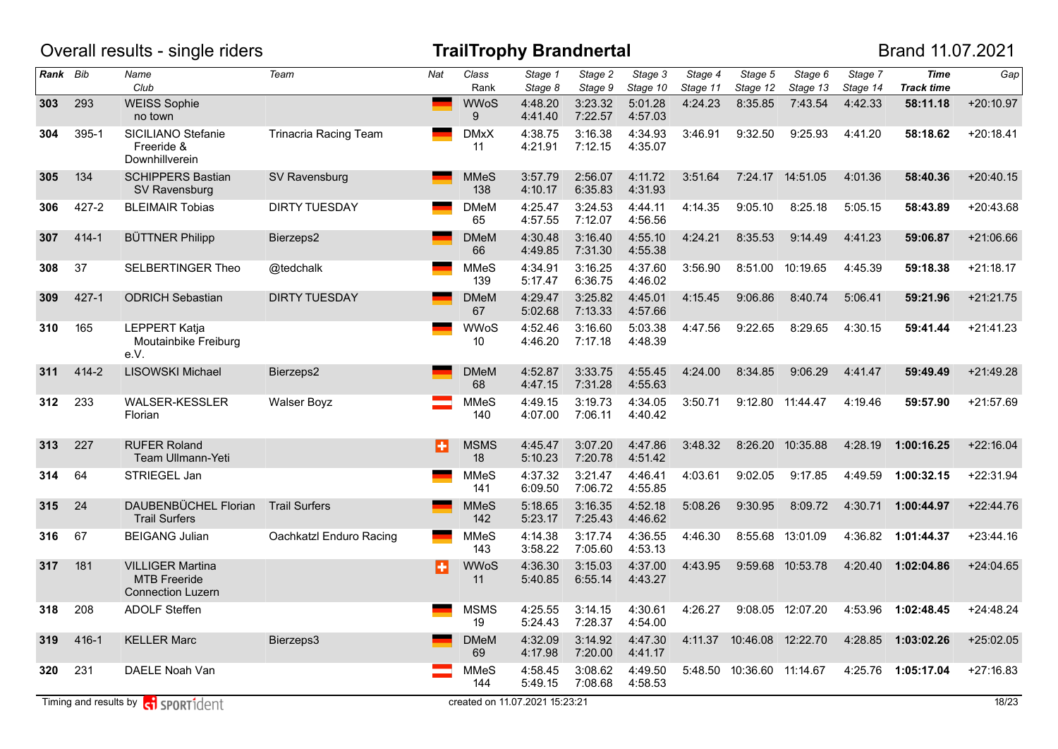|          |           | Overall results - single riders                                            |                              |              |                    | <b>TrailTrophy Brandnertal</b> |                    |                     |                     |                             |                     |                     | Brand 11.07.2021                 |             |
|----------|-----------|----------------------------------------------------------------------------|------------------------------|--------------|--------------------|--------------------------------|--------------------|---------------------|---------------------|-----------------------------|---------------------|---------------------|----------------------------------|-------------|
| Rank Bib |           | Name<br>Club                                                               | Team                         | Nat          | Class<br>Rank      | Stage 1<br>Stage 8             | Stage 2<br>Stage 9 | Stage 3<br>Stage 10 | Stage 4<br>Stage 11 | Stage 5<br>Stage 12         | Stage 6<br>Stage 13 | Stage 7<br>Stage 14 | <b>Time</b><br><b>Track time</b> | Gap         |
| 303      | 293       | <b>WEISS Sophie</b><br>no town                                             |                              | <b>State</b> | <b>WWoS</b><br>9   | 4:48.20<br>4:41.40             | 3:23.32<br>7:22.57 | 5:01.28<br>4:57.03  | 4:24.23             | 8:35.85                     | 7:43.54             | 4:42.33             | 58:11.18                         | $+20:10.97$ |
| 304      | 395-1     | SICILIANO Stefanie<br>Freeride &<br>Downhillverein                         | <b>Trinacria Racing Team</b> |              | <b>DMxX</b><br>11  | 4:38.75<br>4:21.91             | 3:16.38<br>7:12.15 | 4:34.93<br>4:35.07  | 3:46.91             | 9:32.50                     | 9:25.93             | 4:41.20             | 58:18.62                         | $+20:18.41$ |
| 305      | 134       | <b>SCHIPPERS Bastian</b><br>SV Ravensburg                                  | SV Ravensburg                |              | <b>MMeS</b><br>138 | 3:57.79<br>4:10.17             | 2:56.07<br>6:35.83 | 4:11.72<br>4:31.93  | 3:51.64             |                             | 7:24.17 14:51.05    | 4:01.36             | 58:40.36                         | $+20:40.15$ |
| 306      | $427 - 2$ | <b>BLEIMAIR Tobias</b>                                                     | <b>DIRTY TUESDAY</b>         |              | <b>DMeM</b><br>65  | 4:25.47<br>4:57.55             | 3:24.53<br>7:12.07 | 4:44.11<br>4:56.56  | 4:14.35             | 9:05.10                     | 8:25.18             | 5:05.15             | 58:43.89                         | $+20:43.68$ |
| 307      | $414 - 1$ | <b>BÜTTNER Philipp</b>                                                     | Bierzeps2                    |              | <b>DMeM</b><br>66  | 4:30.48<br>4:49.85             | 3:16.40<br>7:31.30 | 4:55.10<br>4:55.38  | 4:24.21             | 8:35.53                     | 9:14.49             | 4:41.23             | 59:06.87                         | $+21:06.66$ |
| 308      | 37        | <b>SELBERTINGER Theo</b>                                                   | @tedchalk                    |              | <b>MMeS</b><br>139 | 4:34.91<br>5:17.47             | 3:16.25<br>6:36.75 | 4:37.60<br>4:46.02  | 3:56.90             | 8:51.00                     | 10:19.65            | 4:45.39             | 59:18.38                         | $+21:18.17$ |
| 309      | $427 - 1$ | <b>ODRICH Sebastian</b>                                                    | <b>DIRTY TUESDAY</b>         |              | <b>DMeM</b><br>67  | 4:29.47<br>5:02.68             | 3:25.82<br>7:13.33 | 4:45.01<br>4:57.66  | 4:15.45             | 9:06.86                     | 8:40.74             | 5:06.41             | 59:21.96                         | $+21:21.75$ |
| 310      | 165       | <b>LEPPERT Katja</b><br>Moutainbike Freiburg<br>e.V.                       |                              |              | <b>WWoS</b><br>10  | 4:52.46<br>4:46.20             | 3:16.60<br>7:17.18 | 5:03.38<br>4:48.39  | 4:47.56             | 9:22.65                     | 8:29.65             | 4:30.15             | 59:41.44                         | $+21:41.23$ |
| 311      | 414-2     | LISOWSKI Michael                                                           | Bierzeps2                    |              | <b>DMeM</b><br>68  | 4:52.87<br>4:47.15             | 3:33.75<br>7:31.28 | 4:55.45<br>4:55.63  | 4:24.00             | 8:34.85                     | 9:06.29             | 4:41.47             | 59:49.49                         | +21:49.28   |
| 312      | 233       | WALSER-KESSLER<br>Florian                                                  | <b>Walser Boyz</b>           |              | <b>MMeS</b><br>140 | 4:49.15<br>4:07.00             | 3:19.73<br>7:06.11 | 4:34.05<br>4:40.42  | 3:50.71             | 9:12.80                     | 11:44.47            | 4:19.46             | 59:57.90                         | $+21:57.69$ |
| 313      | 227       | <b>RUFER Roland</b><br>Team Ullmann-Yeti                                   |                              | B            | <b>MSMS</b><br>18  | 4:45.47<br>5:10.23             | 3:07.20<br>7:20.78 | 4:47.86<br>4:51.42  | 3:48.32             | 8:26.20                     | 10:35.88            | 4:28.19             | 1:00:16.25                       | $+22:16.04$ |
| 314      | 64        | STRIEGEL Jan                                                               |                              |              | <b>MMeS</b><br>141 | 4:37.32<br>6:09.50             | 3:21.47<br>7:06.72 | 4:46.41<br>4:55.85  | 4:03.61             | 9:02.05                     | 9:17.85             | 4:49.59             | 1:00:32.15                       | +22:31.94   |
| 315      | 24        | DAUBENBÜCHEL Florian<br><b>Trail Surfers</b>                               | <b>Trail Surfers</b>         |              | <b>MMeS</b><br>142 | 5:18.65<br>5:23.17             | 3:16.35<br>7:25.43 | 4:52.18<br>4:46.62  | 5:08.26             | 9:30.95                     | 8:09.72             | 4:30.71             | 1:00:44.97                       | $+22:44.76$ |
| 316      | 67        | <b>BEIGANG Julian</b>                                                      | Oachkatzl Enduro Racing      |              | <b>MMeS</b><br>143 | 4:14.38<br>3:58.22             | 3:17.74<br>7:05.60 | 4:36.55<br>4:53.13  | 4:46.30             | 8:55.68                     | 13:01.09            | 4:36.82             | 1:01:44.37                       | $+23:44.16$ |
| 317      | 181       | <b>VILLIGER Martina</b><br><b>MTB</b> Freeride<br><b>Connection Luzern</b> |                              | B            | <b>WWoS</b><br>11  | 4:36.30<br>5:40.85             | 3:15.03<br>6:55.14 | 4:37.00<br>4:43.27  | 4:43.95             |                             | 9:59.68 10:53.78    | 4:20.40             | 1:02:04.86                       | $+24:04.65$ |
| 318      | 208       | <b>ADOLF Steffen</b>                                                       |                              |              | <b>MSMS</b><br>19  | 4:25.55<br>5:24.43             | 3:14.15<br>7:28.37 | 4:30.61<br>4:54.00  | 4:26.27             |                             | 9:08.05 12:07.20    |                     | 4:53.96 1:02:48.45               | $+24:48.24$ |
| 319      | 416-1     | <b>KELLER Marc</b>                                                         | Bierzeps3                    |              | <b>DMeM</b><br>69  | 4:32.09<br>4:17.98             | 3:14.92<br>7:20.00 | 4:47.30<br>4:41.17  |                     | 4:11.37  10:46.08  12:22.70 |                     |                     | 4:28.85 1:03:02.26               | $+25:02.05$ |
| 320      | 231       | DAELE Noah Van                                                             |                              |              | MMeS<br>144        | 4:58.45<br>5:49.15             | 3:08.62<br>7:08.68 | 4:49.50<br>4:58.53  |                     | 5:48.50 10:36.60 11:14.67   |                     |                     | 4:25.76 1:05:17.04               | $+27:16.83$ |
|          |           | Timing and results by <b>contract</b> sport ident                          |                              |              |                    | created on 11.07.2021 15:23:21 |                    |                     |                     |                             |                     |                     |                                  | 18/23       |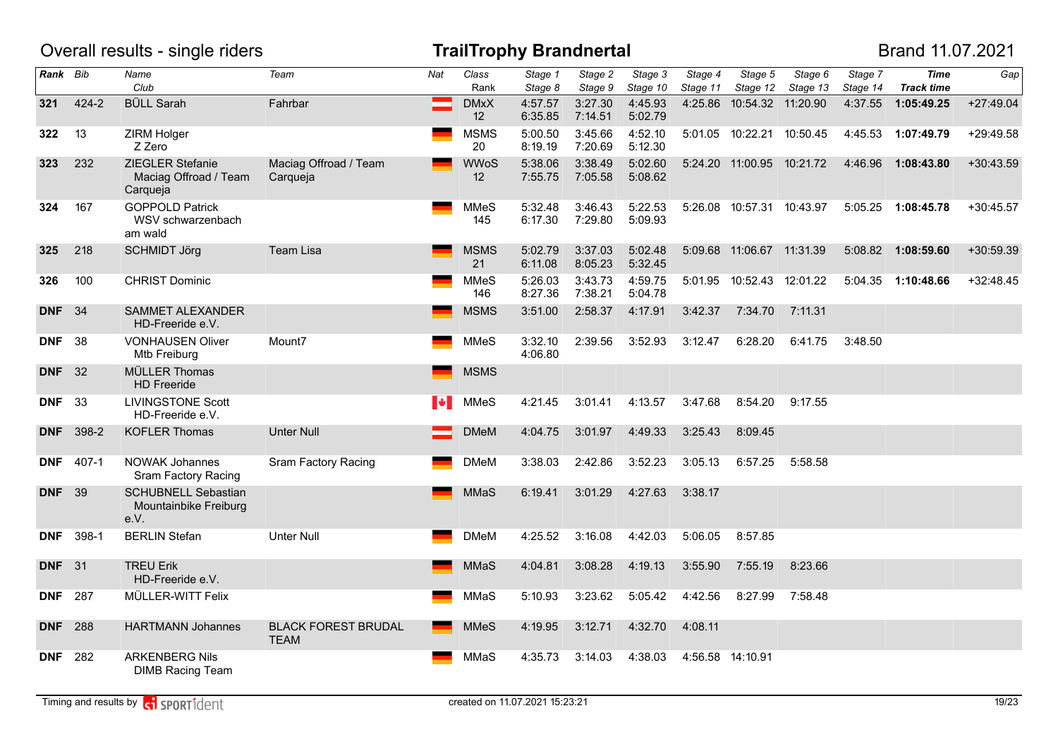|                |                  | Overall results - single riders                             |                                           |           |                   | <b>TrailTrophy Brandnertal</b> |                    |                     |                     |                             |                     |                     | Brand 11.07.2021                 |             |
|----------------|------------------|-------------------------------------------------------------|-------------------------------------------|-----------|-------------------|--------------------------------|--------------------|---------------------|---------------------|-----------------------------|---------------------|---------------------|----------------------------------|-------------|
| Rank Bib       |                  | Name<br>Club                                                | Team                                      | Nat       | Class<br>Rank     | Stage 1<br>Stage 8             | Stage 2<br>Stage 9 | Stage 3<br>Stage 10 | Stage 4<br>Stage 11 | Stage 5<br>Stage 12         | Stage 6<br>Stage 13 | Stage 7<br>Stage 14 | <b>Time</b><br><b>Track time</b> | Gap         |
| 321            | 424-2            | <b>BÜLL Sarah</b>                                           | Fahrbar                                   |           | <b>DMxX</b><br>12 | 4:57.57<br>6:35.85             | 3:27.30<br>7:14.51 | 4:45.93<br>5:02.79  |                     | 4:25.86 10:54.32 11:20.90   |                     | 4:37.55             | 1:05:49.25                       | $+27:49.04$ |
| 322            | 13               | ZIRM Holger<br>Z Zero                                       |                                           |           | <b>MSMS</b><br>20 | 5:00.50<br>8:19.19             | 3:45.66<br>7:20.69 | 4:52.10<br>5:12.30  |                     | 5:01.05 10:22.21 10:50.45   |                     |                     | 4:45.53 1:07:49.79               | +29:49.58   |
| 323            | 232              | ZIEGLER Stefanie<br>Maciag Offroad / Team<br>Carqueja       | Maciag Offroad / Team<br>Carqueja         |           | <b>WWoS</b><br>12 | 5:38.06<br>7:55.75             | 3:38.49<br>7:05.58 | 5:02.60<br>5:08.62  |                     | 5:24.20 11:00.95 10:21.72   |                     | 4:46.96             | 1:08:43.80                       | $+30:43.59$ |
| 324            | 167              | <b>GOPPOLD Patrick</b><br>WSV schwarzenbach<br>am wald      |                                           |           | MMeS<br>145       | 5:32.48<br>6:17.30             | 3:46.43<br>7:29.80 | 5:22.53<br>5:09.93  |                     | 5:26.08 10:57.31 10:43.97   |                     | 5:05.25             | 1:08:45.78                       | $+30:45.57$ |
| 325            | 218              | <b>SCHMIDT Jörg</b>                                         | Team Lisa                                 |           | <b>MSMS</b><br>21 | 5:02.79<br>6:11.08             | 3:37.03<br>8:05.23 | 5:02.48<br>5:32.45  |                     | 5:09.68 11:06.67 11:31.39   |                     | 5:08.82             | 1:08:59.60                       | +30:59.39   |
| 326            | 100              | <b>CHRIST Dominic</b>                                       |                                           |           | MMeS<br>146       | 5:26.03<br>8:27.36             | 3:43.73<br>7:38.21 | 4:59.75<br>5:04.78  |                     | 5:01.95  10:52.43  12:01.22 |                     |                     | 5:04.35 1:10:48.66               | $+32:48.45$ |
| <b>DNF</b>     | 34               | SAMMET ALEXANDER<br>HD-Freeride e.V.                        |                                           |           | MSMS              | 3:51.00                        | 2:58.37            | 4:17.91             | 3:42.37             | 7:34.70                     | 7:11.31             |                     |                                  |             |
| <b>DNF</b>     | 38               | <b>VONHAUSEN Oliver</b><br>Mtb Freiburg                     | Mount7                                    |           | MMeS              | 3:32.10<br>4:06.80             | 2:39.56            | 3:52.93             | 3:12.47             | 6:28.20                     | 6:41.75             | 3:48.50             |                                  |             |
| <b>DNF</b> 32  |                  | MÜLLER Thomas<br><b>HD</b> Freeride                         |                                           |           | <b>MSMS</b>       |                                |                    |                     |                     |                             |                     |                     |                                  |             |
| <b>DNF</b> 33  |                  | <b>LIVINGSTONE Scott</b><br>HD-Freeride e.V.                |                                           | <b>IV</b> | <b>MMeS</b>       | 4:21.45                        | 3:01.41            | 4:13.57             | 3:47.68             | 8:54.20                     | 9:17.55             |                     |                                  |             |
|                | <b>DNF</b> 398-2 | <b>KOFLER Thomas</b>                                        | <b>Unter Null</b>                         |           | <b>DMeM</b>       | 4:04.75                        | 3:01.97            | 4:49.33             | 3:25.43             | 8:09.45                     |                     |                     |                                  |             |
| <b>DNF</b>     | 407-1            | <b>NOWAK Johannes</b><br>Sram Factory Racing                | <b>Sram Factory Racing</b>                |           | <b>DMeM</b>       | 3:38.03                        | 2:42.86            | 3:52.23             | 3:05.13             | 6:57.25                     | 5:58.58             |                     |                                  |             |
| <b>DNF</b> 39  |                  | <b>SCHUBNELL Sebastian</b><br>Mountainbike Freiburg<br>e.V. |                                           |           | <b>MMaS</b>       | 6:19.41                        | 3:01.29            | 4:27.63             | 3:38.17             |                             |                     |                     |                                  |             |
| <b>DNF</b>     | 398-1            | <b>BERLIN Stefan</b>                                        | <b>Unter Null</b>                         |           | DMeM              | 4:25.52                        | 3:16.08            | 4:42.03             | 5:06.05             | 8:57.85                     |                     |                     |                                  |             |
| <b>DNF</b> 31  |                  | <b>TREU Erik</b><br>HD-Freeride e.V.                        |                                           |           | MMaS              | 4:04.81                        | 3:08.28            | 4:19.13             | 3:55.90             | 7:55.19                     | 8:23.66             |                     |                                  |             |
| <b>DNF</b> 287 |                  | MÜLLER-WITT Felix                                           |                                           |           | MMaS              | 5:10.93                        | 3:23.62            | 5:05.42             | 4:42.56             | 8:27.99                     | 7:58.48             |                     |                                  |             |
| <b>DNF</b> 288 |                  | <b>HARTMANN Johannes</b>                                    | <b>BLACK FOREST BRUDAL</b><br><b>TEAM</b> |           | MMeS              | 4:19.95                        | 3:12.71            | 4:32.70             | 4:08.11             |                             |                     |                     |                                  |             |
| <b>DNF</b> 282 |                  | <b>ARKENBERG Nils</b><br><b>DIMB Racing Team</b>            |                                           |           | MMaS              | 4:35.73                        | 3:14.03            | 4:38.03             |                     | 4:56.58 14:10.91            |                     |                     |                                  |             |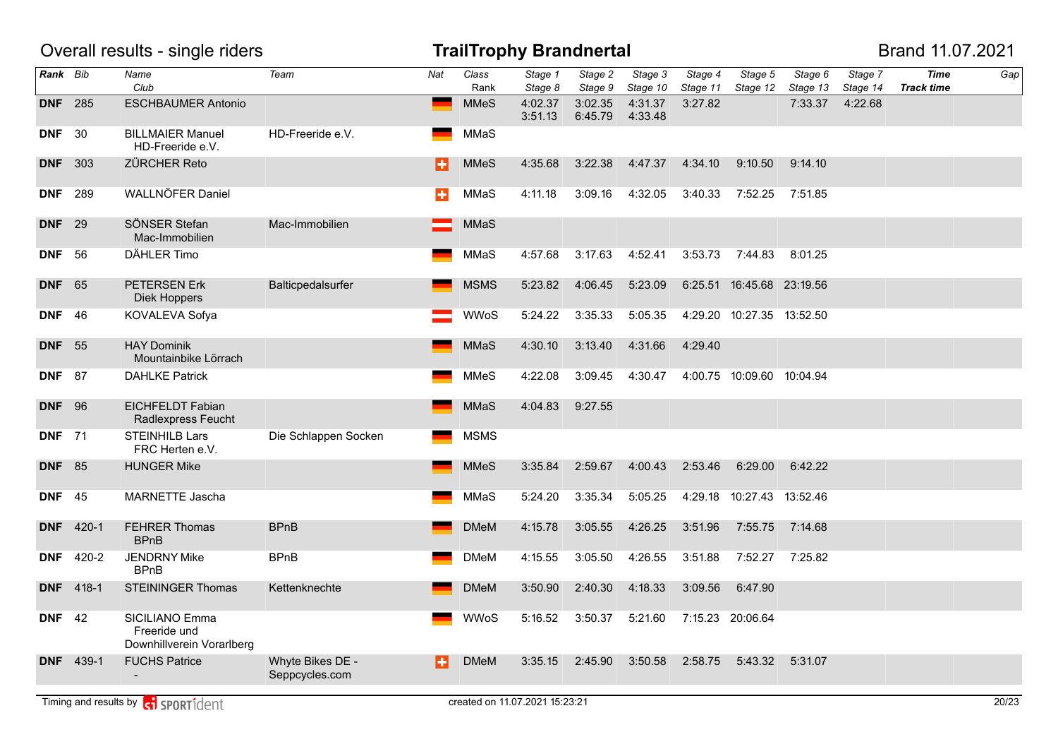|                |                  | Overall results - single riders                             |                                    |     |               | <b>TrailTrophy Brandnertal</b> |                    |                     |                     |                           |                     |                     | Brand 11.07.2021                 |     |
|----------------|------------------|-------------------------------------------------------------|------------------------------------|-----|---------------|--------------------------------|--------------------|---------------------|---------------------|---------------------------|---------------------|---------------------|----------------------------------|-----|
| Rank Bib       |                  | Name<br>Club                                                | Team                               | Nat | Class<br>Rank | Stage 1<br>Stage 8             | Stage 2<br>Stage 9 | Stage 3<br>Stage 10 | Stage 4<br>Stage 11 | Stage 5<br>Stage 12       | Stage 6<br>Stage 13 | Stage 7<br>Stage 14 | <b>Time</b><br><b>Track time</b> | Gap |
| <b>DNF</b> 285 |                  | <b>ESCHBAUMER Antonio</b>                                   |                                    |     | <b>MMeS</b>   | 4:02.37<br>3:51.13             | 3:02.35<br>6:45.79 | 4:31.37<br>4:33.48  | 3:27.82             |                           | 7:33.37             | 4:22.68             |                                  |     |
| <b>DNF</b> 30  |                  | <b>BILLMAIER Manuel</b><br>HD-Freeride e.V.                 | HD-Freeride e.V.                   |     | MMaS          |                                |                    |                     |                     |                           |                     |                     |                                  |     |
| <b>DNF</b>     | 303              | <b>ZÜRCHER Reto</b>                                         |                                    | н   | <b>MMeS</b>   | 4:35.68                        | 3:22.38            | 4:47.37             | 4:34.10             | 9:10.50                   | 9:14.10             |                     |                                  |     |
| <b>DNF</b>     | 289              | WALLNÖFER Daniel                                            |                                    | ÷   | MMaS          | 4:11.18                        | 3:09.16            | 4:32.05             | 3:40.33             | 7:52.25                   | 7:51.85             |                     |                                  |     |
| <b>DNF</b> 29  |                  | SÖNSER Stefan<br>Mac-Immobilien                             | Mac-Immobilien                     |     | MMaS          |                                |                    |                     |                     |                           |                     |                     |                                  |     |
| <b>DNF</b> 56  |                  | DÄHLER Timo                                                 |                                    |     | MMaS          | 4:57.68                        | 3:17.63            | 4:52.41             | 3:53.73             | 7:44.83                   | 8:01.25             |                     |                                  |     |
| <b>DNF</b>     | 65               | PETERSEN Erk<br>Diek Hoppers                                | Balticpedalsurfer                  |     | <b>MSMS</b>   | 5:23.82                        | 4:06.45            | 5:23.09             |                     | 6:25.51 16:45.68 23:19.56 |                     |                     |                                  |     |
| <b>DNF</b>     | -46              | KOVALEVA Sofya                                              |                                    |     | <b>WWoS</b>   | 5:24.22                        | 3:35.33            | 5:05.35             |                     | 4:29.20 10:27.35 13:52.50 |                     |                     |                                  |     |
| <b>DNF</b>     | 55               | <b>HAY Dominik</b><br>Mountainbike Lörrach                  |                                    |     | <b>MMaS</b>   | 4:30.10                        | 3:13.40            | 4:31.66             | 4:29.40             |                           |                     |                     |                                  |     |
| <b>DNF</b> 87  |                  | <b>DAHLKE Patrick</b>                                       |                                    |     | <b>MMeS</b>   | 4:22.08                        | 3:09.45            | 4:30.47             |                     | 4:00.75 10:09.60 10:04.94 |                     |                     |                                  |     |
| <b>DNF</b> 96  |                  | <b>EICHFELDT Fabian</b><br>Radlexpress Feucht               |                                    |     | MMaS          | 4:04.83                        | 9:27.55            |                     |                     |                           |                     |                     |                                  |     |
| <b>DNF</b> 71  |                  | <b>STEINHILB Lars</b><br>FRC Herten e.V.                    | Die Schlappen Socken               |     | <b>MSMS</b>   |                                |                    |                     |                     |                           |                     |                     |                                  |     |
| <b>DNF</b> 85  |                  | <b>HUNGER Mike</b>                                          |                                    |     | <b>MMeS</b>   | 3:35.84                        | 2:59.67            | 4:00.43             | 2:53.46             | 6:29.00                   | 6:42.22             |                     |                                  |     |
| <b>DNF</b> 45  |                  | MARNETTE Jascha                                             |                                    |     | MMaS          | 5:24.20                        | 3:35.34            | 5:05.25             | 4:29.18             | 10:27.43 13:52.46         |                     |                     |                                  |     |
| <b>DNF</b>     | 420-1            | FEHRER Thomas<br><b>BPnB</b>                                | <b>BPnB</b>                        |     | <b>DMeM</b>   | 4:15.78                        | 3:05.55            | 4:26.25             | 3:51.96             | 7:55.75                   | 7:14.68             |                     |                                  |     |
| <b>DNF</b>     | 420-2            | <b>JENDRNY Mike</b><br><b>BPnB</b>                          | <b>BPnB</b>                        |     | <b>DMeM</b>   | 4:15.55                        | 3:05.50            | 4:26.55             | 3:51.88             | 7:52.27                   | 7:25.82             |                     |                                  |     |
|                | <b>DNF</b> 418-1 | <b>STEININGER Thomas</b>                                    | Kettenknechte                      |     | <b>DMeM</b>   | 3:50.90                        | 2:40.30            | 4:18.33             | 3:09.56             | 6:47.90                   |                     |                     |                                  |     |
| <b>DNF</b> 42  |                  | SICILIANO Emma<br>Freeride und<br>Downhillverein Vorarlberg |                                    |     | <b>WWoS</b>   | 5:16.52                        | 3:50.37            | 5:21.60             |                     | 7:15.23 20:06.64          |                     |                     |                                  |     |
|                | <b>DNF</b> 439-1 | <b>FUCHS Patrice</b>                                        | Whyte Bikes DE -<br>Seppcycles.com | н   | <b>DMeM</b>   | 3:35.15                        | 2:45.90            | 3:50.58             | 2:58.75             | 5:43.32                   | 5:31.07             |                     |                                  |     |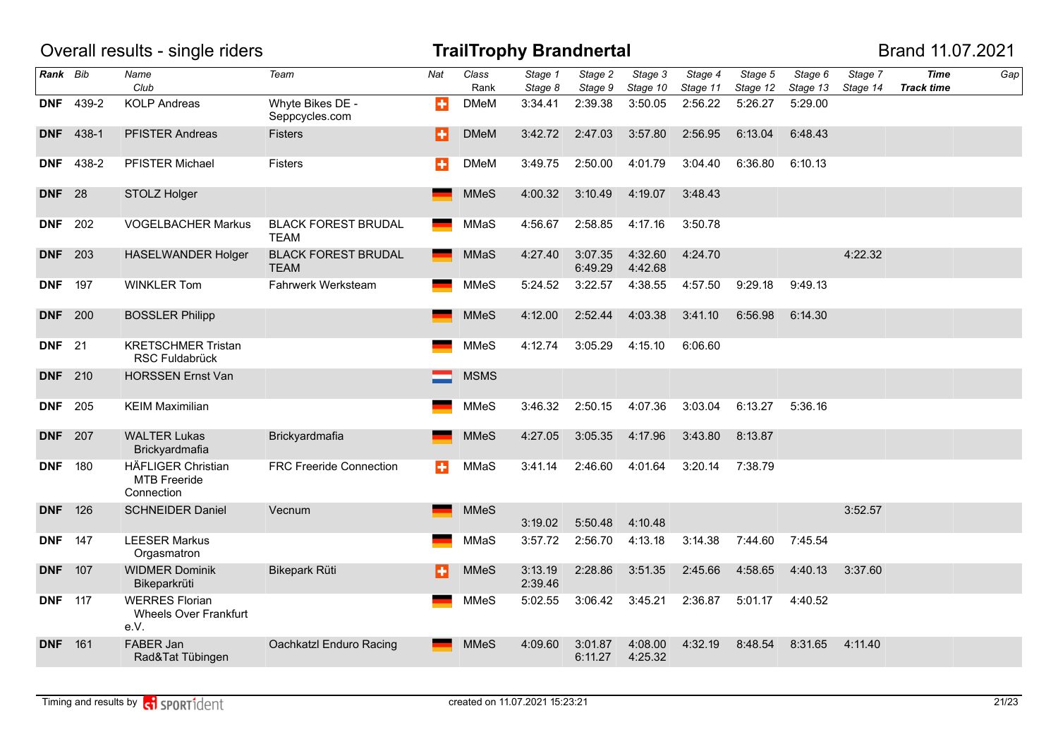|                |                  | Overall results - single riders                                |                                           |     |               | <b>TrailTrophy Brandnertal</b> |                    |                     |                     |                     |                     |                     | Brand 11.07.2021                 |     |
|----------------|------------------|----------------------------------------------------------------|-------------------------------------------|-----|---------------|--------------------------------|--------------------|---------------------|---------------------|---------------------|---------------------|---------------------|----------------------------------|-----|
| Rank Bib       |                  | Name<br>Club                                                   | Team                                      | Nat | Class<br>Rank | Stage 1<br>Stage 8             | Stage 2<br>Stage 9 | Stage 3<br>Stage 10 | Stage 4<br>Stage 11 | Stage 5<br>Stage 12 | Stage 6<br>Stage 13 | Stage 7<br>Stage 14 | <b>Time</b><br><b>Track time</b> | Gap |
| <b>DNF</b>     | 439-2            | <b>KOLP Andreas</b>                                            | Whyte Bikes DE -<br>Seppcycles.com        | ÷   | <b>DMeM</b>   | 3:34.41                        | 2:39.38            | 3:50.05             | 2:56.22             | 5:26.27             | 5:29.00             |                     |                                  |     |
|                | <b>DNF</b> 438-1 | <b>PFISTER Andreas</b>                                         | <b>Fisters</b>                            | H   | <b>DMeM</b>   | 3:42.72                        | 2:47.03            | 3:57.80             | 2:56.95             | 6:13.04             | 6:48.43             |                     |                                  |     |
|                | <b>DNF</b> 438-2 | PFISTER Michael                                                | Fisters                                   | ÷   | DMeM          | 3:49.75                        | 2:50.00            | 4:01.79             | 3:04.40             | 6:36.80             | 6:10.13             |                     |                                  |     |
| <b>DNF</b> 28  |                  | STOLZ Holger                                                   |                                           |     | <b>MMeS</b>   | 4:00.32                        | 3:10.49            | 4:19.07             | 3:48.43             |                     |                     |                     |                                  |     |
| <b>DNF</b> 202 |                  | <b>VOGELBACHER Markus</b>                                      | <b>BLACK FOREST BRUDAL</b><br>TEAM        |     | MMaS          | 4:56.67                        | 2:58.85            | 4:17.16             | 3:50.78             |                     |                     |                     |                                  |     |
| <b>DNF</b>     | 203              | <b>HASELWANDER Holger</b>                                      | <b>BLACK FOREST BRUDAL</b><br><b>TEAM</b> |     | <b>MMaS</b>   | 4:27.40                        | 3:07.35<br>6:49.29 | 4:32.60<br>4:42.68  | 4:24.70             |                     |                     | 4:22.32             |                                  |     |
| <b>DNF</b>     | 197              | <b>WINKLER Tom</b>                                             | Fahrwerk Werksteam                        |     | <b>MMeS</b>   | 5:24.52                        | 3:22.57            | 4:38.55             | 4:57.50             | 9:29.18             | 9:49.13             |                     |                                  |     |
| <b>DNF</b> 200 |                  | <b>BOSSLER Philipp</b>                                         |                                           |     | <b>MMeS</b>   | 4:12.00                        | 2:52.44            | 4:03.38             | 3:41.10             | 6:56.98             | 6:14.30             |                     |                                  |     |
| <b>DNF</b> 21  |                  | <b>KRETSCHMER Tristan</b><br><b>RSC Fuldabrück</b>             |                                           |     | MMeS          | 4:12.74                        | 3:05.29            | 4:15.10             | 6:06.60             |                     |                     |                     |                                  |     |
| <b>DNF</b>     | 210              | <b>HORSSEN Ernst Van</b>                                       |                                           |     | <b>MSMS</b>   |                                |                    |                     |                     |                     |                     |                     |                                  |     |
| <b>DNF</b>     | 205              | <b>KEIM Maximilian</b>                                         |                                           |     | <b>MMeS</b>   | 3:46.32                        | 2:50.15            | 4:07.36             | 3:03.04             | 6:13.27             | 5:36.16             |                     |                                  |     |
| <b>DNF</b> 207 |                  | <b>WALTER Lukas</b><br>Brickyardmafia                          | Brickyardmafia                            |     | <b>MMeS</b>   | 4:27.05                        | 3:05.35            | 4:17.96             | 3:43.80             | 8:13.87             |                     |                     |                                  |     |
| <b>DNF</b>     | 180              | <b>HÄFLIGER Christian</b><br><b>MTB Freeride</b><br>Connection | <b>FRC Freeride Connection</b>            | ÷   | MMaS          | 3:41.14                        | 2:46.60            | 4:01.64             | 3:20.14             | 7:38.79             |                     |                     |                                  |     |
| <b>DNF</b>     | 126              | <b>SCHNEIDER Daniel</b>                                        | Vecnum                                    |     | <b>MMeS</b>   | 3:19.02                        | 5:50.48            | 4:10.48             |                     |                     |                     | 3:52.57             |                                  |     |
| <b>DNF</b>     | 147              | <b>LEESER Markus</b><br>Orgasmatron                            |                                           |     | MMaS          | 3:57.72                        | 2:56.70            | 4:13.18             | 3:14.38             | 7:44.60             | 7:45.54             |                     |                                  |     |
| <b>DNF</b>     | 107              | <b>WIDMER Dominik</b><br>Bikeparkrüti                          | Bikepark Rüti                             | в   | <b>MMeS</b>   | 3:13.19<br>2:39.46             | 2:28.86            | 3:51.35             | 2:45.66             | 4:58.65             | 4:40.13             | 3:37.60             |                                  |     |
| <b>DNF</b> 117 |                  | <b>WERRES Florian</b><br><b>Wheels Over Frankfurt</b><br>e.V.  |                                           |     | MMeS          | 5:02.55                        | 3:06.42            | 3:45.21             | 2:36.87             | 5:01.17             | 4:40.52             |                     |                                  |     |
| <b>DNF</b>     | 161              | FABER Jan<br>Rad&Tat Tübingen                                  | Oachkatzl Enduro Racing                   |     | <b>MMeS</b>   | 4:09.60                        | 3:01.87<br>6:11.27 | 4:08.00<br>4:25.32  | 4:32.19             | 8:48.54             | 8:31.65             | 4:11.40             |                                  |     |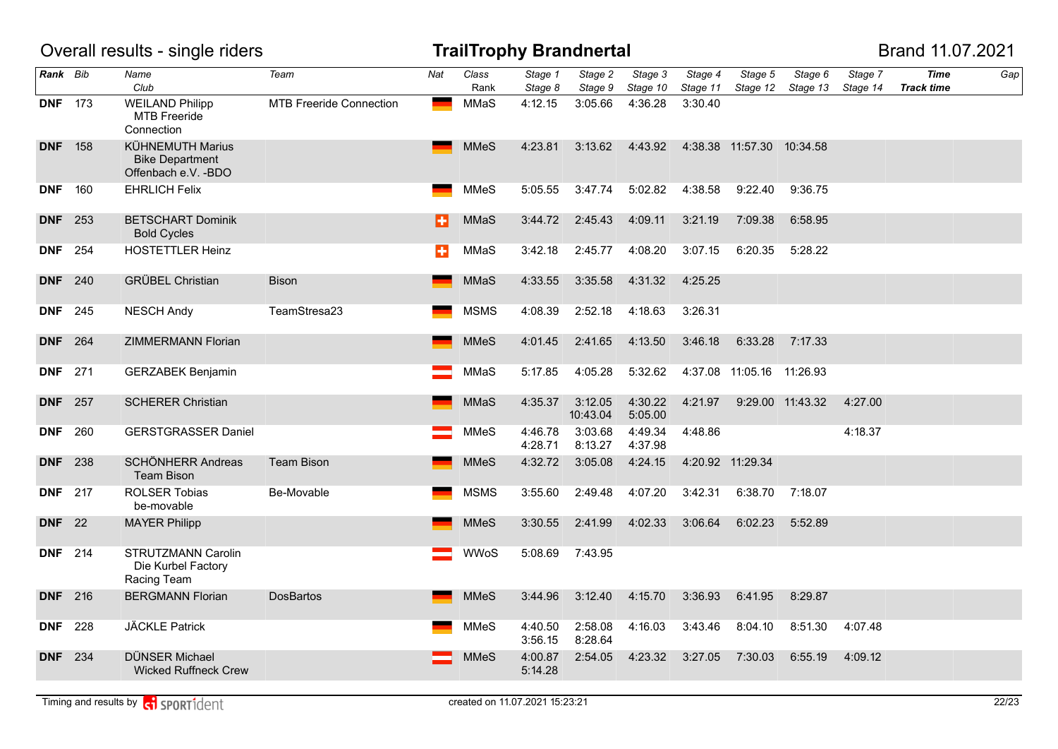|                |     | Overall results - single riders                                           |                                |     |               | <b>TrailTrophy Brandnertal</b> |                     |                     |                     |                           |                     |                     | Brand 11.07.2021                 |     |
|----------------|-----|---------------------------------------------------------------------------|--------------------------------|-----|---------------|--------------------------------|---------------------|---------------------|---------------------|---------------------------|---------------------|---------------------|----------------------------------|-----|
| Rank Bib       |     | Name<br>Club                                                              | Team                           | Nat | Class<br>Rank | Stage 1<br>Stage 8             | Stage 2<br>Stage 9  | Stage 3<br>Stage 10 | Stage 4<br>Stage 11 | Stage 5<br>Stage 12       | Stage 6<br>Stage 13 | Stage 7<br>Stage 14 | <b>Time</b><br><b>Track time</b> | Gap |
| <b>DNF</b> 173 |     | <b>WEILAND Philipp</b><br><b>MTB Freeride</b><br>Connection               | <b>MTB Freeride Connection</b> |     | MMaS          | 4:12.15                        | 3:05.66             | 4:36.28             | 3:30.40             |                           |                     |                     |                                  |     |
| <b>DNF</b> 158 |     | <b>KÜHNEMUTH Marius</b><br><b>Bike Department</b><br>Offenbach e.V. - BDO |                                |     | <b>MMeS</b>   | 4:23.81                        | 3:13.62             | 4:43.92             |                     | 4:38.38 11:57.30 10:34.58 |                     |                     |                                  |     |
| <b>DNF</b> 160 |     | <b>EHRLICH Felix</b>                                                      |                                |     | MMeS          | 5:05.55                        | 3:47.74             | 5:02.82             | 4:38.58             | 9:22.40                   | 9:36.75             |                     |                                  |     |
| <b>DNF</b> 253 |     | <b>BETSCHART Dominik</b><br><b>Bold Cycles</b>                            |                                | н   | <b>MMaS</b>   | 3:44.72                        | 2:45.43             | 4:09.11             | 3:21.19             | 7:09.38                   | 6:58.95             |                     |                                  |     |
| <b>DNF</b> 254 |     | <b>HOSTETTLER Heinz</b>                                                   |                                | ÷   | MMaS          | 3:42.18                        | 2:45.77             | 4:08.20             | 3:07.15             | 6:20.35                   | 5:28.22             |                     |                                  |     |
| <b>DNF</b> 240 |     | <b>GRÜBEL Christian</b>                                                   | <b>Bison</b>                   |     | <b>MMaS</b>   | 4:33.55                        | 3:35.58             | 4:31.32             | 4:25.25             |                           |                     |                     |                                  |     |
| <b>DNF</b> 245 |     | <b>NESCH Andy</b>                                                         | TeamStresa23                   |     | <b>MSMS</b>   | 4:08.39                        | 2:52.18             | 4:18.63             | 3:26.31             |                           |                     |                     |                                  |     |
| <b>DNF</b> 264 |     | ZIMMERMANN Florian                                                        |                                |     | <b>MMeS</b>   | 4:01.45                        | 2:41.65             | 4:13.50             | 3:46.18             | 6:33.28                   | 7:17.33             |                     |                                  |     |
| <b>DNF</b> 271 |     | <b>GERZABEK Benjamin</b>                                                  |                                |     | MMaS          | 5:17.85                        | 4:05.28             | 5:32.62             |                     | 4:37.08 11:05.16 11:26.93 |                     |                     |                                  |     |
| <b>DNF</b> 257 |     | <b>SCHERER Christian</b>                                                  |                                |     | <b>MMaS</b>   | 4:35.37                        | 3:12.05<br>10:43.04 | 4:30.22<br>5:05.00  | 4:21.97             |                           | 9:29.00 11:43.32    | 4:27.00             |                                  |     |
| <b>DNF</b>     | 260 | <b>GERSTGRASSER Daniel</b>                                                |                                |     | <b>MMeS</b>   | 4:46.78<br>4:28.71             | 3:03.68<br>8:13.27  | 4:49.34<br>4:37.98  | 4:48.86             |                           |                     | 4:18.37             |                                  |     |
| <b>DNF</b> 238 |     | <b>SCHÖNHERR Andreas</b><br><b>Team Bison</b>                             | <b>Team Bison</b>              |     | <b>MMeS</b>   | 4:32.72                        | 3:05.08             | 4:24.15             |                     | 4:20.92 11:29.34          |                     |                     |                                  |     |
| <b>DNF</b>     | 217 | <b>ROLSER Tobias</b><br>be-movable                                        | Be-Movable                     |     | <b>MSMS</b>   | 3:55.60                        | 2:49.48             | 4:07.20             | 3:42.31             | 6:38.70                   | 7:18.07             |                     |                                  |     |
| <b>DNF</b>     | 22  | <b>MAYER Philipp</b>                                                      |                                |     | <b>MMeS</b>   | 3:30.55                        | 2:41.99             | 4:02.33             | 3:06.64             | 6:02.23                   | 5:52.89             |                     |                                  |     |
| <b>DNF</b>     | 214 | STRUTZMANN Carolin<br>Die Kurbel Factory<br>Racing Team                   |                                |     | <b>WWoS</b>   | 5:08.69                        | 7:43.95             |                     |                     |                           |                     |                     |                                  |     |
| <b>DNF</b> 216 |     | <b>BERGMANN Florian</b>                                                   | <b>DosBartos</b>               |     | <b>MMeS</b>   | 3:44.96                        | 3:12.40             | 4:15.70             | 3:36.93             | 6:41.95                   | 8:29.87             |                     |                                  |     |
| <b>DNF</b>     | 228 | JÄCKLE Patrick                                                            |                                |     | <b>MMeS</b>   | 4:40.50<br>3:56.15             | 2:58.08<br>8:28.64  | 4:16.03             | 3:43.46             | 8:04.10                   | 8:51.30             | 4:07.48             |                                  |     |
| <b>DNF</b> 234 |     | DÜNSER Michael<br><b>Wicked Ruffneck Crew</b>                             |                                |     | <b>MMeS</b>   | 4:00.87<br>5:14.28             | 2:54.05             | 4:23.32             | 3:27.05             | 7:30.03                   | 6:55.19             | 4:09.12             |                                  |     |